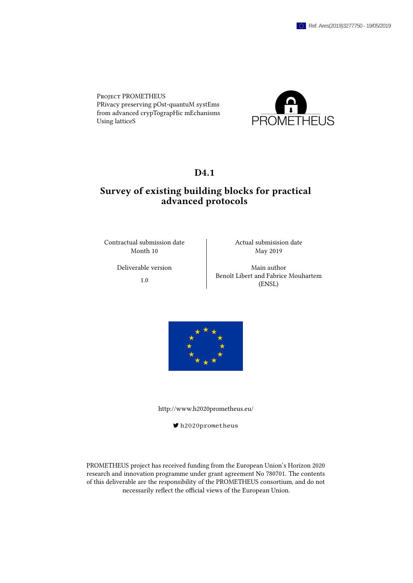Project PROMETHEUS PRivacy preserving pOst-quantuM systEms from advanced crypTograpHic mEchanisms Using latticeS



## D<sub>4.1</sub>

# Survey of existing building blocks for practical advanced protocols

Contractual submission date Actual submisision date Month 10 May 2019

Deliverable version author Main author 1.0 Benoît Libert and Fabrice Mouhartem (ENSL)



<http://www.h2020prometheus.eu/>

[h2020prometheus](https://twitter.com/h2020prometheus)

PROMETHEUS project has received funding from the European Union's Horizon 2020 research and innovation programme under grant agreement No 780701. The contents of this deliverable are the responsibility of the PROMETHEUS consortium, and do not necessarily reflect the official views of the European Union.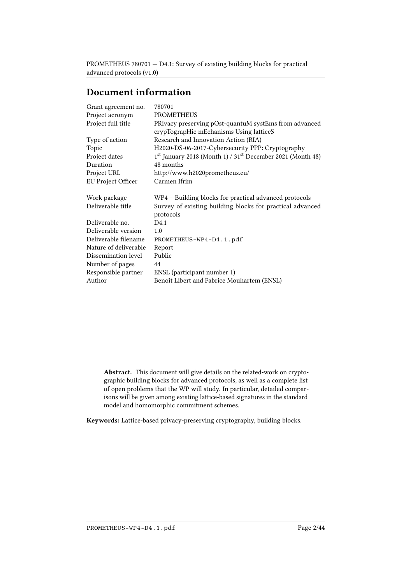# Document information

| 780701                                                                             |  |  |
|------------------------------------------------------------------------------------|--|--|
| <b>PROMETHEUS</b>                                                                  |  |  |
| PRivacy preserving pOst-quantuM systEms from advanced                              |  |  |
| crypTograpHic mEchanisms Using latticeS                                            |  |  |
| Research and Innovation Action (RIA)                                               |  |  |
| H2020-DS-06-2017-Cybersecurity PPP: Cryptography                                   |  |  |
| 1 <sup>st</sup> January 2018 (Month 1) / 31 <sup>st</sup> December 2021 (Month 48) |  |  |
| 48 months                                                                          |  |  |
| http://www.h2020prometheus.eu/                                                     |  |  |
| Carmen Ifrim                                                                       |  |  |
| WP4 - Building blocks for practical advanced protocols                             |  |  |
| Survey of existing building blocks for practical advanced<br>protocols             |  |  |
| D4.1                                                                               |  |  |
| 1.0                                                                                |  |  |
| PROMETHEUS-WP4-D4.1.pdf                                                            |  |  |
| Report                                                                             |  |  |
| Public                                                                             |  |  |
| 44                                                                                 |  |  |
| ENSL (participant number 1)                                                        |  |  |
| Benoît Libert and Fabrice Mouhartem (ENSL)                                         |  |  |
|                                                                                    |  |  |

Abstract. This document will give details on the related-work on cryptographic building blocks for advanced protocols, as well as a complete list of open problems that the WP will study. In particular, detailed comparisons will be given among existing lattice-based signatures in the standard model and homomorphic commitment schemes.

Keywords: Lattice-based privacy-preserving cryptography, building blocks.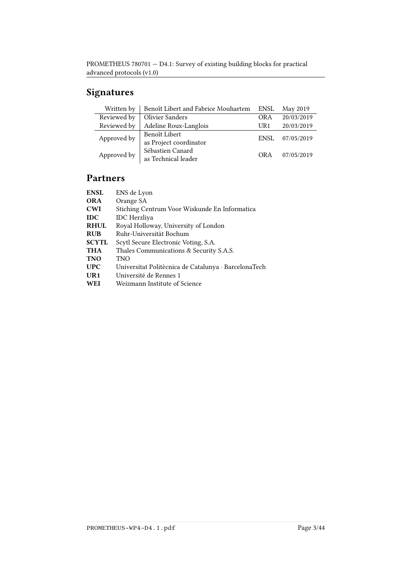# Signatures

| Written by  | Benoît Libert and Fabrice Mouhartem | ENSL       | May 2019   |
|-------------|-------------------------------------|------------|------------|
| Reviewed by | <b>Olivier Sanders</b>              | <b>ORA</b> | 20/03/2019 |
| Reviewed by | Adeline Roux-Langlois               | UR1        | 20/03/2019 |
| Approved by | Benoît Libert                       | ENSL       | 07/05/2019 |
|             | as Project coordinator              |            |            |
| Approved by | Sébastien Canard                    | OR A       | 07/05/2019 |
|             | as Technical leader                 |            |            |

# Partners

| ENS de Lyon                                          |
|------------------------------------------------------|
| Orange SA                                            |
| Stiching Centrum Voor Wiskunde En Informatica        |
| <b>IDC</b> Herzliya                                  |
| Royal Holloway, University of London                 |
| Ruhr-Universität Bochum                              |
| Scytl Secure Electronic Voting, S.A.                 |
| Thales Communications & Security S.A.S.              |
| <b>TNO</b>                                           |
| Universitat Politècnica de Catalunya · BarcelonaTech |
| Université de Rennes 1                               |
| Weizmann Institute of Science                        |
|                                                      |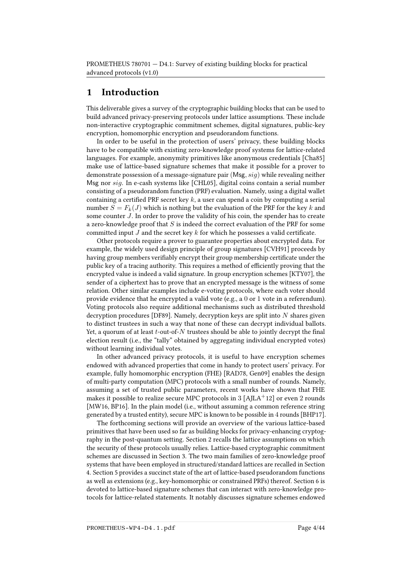# 1 Introduction

This deliverable gives a survey of the cryptographic building blocks that can be used to build advanced privacy-preserving protocols under lattice assumptions. These include non-interactive cryptographic commitment schemes, digital signatures, public-key encryption, homomorphic encryption and pseudorandom functions.

In order to be useful in the protection of users' privacy, these building blocks have to be compatible with existing zero-knowledge proof systems for lattice-related languages. For example, anonymity primitives like anonymous credentials [\[Cha85\]](#page-38-0) make use of lattice-based signature schemes that make it possible for a prover to demonstrate possession of a message-signature pair  $(Msg, sig)$  while revealing neither Msg nor sig. In e-cash systems like [\[CHL05\]](#page-38-1), digital coins contain a serial number consisting of a pseudorandom function (PRF) evaluation. Namely, using a digital wallet containing a certified PRF secret key  $k$ , a user can spend a coin by computing a serial number  $S = F_k(J)$  which is nothing but the evaluation of the PRF for the key k and some counter J. In order to prove the validity of his coin, the spender has to create a zero-knowledge proof that  $S$  is indeed the correct evaluation of the PRF for some committed input J and the secret key k for which he possesses a valid certificate.

Other protocols require a prover to guarantee properties about encrypted data. For example, the widely used design principle of group signatures [\[CVH91\]](#page-39-0) proceeds by having group members verifiably encrypt their group membership certificate under the public key of a tracing authority. This requires a method of efficiently proving that the encrypted value is indeed a valid signature. In group encryption schemes [\[KTY07\]](#page-40-0), the sender of a ciphertext has to prove that an encrypted message is the witness of some relation. Other similar examples include e-voting protocols, where each voter should provide evidence that he encrypted a valid vote (e.g., a 0 or 1 vote in a referendum). Voting protocols also require additional mechanisms such as distributed threshold decryption procedures [\[DF89\]](#page-39-1). Namely, decryption keys are split into  $N$  shares given to distinct trustees in such a way that none of these can decrypt individual ballots. Yet, a quorum of at least  $t$ -out-of- $N$  trustees should be able to jointly decrypt the final election result (i.e., the "tally" obtained by aggregating individual encrypted votes) without learning individual votes.

In other advanced privacy protocols, it is useful to have encryption schemes endowed with advanced properties that come in handy to protect users' privacy. For example, fully homomorphic encryption (FHE) [\[RAD78,](#page-42-0) [Gen09\]](#page-39-2) enables the design of multi-party computation (MPC) protocols with a small number of rounds. Namely, assuming a set of trusted public parameters, recent works have shown that FHE makes it possible to realize secure MPC protocols in 3 [\[AJLA](#page-35-0)<sup>+</sup>12] or even 2 rounds [\[MW16,](#page-41-0) [BP16\]](#page-37-0). In the plain model (i.e., without assuming a common reference string generated by a trusted entity), secure MPC is known to be possible in 4 rounds [\[BHP17\]](#page-37-1).

The forthcoming sections will provide an overview of the various lattice-based primitives that have been used so far as building blocks for privacy-enhancing cryptography in the post-quantum setting. Section [2](#page-4-0) recalls the lattice assumptions on which the security of these protocols usually relies. Lattice-based cryptographic commitment schemes are discussed in Section [3.](#page-8-0) The two main families of zero-knowledge proof systems that have been employed in structured/standard lattices are recalled in Section [4.](#page-11-0) Section [5](#page-17-0) provides a succinct state of the art of lattice-based pseudorandom functions as well as extensions (e.g., key-homomorphic or constrained PRFs) thereof. Section [6](#page-18-0) is devoted to lattice-based signature schemes that can interact with zero-knowledge protocols for lattice-related statements. It notably discusses signature schemes endowed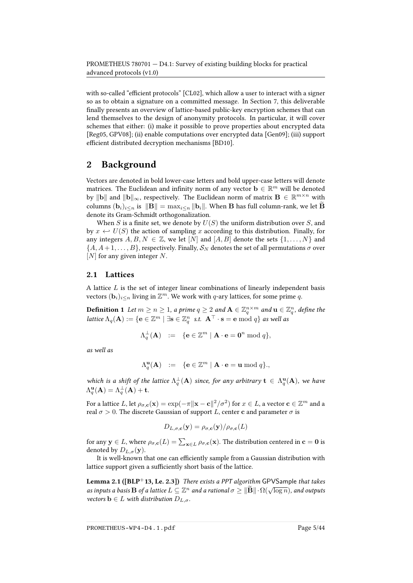with so-called "efficient protocols" [\[CL02\]](#page-38-2), which allow a user to interact with a signer so as to obtain a signature on a committed message. In Section [7,](#page-27-0) this deliverable finally presents an overview of lattice-based public-key encryption schemes that can lend themselves to the design of anonymity protocols. In particular, it will cover schemes that either: (i) make it possible to prove properties about encrypted data [\[Reg05,](#page-42-1) [GPV08\]](#page-40-1); (ii) enable computations over encrypted data [\[Gen09\]](#page-39-2); (iii) support efficient distributed decryption mechanisms [\[BD10\]](#page-36-0).

# <span id="page-4-0"></span>2 Background

Vectors are denoted in bold lower-case letters and bold upper-case letters will denote matrices. The Euclidean and infinity norm of any vector  $\mathbf{b} \in \mathbb{R}^m$  will be denoted by  $\|\mathbf{b}\|$  and  $\|\mathbf{b}\|_{\infty}$ , respectively. The Euclidean norm of matrix  $\mathbf{B} \in \mathbb{R}^{m \times n}$  with columns  $(\mathbf{b}_i)_{i\leq n}$  is  $\|\mathbf{B}\| = \max_{i\leq n} \|\mathbf{b}_i\|$ . When B has full column-rank, we let B denote its Gram-Schmidt orthogonalization.

When S is a finite set, we denote by  $U(S)$  the uniform distribution over S, and by  $x \leftrightarrow U(S)$  the action of sampling x according to this distribution. Finally, for any integers  $A, B, N \in \mathbb{Z}$ , we let  $[N]$  and  $[A, B]$  denote the sets  $\{1, \ldots, N\}$  and  $\{A, A+1, \ldots, B\}$ , respectively. Finally,  $S_N$  denotes the set of all permutations  $\sigma$  over  $[N]$  for any given integer N.

## 2.1 Lattices

A lattice  $L$  is the set of integer linear combinations of linearly independent basis vectors  $(\mathbf{b}_i)_{i\leq n}$  living in  $\mathbb{Z}^m$ . We work with q-ary lattices, for some prime q.

**Definition 1** Let  $m \geq n \geq 1$ , a prime  $q \geq 2$  and  $\mathbf{A} \in \mathbb{Z}_q^{n \times m}$  and  $\mathbf{u} \in \mathbb{Z}_q^n$ , define the lattice  $\Lambda_q(\mathbf{A}) := \{ \mathbf{e} \in \mathbb{Z}^m \mid \exists \mathbf{s} \in \mathbb{Z}_q^n \; \text{ s.t. } \; \mathbf{A}^\top \cdot \mathbf{s} = \mathbf{e} \bmod q \}$  as well as

$$
\Lambda_q^{\perp}(\mathbf{A}) \ := \ \{ \mathbf{e} \in \mathbb{Z}^m \mid \mathbf{A} \cdot \mathbf{e} = \mathbf{0}^n \bmod q \},
$$

as well as

$$
\Lambda_q^{\mathbf{u}}(\mathbf{A}) \ := \ \{ \mathbf{e} \in \mathbb{Z}^m \mid \mathbf{A} \cdot \mathbf{e} = \mathbf{u} \bmod q \},
$$

which is a shift of the lattice  $\Lambda_q^{\perp}(\mathbf{A})$  since, for any arbitrary  $\mathbf{t} \in \Lambda_q^{\mathbf{u}}(\mathbf{A})$ , we have  $\Lambda_q^{\mathbf{u}}(\mathbf{A}) = \Lambda_q^{\perp}(\mathbf{A}) + \mathbf{t}.$ 

For a lattice  $L$ , let  $\rho_{\sigma,\mathbf{c}}(\mathbf{x})=\exp(-\pi\|\mathbf{x}-\mathbf{c}\|^2/\sigma^2)$  for  $x\in L$ , a vector  $\mathbf{c}\in\mathbb{Z}^m$  and a real  $\sigma > 0$ . The discrete Gaussian of support L, center c and parameter  $\sigma$  is

$$
D_{L,\sigma,\mathbf{c}}(\mathbf{y}) = \rho_{\sigma,\mathbf{c}}(\mathbf{y})/\rho_{\sigma,\mathbf{c}}(L)
$$

for any  $\mathbf{y} \in L$ , where  $\rho_{\sigma,\mathbf{c}}(L)=\sum_{\mathbf{x}\in L}\rho_{\sigma,\mathbf{c}}(\mathbf{x}).$  The distribution centered in  $\mathbf{c}=\mathbf{0}$  is denoted by  $D_{L,\sigma}(\mathbf{y})$ .

It is well-known that one can efficiently sample from a Gaussian distribution with lattice support given a sufficiently short basis of the lattice.

<span id="page-4-1"></span>Lemma 2.1 ( $[BLP+13, Le. 2.3]$  $[BLP+13, Le. 2.3]$ ) There exists a PPT algorithm GPVSample that takes **as inputs a basis B** of a lattice  $L \subseteq \mathbb{Z}^n$  and a rational  $\sigma \geq ||\widetilde{\mathbf{B}}|| \cdot \Omega(\sqrt{\log n})$ , and outputs as inputs a basis  $\mathbf{B}$  of a lattice  $L \subseteq \mathbb{Z}^n$  and a rational  $\sigma \geq ||\widetilde{\mathbf{B}}|| \cdot \Omega(\sqrt{\log n})$ , and outputs vectors  $\mathbf{b} \in L$  with distribution  $D_{L,\sigma}$ .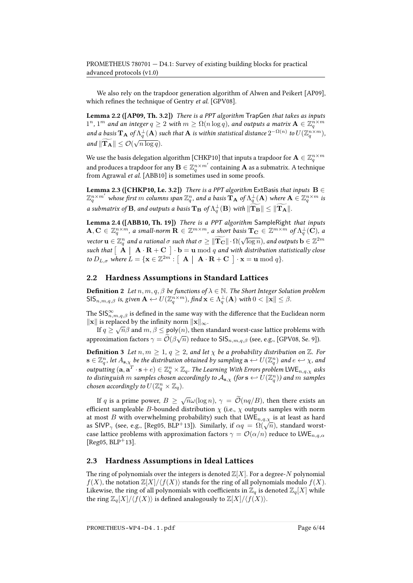We also rely on the trapdoor generation algorithm of Alwen and Peikert [\[AP09\]](#page-36-1), which refines the technique of Gentry et al. [\[GPV08\]](#page-40-1).

<span id="page-5-1"></span>Lemma 2.2 ([\[AP09,](#page-36-1) Th. 3.2]) There is a PPT algorithm TrapGen that takes as inputs  $1^n,1^m$  and an integer  $q\geq 2$  with  $m\geq \Omega(n\log q)$ , and outputs a matrix  $\mathbf{A}\in \mathbb{Z}_q^{n\times m}$ and a basis  ${\bf T_A}$  of  $\Lambda^{\perp}_q({\bf A})$  such that  ${\bf A}$  is within statistical distance  $2^{-\Omega(n)}$  to  $U(\Z_q^{n\times m}),$ and  $\|\mathbf{T_A}\| \leq \mathcal{O}(\sqrt{n \log q})$ .

We use the basis delegation algorithm [\[CHKP10\]](#page-38-3) that inputs a trapdoor for  $\mathbf{A}\in\mathbb{Z}_q^{n\times m}$ and produces a trapdoor for any  $\mathbf{B}\in \mathbb{Z}_q^{n\times m'}$  containing  $\mathbf{A}$  as a submatrix. A technique from Agrawal et al. [\[ABB10\]](#page-35-1) is sometimes used in some proofs.

**Lemma 2.3 ([\[CHKP10,](#page-38-3) Le. 3.2])** There is a PPT algorithm ExtBasis that inputs  $B \in$  $\mathbb{Z}_q^{n\times m'}$  whose first  $m$  columns span  $\mathbb{Z}_q^n$ , and a basis  $\widetilde{\mathbf{T}}_{\mathbf{A}}$  of  $\Lambda_q^{\perp}(\mathbf{A})$  where  $\mathbf{A}\in \mathbb{Z}_q^{n\times m}$  is a submatrix of **B**, and outputs a basis  $T_B$  of  $\Lambda_q^{\perp}(\mathbf{B})$  with  $\|\mathbf{T_B}\| \le \|\mathbf{T_A}\|$ .

Lemma 2.4 ([\[ABB10,](#page-35-1) Th. 19]) There is a PPT algorithm SampleRight that inputs  $\mathbf{A}, \mathbf{C} \in \mathbb{Z}_q^{n \times m}$ , a small-norm  $\mathbf{R} \in \mathbb{Z}^{m \times m}$ , a short basis  $\mathbf{T_C} \in \mathbb{Z}^{m \times m}$  of  $\Lambda_q^{\perp}(\mathbf{C})$ , a vector  $\mathbf{u} \in \mathbb{Z}_q^n$  and a rational  $\sigma$  such that  $\sigma \geq ||\mathbf{T_C}|| \cdot \Omega(\sqrt{\log n})$ , and outputs  $\mathbf{b} \in \mathbb{Z}^{2m}$ such that  $\left[\begin{array}{c|c} \mathbf{A} & \mathbf{A} & \mathbf{R}+\mathbf{C} \end{array}\right] \cdot \mathbf{b} = \mathbf{u} \bmod q$  and with distribution statistically close to  $D_{L,\sigma}$  where  $L = \{ \mathbf{x} \in \mathbb{Z}^{2m} : \left[ \begin{array}{c|c} \mathbf{A} & \mathbf{A} \cdot \mathbf{R} + \mathbf{C} \end{array} \right] \cdot \mathbf{x} = \mathbf{u} \bmod q \}.$ 

### 2.2 Hardness Assumptions in Standard Lattices

**Definition 2** Let  $n, m, q, \beta$  be functions of  $\lambda \in \mathbb{N}$ . The Short Integer Solution problem  $\mathsf{SIS}_{n,m,q,\beta}$  is, given  $\mathbf{A} \leftarrow U(\mathbb{Z}_q^{n \times m})$ , find  $\mathbf{x} \in \Lambda_q^{\perp}(\mathbf{A})$  with  $0 < \|\mathbf{x}\| \leq \beta$ .

The  $\mathsf{SIS}^\infty_{n,m,q,\beta}$  is defined in the same way with the difference that the Euclidean norm  $\|\mathbf{x}\|$  is replaced by the infinity norm  $\|\mathbf{x}\|_{\infty}$ .

If  $q \ge \sqrt{n}\beta$  and  $m, \beta \le \text{poly}(n)$ , then standard worst-case lattice problems with approximation factors  $\gamma = \mathcal{O}(\beta\sqrt{n})$  reduce to  $\mathsf{SIS}_{n,m,q,\beta}$  (see, e.g., [\[GPV08,](#page-40-1) Se. 9]).

**Definition 3** Let  $n, m \geq 1, q \geq 2$ , and let  $\chi$  be a probability distribution on  $\mathbb{Z}$ . For  $\mathbf{s}\in\mathbb{Z}_q^n$ , let  $A_{\mathbf{s},\chi}$  be the distribution obtained by sampling  $\mathbf{a}\hookleftarrow U(\mathbb{Z}_q^n)$  and  $e\hookleftarrow\chi$ , and outputting  $(a, a^T \cdot s + e) \in \mathbb{Z}_q^n \times \mathbb{Z}_q$ . The Learning With Errors problem  $\mathsf{LWE}_{n,q,\chi}$  asks to distinguish  $m$  samples chosen accordingly to  $\mathcal{A}_{\mathbf{s},\chi}$  (for  $\mathbf{s} \leftrightarrow U(\mathbb{Z}_q^n)$ ) and  $m$  samples chosen accordingly to  $U(\mathbb{Z}_q^n\times\mathbb{Z}_q)$ .

If q is a prime power,  $B \ge \sqrt{n}\omega(\log n)$ ,  $\gamma = \widetilde{\mathcal{O}}(nq/B)$ , then there exists an efficient sampleable B-bounded distribution  $\chi$  (i.e.,  $\chi$  outputs samples with norm at most B with overwhelming probability) such that  $LWE_{n,q,\chi}$  is at least as hard at most *D* with overwhening probability) such that  $LvvL_{n,q,\chi}$  is at least as hard<br>as SIVP<sub> $\gamma$ </sub> (see, e.g., [\[Reg05,](#page-42-1) [BLP](#page-37-2)<sup>+</sup>13]). Similarly, if  $\alpha q = \Omega(\sqrt{n})$ , standard worstcase lattice problems with approximation factors  $\gamma = \mathcal{O}(\alpha/n)$  reduce to LWE<sub>n,q, $\alpha$ </sub> [ $Reg05, BLP+13$  $Reg05, BLP+13$  $Reg05, BLP+13$ ].

## <span id="page-5-0"></span>2.3 Hardness Assumptions in Ideal Lattices

The ring of polynomials over the integers is denoted  $\mathbb{Z}[X]$ . For a degree-N polynomial  $f(X)$ , the notation  $\mathbb{Z}[X]/\langle f(X) \rangle$  stands for the ring of all polynomials modulo  $f(X)$ . Likewise, the ring of all polynomials with coefficients in  $\mathbb{Z}_q$  is denoted  $\mathbb{Z}_q[X]$  while the ring  $\mathbb{Z}_q[X]/\langle f(X)\rangle$  is defined analogously to  $\mathbb{Z}[X]/\langle f(X)\rangle$ .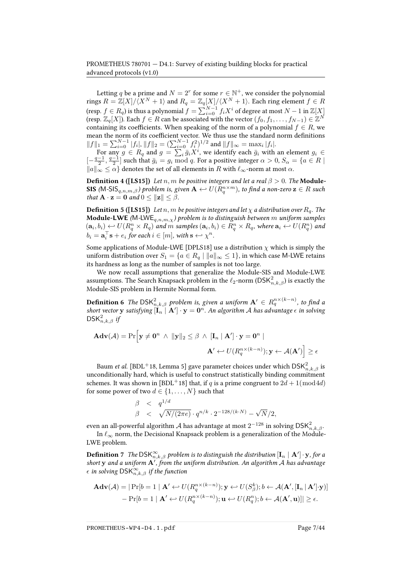Letting  $q$  be a prime and  $N = 2^r$  for some  $r \in \mathbb{N}^+$ , we consider the polynomial rings  $R = \mathbb{Z}[X]/\langle X^N + 1 \rangle$  and  $R_q = \mathbb{Z}_q[X]/\langle X^N + 1 \rangle$ . Each ring element  $f \in R$ (resp.  $f\in R_q$ ) is thus a polynomial  $f=\sum_{i=0}^{N-1}f_iX^i$  of degree at most  $N-1$  in  $\mathbb Z[X]$ (resp.  $\mathbb{Z}_q[X]$ ). Each  $f \in R$  can be associated with the vector  $(f_0, f_1, \ldots, f_{N-1}) \in \mathbb{Z}^N$ containing its coefficients. When speaking of the norm of a polynomial  $f \in R$ , we mean the norm of its coefficient vector. We thus use the standard norm definitions  $||f||_1 = \sum_{i=0}^{N-1} |f_i|, ||f||_2 = (\sum_{i=0}^{N-1} f_i^2)^{1/2}$  and  $||f||_{\infty} = \max_i |f_i|$ .

For any  $g \in R_q$  and  $g = \sum_i \bar{g}_i X^i$ , we identify each  $\bar{g}_i$  with an element  $g_i \in$  $[-\frac{q-1}{2}, \frac{q-1}{2}]$  such that  $\bar{g}_i = g_i \mod q$ . For a positive integer  $\alpha > 0$ ,  $S_\alpha = \{a \in R \mid$  $||a||_{\infty} \leq \alpha$  denotes the set of all elements in R with  $\ell_{\infty}$ -norm at most  $\alpha$ .

**Definition 4 ([\[LS15\]](#page-41-1))** Let  $n, m$  be positive integers and let a real  $\beta > 0$ . The **Module-SIS** (M-SIS $_{q,n,m,\beta}$ ) problem is, given  $\mathbf{A} \hookleftarrow U(R_q^{n \times m})$ , to find a non-zero  $\mathbf{z} \in R$  such that  $\mathbf{A} \cdot \mathbf{z} = \mathbf{0}$  and  $0 \le ||\mathbf{z}|| \le \beta$ .

**Definition 5 ([\[LS15\]](#page-41-1))** Let  $n, m$  be positive integers and let  $\chi$  a distribution over  $R_q$ . The **Module-LWE** (M-LWE<sub>q,n,m, $\chi$ ) problem is to distinguish between  $m$  uniform samples</sub>  $(a_i,b_i) \leftarrow U(R_q^n \times R_q)$  and  $m$  samples  $(a_i,b_i) \in R_q^n \times R_q$ , where  $a_i \leftarrow U(R_q^n)$  and  $b_i = \mathbf{a}_i^{\top} \mathbf{s} + e_i$  for each  $i \in [m]$ , with  $\mathbf{s} \leftrightarrow \chi^n$ .

Some applications of Module-LWE [\[DPLS18\]](#page-39-3) use a distribution  $\chi$  which is simply the uniform distribution over  $S_1 = \{a \in R_q \mid ||a||_{\infty} \leq 1\}$ , in which case M-LWE retains its hardness as long as the number of samples is not too large.

We now recall assumptions that generalize the Module-SIS and Module-LWE assumptions. The Search Knapsack problem in the  $\ell_2\text{-norm} \left(\mathsf{DSK}^2_{n,k,\beta}\right)$  is exactly the Module-SIS problem in Hermite Normal form.

**Definition 6** The  $\mathsf{DSK}_{n,k,\beta}^2$  problem is, given a uniform  $\mathbf{A}'\in R_q^{n\times (k-n)},$  to find a short vector y satisfying  $[\tilde{\bf I}_n^{\top} \,|\, {\bf A}^{\prime}] \cdot {\bf y} = {\bf 0}^n$ . An algorithm A has advantage  $\epsilon$  in solving  $\mathsf{DSK}_{n,k,\beta}^2$  if

$$
\mathbf{Adv}(\mathcal{A}) = \Pr\Big[\mathbf{y} \neq \mathbf{0}^n \ \wedge \ \|\mathbf{y}\|_2 \leq \beta \ \wedge \ [\mathbf{I}_n \mid \mathbf{A}'] \cdot \mathbf{y} = \mathbf{0}^n \mid
$$

$$
\mathbf{A}' \leftarrow U(R_q^{n \times (k-n)}); \mathbf{y} \leftarrow \mathcal{A}(\mathbf{A}') \Big] \geq \epsilon
$$

Baum *et al.* [\[BDL](#page-36-2)<sup>+</sup>18, Lemma 5] gave parameter choices under which  $\mathsf{DSK}_{n,k,\beta}^2$  is unconditionally hard, which is useful to construct statistically binding commitment schemes. It was shown in [\[BDL](#page-36-2)<sup>+</sup>18] that, if q is a prime congruent to  $2d + 1 \pmod{4d}$ for some power of two  $d \in \{1, \ldots, N\}$  such that

$$
\beta < q^{1/d} \qquad \beta < \sqrt{N/(2\pi e)} \cdot q^{n/k} \cdot 2^{-128/(k \cdot N)} - \sqrt{N/2},
$$

even an all-powerful algorithm  ${\cal A}$  has advantage at most  $2^{-128}$  in solving  $\mathsf{DSK}^2_{n,k,\beta}.$ 

In  $\ell_{\infty}$  norm, the Decisional Knapsack problem is a generalization of the Module-LWE problem.

 $\bf{Definition \ }7$  The  $\mathsf{DSK}_{n,k,\beta}^{\infty}$  problem is to distinguish the distribution  $[{\bf I}_n\mid {\bf A}']\cdot {\bf y}$  , for a short  ${\bf y}$  and a uniform  ${\bf A}'$ , from the uniform distribution. An algorithm A has advantage  $\epsilon$  in solving  $\mathsf{DSK}_{n,k,\beta}^{\infty}$  if the function

$$
\mathbf{Adv}(\mathcal{A}) = |\Pr[b=1 \mid \mathbf{A'} \leftrightarrow U(R_q^{n \times (k-n)}); \mathbf{y} \leftrightarrow U(S_\beta^k); b \leftarrow \mathcal{A}(\mathbf{A'}, [\mathbf{I}_n \mid \mathbf{A'}]; \mathbf{y})] - \Pr[b=1 \mid \mathbf{A'} \leftrightarrow U(R_q^{n \times (k-n)}); \mathbf{u} \leftrightarrow U(R_q^n); b \leftarrow \mathcal{A}(\mathbf{A'}, \mathbf{u})] | \ge \epsilon.
$$

PROMETHEUS-WP4-D4.1.pdf Page 7/44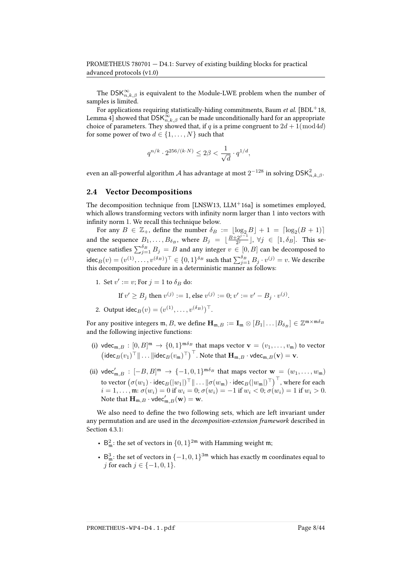The  $\mathsf{DSK}_{n,k,\beta}^\infty$  is equivalent to the Module-LWE problem when the number of samples is limited.

For applications requiring statistically-hiding commitments, Baum et al.  $[BDL+18,$  $[BDL+18,$ Lemma 4] showed that  $\mathsf{DSK}_{n,k,\beta}^{\infty}$  can be made unconditionally hard for an appropriate choice of parameters. They showed that, if q is a prime congruent to  $2d + 1 \pmod{4d}$ for some power of two  $d \in \{1, ..., N\}$  such that

$$
q^{n/k} \cdot 2^{256/(k \cdot N)} \leq 2\beta < \frac{1}{\sqrt{d}} \cdot q^{1/d},
$$

even an all-powerful algorithm  ${\cal A}$  has advantage at most  $2^{-128}$  in solving  $\mathsf{DSK}^2_{n,k,\beta}.$ 

### 2.4 Vector Decompositions

The decomposition technique from [\[LNSW13,](#page-41-2)  $LLM<sup>+</sup>16a$  $LLM<sup>+</sup>16a$ ] is sometimes employed, which allows transforming vectors with infinity norm larger than 1 into vectors with infinity norm 1. We recall this technique below.

For any  $B \in \mathbb{Z}_+$ , define the number  $\delta_B := \lfloor \log_2 B \rfloor + 1 = \lceil \log_2(B + 1) \rceil$ and the sequence  $B_1, \ldots, B_{\delta_B}$ , where  $B_j = \lfloor \frac{B+2^{j-1}}{2^j} \rfloor$ ,  $\forall j \in [1, \delta_B]$ . This sequence satisfies  $\sum_{j=1}^{\delta_B} B_j = B$  and any integer  $v \in [0,B]$  can be decomposed to  $\mathsf{idec}_B(v) = (v^{(1)}, \dots, v^{(\delta_B)})^\top \in \{0,1\}^{\delta_B}$  such that  $\sum_{j=1}^{\delta_B} B_j \cdot v^{(j)} = v$ . We describe this decomposition procedure in a deterministic manner as follows:

1. Set  $v' := v$ ; For  $j = 1$  to  $\delta_B$  do:

If 
$$
v' \ge B_j
$$
 then  $v^{(j)} := 1$ , else  $v^{(j)} := 0$ ;  $v' := v' - B_j \cdot v^{(j)}$ .

2. Output  $\text{idec}_B(v) = (v^{(1)}, \dots, v^{(\delta_B)})^{\top}$ .

For any positive integers  $\mathfrak{m},B$ , we define  $\mathbf{H}_{\mathfrak{m},B}:=\mathbf{I}_{\mathfrak{m}}\otimes [B_1|\dots|B_{\delta_B}]\in \mathbb{Z}^{\mathfrak{m}\times \mathfrak{m}\delta_B}$ and the following injective functions:

- (i) vdec<sub>m, B</sub>:  $[0, B]^{m} \to \{0, 1\}^{m\delta_B}$  that maps vector  $\mathbf{v} = (v_1, \dots, v_m)$  to vector  $\left(\text{idec}_B(v_1)^\top \|\dots\|\text{idec}_B(v_m)^\top\right)^\top$ . Note that  $\mathbf{H}_{m,B} \cdot \text{vdec}_{m,B}(\mathbf{v}) = \mathbf{v}$ .
- (ii) vdec $C_{\mathfrak{m},B}': [-B,B]^\mathfrak{m} \to \{-1,0,1\}^{\mathfrak{m}\delta_B}$  that maps vector  $\mathbf{w} = (w_1,\ldots,w_\mathfrak{m})$ to vector  $\big(\sigma(w_1)\cdot\mathsf{idec}_B(|w_1|)^\top\|\dots\|\sigma(w_\mathfrak{m})\cdot\mathsf{idec}_B(|w_\mathfrak{m}|)^\top\big)^\top,$  where for each  $i = 1, \ldots, \mathfrak{m}: \sigma(w_i) = 0$  if  $w_i = 0; \sigma(w_i) = -1$  if  $w_i < 0; \sigma(w_i) = 1$  if  $w_i > 0$ . Note that  $\mathbf{H}_{\mathfrak{m},B} \cdot \text{vdec}'_{\mathfrak{m},B}(\mathbf{w}) = \mathbf{w}$ .

We also need to define the two following sets, which are left invariant under any permutation and are used in the decomposition-extension framework described in Section [4.3.1:](#page-14-0)

- $B_m^2$ : the set of vectors in  $\{0,1\}^{2m}$  with Hamming weight  $m$ ;
- $B_m^3$ : the set of vectors in  $\{-1,0,1\}^{3m}$  which has exactly  $m$  coordinates equal to *j* for each *j* ∈ {-1, 0, 1}.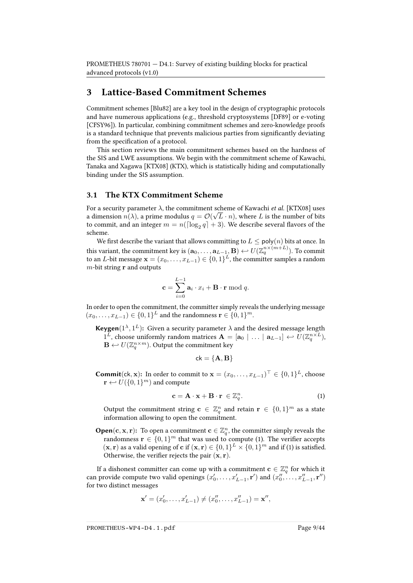## <span id="page-8-0"></span>3 Lattice-Based Commitment Schemes

Commitment schemes [\[Blu82\]](#page-37-3) are a key tool in the design of cryptographic protocols and have numerous applications (e.g., threshold cryptosystems [\[DF89\]](#page-39-1) or e-voting [\[CFSY96\]](#page-38-4)). In particular, combining commitment schemes and zero-knowledge proofs is a standard technique that prevents malicious parties from significantly deviating from the specification of a protocol.

This section reviews the main commitment schemes based on the hardness of the SIS and LWE assumptions. We begin with the commitment scheme of Kawachi, Tanaka and Xagawa [\[KTX08\]](#page-40-2) (KTX), which is statistically hiding and computationally binding under the SIS assumption.

### 3.1 The KTX Commitment Scheme

For a security parameter  $\lambda$ , the commitment scheme of Kawachi *et al.* [\[KTX08\]](#page-40-2) uses a dimension  $n(\lambda)$ , a prime modulus  $q = \mathcal{O}(\sqrt{L} \cdot n)$ , where  $L$  is the number of bits to commit, and an integer  $m = n(\lceil \log_2 q \rceil + 3)$ . We describe several flavors of the scheme.

We first describe the variant that allows committing to  $L \leq \text{poly}(n)$  bits at once. In this variant, the commitment key is  $({\bf a}_0,\ldots,{\bf a}_{L-1},{\bf B}) \leftarrow U(\mathbb{Z}_q^{n\times (m+L)}).$  To commit to an  $L$ -bit message  $\mathbf{x}=(x_0,\ldots,x_{L-1})\in\{0,1\}^L$ , the committer samples a random  $m$ -bit string **r** and outputs

$$
\mathbf{c} = \sum_{i=0}^{L-1} \mathbf{a}_i \cdot x_i + \mathbf{B} \cdot \mathbf{r} \bmod q.
$$

In order to open the commitment, the committer simply reveals the underlying message  $(x_0, \ldots, x_{L-1}) \in \{0,1\}^L$  and the randomness  $\mathbf{r} \in \{0,1\}^m$ .

**Keygen**( $1^{\lambda}, 1^L$ ): Given a security parameter  $\lambda$  and the desired message length  $1^{\overline{L}}$ , choose uniformly random matrices  $\mathbf{A} = [\mathbf{a}_0 \mid \dots \mid \mathbf{a}_{L-1}] \leftarrow U(\mathbb{Z}_q^{n \times \overline{L}})$ ,  $\mathbf{B} \leftarrow U(\mathbb{Z}_q^{n \times m})$ . Output the commitment key

$$
\mathsf{ck} = \{ \mathbf{A}, \mathbf{B} \}
$$

**Commit**(ck, x): In order to commit to  $\mathbf{x} = (x_0, \dots, x_{L-1})^\top \in \{0, 1\}^L$ , choose  $\mathbf{r} \leftarrow U(\{0, 1\}^m)$  and compute

<span id="page-8-1"></span>
$$
\mathbf{c} = \mathbf{A} \cdot \mathbf{x} + \mathbf{B} \cdot \mathbf{r} \in \mathbb{Z}_q^n. \tag{1}
$$

Output the commitment string  $\mathbf{c} \in \mathbb{Z}_q^n$  and retain  $\mathbf{r} \in \{0,1\}^m$  as a state information allowing to open the commitment.

**Open**(**c**, **x**, **r**): To open a commitment  $\mathbf{c} \in \mathbb{Z}_q^n$ , the committer simply reveals the randomness  $\mathbf{r} \in \{0,1\}^m$  that was used to compute [\(1\)](#page-8-1). The verifier accepts  $(\mathbf{x}, \mathbf{r})$  as a valid opening of **c** if  $(\mathbf{x}, \mathbf{r}) \in \{0, 1\}^L \times \{0, 1\}^m$  and if [\(1\)](#page-8-1) is satisfied. Otherwise, the verifier rejects the pair  $(\mathbf{x}, \mathbf{r})$ .

If a dishonest committer can come up with a commitment  $\mathbf{c} \in \mathbb{Z}_q^n$  for which it can provide compute two valid openings  $(x'_0, \ldots, x'_{L-1}, \mathbf{r}')$  and  $(x''_0, \ldots, x''_{L-1}, \mathbf{r}'')$ for two distinct messages

$$
\mathbf{x}' = (x'_0, \dots, x'_{L-1}) \neq (x''_0, \dots, x''_{L-1}) = \mathbf{x}'',
$$

PROMETHEUS-WP4-D4.1.pdf Page 9/44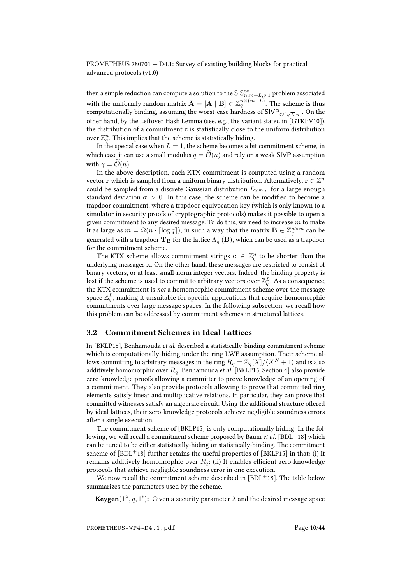then a simple reduction can compute a solution to the  $\mathsf{SIS}^\infty_{n,m+L,q,1}$  problem associated with the uniformly random matrix  $\bar{\textbf{A}} = [\textbf{A}\mid\textbf{B}]\in \mathbb{Z}_q^{n\times (m+L)}.$  The scheme is thus computationally binding, assuming the worst-case hardness of SIVP $\tilde{\mathcal{O}}(\sqrt{L}n)$ . On the other hand, by the Leftover Hash Lemma (see, e.g., the variant stated in [\[GTKPV10\]](#page-40-3)), the distribution of a commitment c is statistically close to the uniform distribution over  $\mathbb{Z}_q^n$ . This implies that the scheme is statistically hiding.

In the special case when  $L = 1$ , the scheme becomes a bit commitment scheme, in which case it can use a small modulus  $q = \tilde{\mathcal{O}}(n)$  and rely on a weak SIVP assumption with  $\gamma = \widetilde{\mathcal{O}}(n)$ .

In the above description, each KTX commitment is computed using a random vector  ${\bf r}$  which is sampled from a uniform binary distribution. Alternatively,  ${\bf r}\in\mathbb Z^n$ could be sampled from a discrete Gaussian distribution  $D_{\mathbb{Z}^m,\sigma}$  for a large enough standard deviation  $\sigma > 0$ . In this case, the scheme can be modified to become a trapdoor commitment, where a trapdoor equivocation key (which is only known to a simulator in security proofs of cryptographic protocols) makes it possible to open a given commitment to any desired message. To do this, we need to increase  $m$  to make it as large as  $m = \Omega(n \cdot \lceil \log q \rceil)$ , in such a way that the matrix  $\mathbf{B} \in \mathbb{Z}_q^{n \times m}$  can be generated with a trapdoor  $\bf{T_B}$  for the lattice  $\Lambda^\perp_q(\bf{B})$ , which can be used as a trapdoor for the commitment scheme.

The KTX scheme allows commitment strings  $\mathbf{c} \in \mathbb{Z}_q^n$  to be shorter than the underlying messages x. On the other hand, these messages are restricted to consist of binary vectors, or at least small-norm integer vectors. Indeed, the binding property is lost if the scheme is used to commit to arbitrary vectors over  $\mathbb{Z}_q^L$ . As a consequence, the KTX commitment is not a homomorphic commitment scheme over the message space  $\mathbb{Z}_q^L$ , making it unsuitable for specific applications that require homomorphic commitments over large message spaces. In the following subsection, we recall how this problem can be addressed by commitment schemes in structured lattices.

## 3.2 Commitment Schemes in Ideal Lattices

In [\[BKLP15\]](#page-37-4), Benhamouda et al. described a statistically-binding commitment scheme which is computationally-hiding under the ring LWE assumption. Their scheme allows committing to arbitrary messages in the ring  $R_q = \mathbb{Z}_q[X]/\langle X^N + 1 \rangle$  and is also additively homomorphic over  $R_q$ . Benhamouda et al. [\[BKLP15,](#page-37-4) Section 4] also provide zero-knowledge proofs allowing a committer to prove knowledge of an opening of a commitment. They also provide protocols allowing to prove that committed ring elements satisfy linear and multiplicative relations. In particular, they can prove that committed witnesses satisfy an algebraic circuit. Using the additional structure offered by ideal lattices, their zero-knowledge protocols achieve negligible soundness errors after a single execution.

The commitment scheme of [\[BKLP15\]](#page-37-4) is only computationally hiding. In the following, we will recall a commitment scheme proposed by Baum *et al.* [\[BDL](#page-36-2)<sup>+</sup>18] which can be tuned to be either statistically-hiding or statistically-binding. The commitment scheme of  $[BDL+18]$  $[BDL+18]$  further retains the useful properties of  $[BKLP15]$  in that: (i) It remains additively homomorphic over  $R_q$ ; (ii) It enables efficient zero-knowledge protocols that achieve negligible soundness error in one execution.

We now recall the commitment scheme described in  $[BDL+18]$  $[BDL+18]$ . The table below summarizes the parameters used by the scheme.

**Keygen**( $1^{\lambda}, q, 1^{\ell}$ ): Given a security parameter  $\lambda$  and the desired message space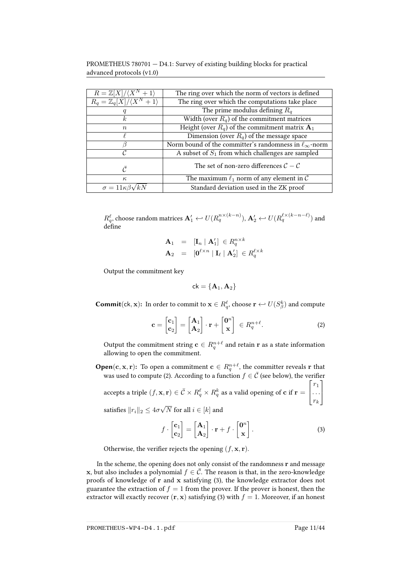PROMETHEUS 780701 — D4.1: Survey of existing building blocks for practical advanced protocols (v1.0)

| $R=\mathbb{Z}[X]/\langle X^N+1\rangle$       | The ring over which the norm of vectors is defined                |  |  |  |
|----------------------------------------------|-------------------------------------------------------------------|--|--|--|
| $R_q = \mathbb{Z}_q[X]/\langle X^N+1\rangle$ | The ring over which the computations take place                   |  |  |  |
|                                              | The prime modulus defining $R_a$                                  |  |  |  |
| k.                                           | Width (over $R_q$ ) of the commitment matrices                    |  |  |  |
| $n_{\rm c}$                                  | Height (over $R_q$ ) of the commitment matrix $A_1$               |  |  |  |
|                                              | Dimension (over $R_q$ ) of the message space                      |  |  |  |
|                                              | Norm bound of the committer's randomness in $\ell_{\infty}$ -norm |  |  |  |
| C                                            | A subset of $S_1$ from which challenges are sampled               |  |  |  |
| $\curvearrowright$                           | The set of non-zero differences $C - C$                           |  |  |  |
| $\kappa$                                     | The maximum $\ell_1$ norm of any element in C                     |  |  |  |
| $\sigma = 11\kappa\beta\gamma$               | Standard deviation used in the ZK proof                           |  |  |  |

 $R^{\ell}_q$ , choose random matrices  $\mathbf{A}'_1 \hookleftarrow U(R^{n\times (k-n)}_q), \mathbf{A}'_2 \hookleftarrow U(R^{\ell\times (k-n-\ell)}_q)$  and define

$$
\begin{array}{rcl}\n\mathbf{A}_1 & = & [\mathbf{I}_n \mid \mathbf{A}'_1] \in R_q^{n \times k} \\
\mathbf{A}_2 & = & [\mathbf{0}^{\ell \times n} \mid \mathbf{I}_{\ell} \mid \mathbf{A}'_2] \in R_q^{\ell \times k}\n\end{array}
$$

Output the commitment key

 $ck = {A_1, A_2}$ 

 $\textbf{Commit}(\textsf{ck},\textbf{x})\text{:}~~\text{In order to commit to }\textbf{x}\in R_{q}^{\ell}, \text{choose }\textbf{r}\hookrightarrow U(S_{\beta}^{k})~\text{and compute}$ 

<span id="page-10-0"></span>
$$
\mathbf{c} = \begin{bmatrix} \mathbf{c}_1 \\ \mathbf{c}_2 \end{bmatrix} = \begin{bmatrix} \mathbf{A}_1 \\ \mathbf{A}_2 \end{bmatrix} \cdot \mathbf{r} + \begin{bmatrix} \mathbf{0}^n \\ \mathbf{x} \end{bmatrix} \in R_q^{n+\ell}.
$$
 (2)

Output the commitment string  $\mathbf{c} \in R^{n+\ell}_q$  and retain  $\mathbf{r}$  as a state information allowing to open the commitment.

 $\mathbf{Open}(\mathbf{c}, \mathbf{x}, \mathbf{r})$ : To open a commitment  $\mathbf{c} \in R^{n+\ell}_{q}$ , the committer reveals  $\mathbf r$  that was used to compute [\(2\)](#page-10-0). According to a function  $f \in \overline{C}$  (see below), the verifier accepts a triple  $(f,\mathbf{x},\mathbf{r})\in \bar{\mathcal{C}}\times R^{\ell}_q\times R^k_q$  as a valid opening of  $\mathbf{c}$  if  $\mathbf{r}=$  $\sqrt{ }$  $\overline{\phantom{a}}$  $r_1$ . . .  $r_k$ 1  $\overline{1}$ 

satisfies  $||r_i||_2 \leq 4\sigma$ √  $N$  for all  $i ∈ [k]$  and

<span id="page-10-1"></span>
$$
f \cdot \begin{bmatrix} \mathbf{c}_1 \\ \mathbf{c}_2 \end{bmatrix} = \begin{bmatrix} \mathbf{A}_1 \\ \mathbf{A}_2 \end{bmatrix} \cdot \mathbf{r} + f \cdot \begin{bmatrix} \mathbf{0}^n \\ \mathbf{x} \end{bmatrix} . \tag{3}
$$

Otherwise, the verifier rejects the opening  $(f, \mathbf{x}, \mathbf{r})$ .

In the scheme, the opening does not only consist of the randomness  $\mathbf r$  and message x, but also includes a polynomial  $f \in \overline{C}$ . The reason is that, in the zero-knowledge proofs of knowledge of r and x satisfying [\(3\)](#page-10-1), the knowledge extractor does not guarantee the extraction of  $f = 1$  from the prover. If the prover is honest, then the extractor will exactly recover  $(r, x)$  satisfying [\(3\)](#page-10-1) with  $f = 1$ . Moreover, if an honest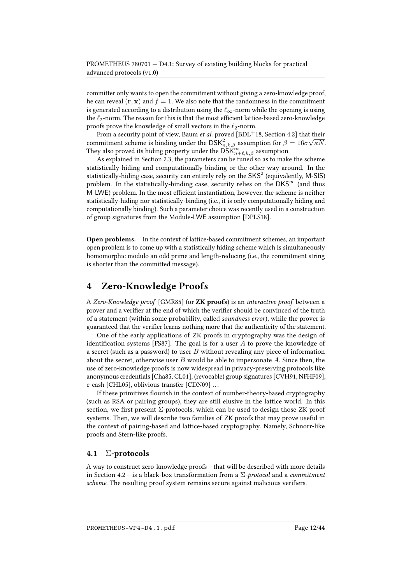committer only wants to open the commitment without giving a zero-knowledge proof, he can reveal  $(\mathbf{r}, \mathbf{x})$  and  $f = 1$ . We also note that the randomness in the commitment is generated according to a distribution using the  $\ell_{\infty}$ -norm while the opening is using the  $\ell_2$ -norm. The reason for this is that the most efficient lattice-based zero-knowledge proofs prove the knowledge of small vectors in the  $\ell_2$ -norm.

From a security point of view, Baum *et al.* proved  $[BDL^+18$  $[BDL^+18$ , Section 4.2] that their commitment scheme is binding under the  $\text{DSK}^2_{n,k,\beta}$  assumption for  $\beta = 16\sigma\sqrt{\kappa N}$ . They also proved its hiding property under the  $\text{DSK}_{n+\ell,k,\beta}^{\infty}$  assumption.

As explained in Section [2.3,](#page-5-0) the parameters can be tuned so as to make the scheme statistically-hiding and computationally binding or the other way around. In the statistically-hiding case, security can entirely rely on the SKS<sup>2</sup> (equivalently, M-SIS) problem. In the statistically-binding case, security relies on the  $DKS^{\infty}$  (and thus M-LWE) problem. In the most efficient instantiation, however, the scheme is neither statistically-hiding nor statistically-binding (i.e., it is only computationally hiding and computationally binding). Such a parameter choice was recently used in a construction of group signatures from the Module-LWE assumption [\[DPLS18\]](#page-39-3).

Open problems. In the context of lattice-based commitment schemes, an important open problem is to come up with a statistically hiding scheme which is simultaneously homomorphic modulo an odd prime and length-reducing (i.e., the commitment string is shorter than the committed message).

## <span id="page-11-0"></span>4 Zero-Knowledge Proofs

A Zero-Knowledge proof [\[GMR85\]](#page-40-4) (or ZK proofs) is an interactive proof between a prover and a verifier at the end of which the verifier should be convinced of the truth of a statement (within some probability, called soundness error), while the prover is guaranteed that the verifier learns nothing more that the authenticity of the statement.

One of the early applications of ZK proofs in cryptography was the design of identification systems [\[FS87\]](#page-39-4). The goal is for a user  $A$  to prove the knowledge of a secret (such as a password) to user  $B$  without revealing any piece of information about the secret, otherwise user  $B$  would be able to impersonate  $A$ . Since then, the use of zero-knowledge proofs is now widespread in privacy-preserving protocols like anonymous credentials [\[Cha85,](#page-38-0) [CL01\]](#page-38-5), (revocable) group signatures [\[CVH91,](#page-39-0) [NFHF09\]](#page-41-4), e-cash [\[CHL05\]](#page-38-1), oblivious transfer [\[CDN09\]](#page-38-6) ...

If these primitives flourish in the context of number-theory-based cryptography (such as RSA or pairing groups), they are still elusive in the lattice world. In this section, we first present  $\Sigma$ -protocols, which can be used to design those ZK proof systems. Then, we will describe two families of ZK proofs that may prove useful in the context of pairing-based and lattice-based cryptography. Namely, Schnorr-like proofs and Stern-like proofs.

## 4.1 Σ-protocols

A way to construct zero-knowledge proofs – that will be described with more details in Section [4.2](#page-12-0) – is a black-box transformation from a  $\Sigma$ -protocol and a commitment scheme. The resulting proof system remains secure against malicious verifiers.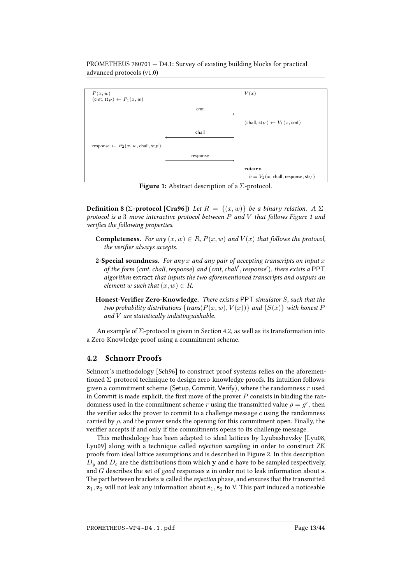

**Figure 1:** Abstract description of a  $\Sigma$ -protocol.

<span id="page-12-1"></span>return

 $b = V_2(x, \text{chall}, \text{response}, \text{st}_V)$ 

**Definition 8 (Σ-protocol [\[Cra96\]](#page-39-5))** Let  $R = \{(x, w)\}\$ be a binary relation. A  $\Sigma$ protocol is a 3-move interactive protocol between  $P$  and  $V$  that follows Figure [1](#page-12-1) and verifies the following properties.

- **Completeness.** For any  $(x, w) \in R$ ,  $P(x, w)$  and  $V(x)$  that follows the protocol, the verifier always accepts.
- 2-Special soundness. For any  $x$  and any pair of accepting transcripts on input  $x$ of the form (cmt, chall, response) and (cmt, chall', response'), there exists a PPT algorithm extract that inputs the two aforementioned transcripts and outputs an element w such that  $(x, w) \in R$ .
- Honest-Verifier Zero-Knowledge. There exists a PPT simulator  $S$ , such that the two probability distributions {trans( $P(x, w)$ ,  $V(x)$ )} and { $S(x)$ } with honest P and  $V$  are statistically indistinguishable.

An example of  $\Sigma$ -protocol is given in Section [4.2,](#page-12-0) as well as its transformation into a Zero-Knowledge proof using a commitment scheme.

## <span id="page-12-0"></span>4.2 Schnorr Proofs

Schnorr's methodology [\[Sch96\]](#page-42-2) to construct proof systems relies on the aforementioned  $\Sigma$ -protocol technique to design zero-knowledge proofs. Its intuition follows: given a commitment scheme (Setup, Commit, Verify), where the randomness  $r$  used in Commit is made explicit, the first move of the prover  $P$  consists in binding the randomness used in the commitment scheme r using the transmitted value  $\rho = g^r$ , then the verifier asks the prover to commit to a challenge message  $c$  using the randomness carried by  $\rho$ , and the prover sends the opening for this commitment open. Finally, the verifier accepts if and only if the commitments opens to its challenge message.

This methodology has been adapted to ideal lattices by Lyubashevsky [\[Lyu08,](#page-41-5) [Lyu09\]](#page-41-6) along with a technique called rejection sampling in order to construct ZK proofs from ideal lattice assumptions and is described in Figure [2.](#page-13-0) In this description  $D_y$  and  $D_c$  are the distributions from which y and c have to be sampled respectively, and  $G$  describes the set of good responses  $z$  in order not to leak information about  $s$ . The part between brackets is called the rejection phase, and ensures that the transmitted  $z_1, z_2$  will not leak any information about  $s_1, s_2$  to V. This part induced a noticeable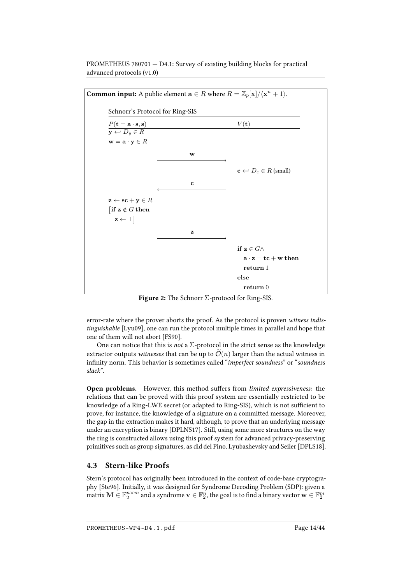<span id="page-13-0"></span>

Figure 2: The Schnorr Σ-protocol for Ring-SIS.

error-rate where the prover aborts the proof. As the protocol is proven witness indistinguishable [\[Lyu09\]](#page-41-6), one can run the protocol multiple times in parallel and hope that one of them will not abort [\[FS90\]](#page-39-6).

One can notice that this is *not* a  $\Sigma$ -protocol in the strict sense as the knowledge extractor outputs witnesses that can be up to  $\tilde{\mathcal{O}}(n)$  larger than the actual witness in infinity norm. This behavior is sometimes called "imperfect soundness" or "soundness slack".

Open problems. However, this method suffers from limited expressiveness: the relations that can be proved with this proof system are essentially restricted to be knowledge of a Ring-LWE secret (or adapted to Ring-SIS), which is not sufficient to prove, for instance, the knowledge of a signature on a committed message. Moreover, the gap in the extraction makes it hard, although, to prove that an underlying message under an encryption is binary [\[DPLNS17\]](#page-39-7). Still, using some more structures on the way the ring is constructed allows using this proof system for advanced privacy-preserving primitives such as group signatures, as did del Pino, Lyubashevsky and Seiler [\[DPLS18\]](#page-39-3).

## 4.3 Stern-like Proofs

Stern's protocol has originally been introduced in the context of code-base cryptography [\[Ste96\]](#page-42-3). Initially, it was designed for Syndrome Decoding Problem (SDP): given a matrix  $\mathbf{M}\in\mathbb{F}_2^{n\times m}$  and a syndrome  $\mathbf{v}\in\mathbb{F}_2^n$ , the goal is to find a binary vector  $\mathbf{w}\in\mathbb{F}_2^m$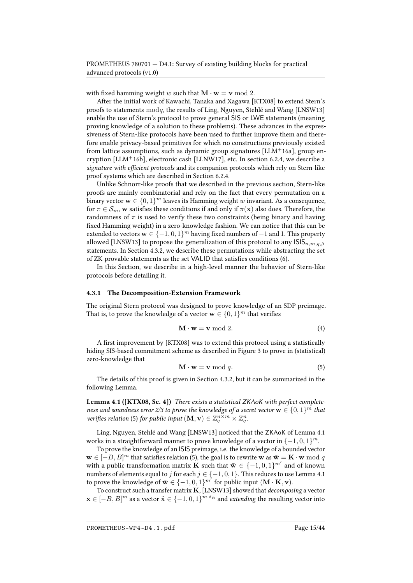with fixed hamming weight w such that  $M \cdot w = v \mod 2$ .

After the initial work of Kawachi, Tanaka and Xagawa [\[KTX08\]](#page-40-2) to extend Stern's proofs to statements  $mod q$ , the results of Ling, Nguyen, Stehlé and Wang [\[LNSW13\]](#page-41-2) enable the use of Stern's protocol to prove general SIS or LWE statements (meaning proving knowledge of a solution to these problems). These advances in the expressiveness of Stern-like protocols have been used to further improve them and therefore enable privacy-based primitives for which no constructions previously existed from lattice assumptions, such as dynamic group signatures  $[LLM+16a]$  $[LLM+16a]$ , group en-cryption [\[LLM](#page-41-7)<sup>+</sup>16b], electronic cash [\[LLNW17\]](#page-41-8), etc. In section [6.2.4,](#page-22-0) we describe a signature with efficient protocols and its companion protocols which rely on Stern-like proof systems which are described in Section [6.2.4.](#page-23-0)

Unlike Schnorr-like proofs that we described in the previous section, Stern-like proofs are mainly combinatorial and rely on the fact that every permutation on a binary vector  $\mathbf{w} \in \{0,1\}^m$  leaves its Hamming weight  $w$  invariant. As a consequence, for  $\pi \in \mathcal{S}_m$ , w satisfies these conditions if and only if  $\pi(\mathbf{x})$  also does. Therefore, the randomness of  $\pi$  is used to verify these two constraints (being binary and having fixed Hamming weight) in a zero-knowledge fashion. We can notice that this can be extended to vectors  $\mathbf{w} \in \{-1,0,1\}^m$  having fixed numbers of  $-1$  and 1. This property allowed [\[LNSW13\]](#page-41-2) to propose the generalization of this protocol to any  $\text{ISI}_{n,m,a,\beta}$ statements. In Section [4.3.2,](#page-15-0) we describe these permutations while abstracting the set of ZK-provable statements as the set VALID that satisfies conditions [\(6\)](#page-15-1).

In this Section, we describe in a high-level manner the behavior of Stern-like protocols before detailing it.

#### <span id="page-14-0"></span>4.3.1 The Decomposition-Extension Framework

The original Stern protocol was designed to prove knowledge of an SDP preimage. That is, to prove the knowledge of a vector  $\mathbf{w} \in \{0,1\}^m$  that verifies

$$
\mathbf{M} \cdot \mathbf{w} = \mathbf{v} \bmod 2. \tag{4}
$$

A first improvement by [\[KTX08\]](#page-40-2) was to extend this protocol using a statistically hiding SIS-based commitment scheme as described in Figure [3](#page-15-2) to prove in (statistical) zero-knowledge that

<span id="page-14-1"></span>
$$
\mathbf{M} \cdot \mathbf{w} = \mathbf{v} \bmod q. \tag{5}
$$

The details of this proof is given in Section [4.3.2,](#page-15-0) but it can be summarized in the following Lemma.

<span id="page-14-2"></span>Lemma 4.1 ([\[KTX08,](#page-40-2) Se. 4]) There exists a statistical ZKAoK with perfect completeness and soundness error 2/3 to prove the knowledge of a secret vector  $\mathbf{w} \in \{0,1\}^m$  that verifies relation [\(5\)](#page-14-1) for public input  $(M, v) \in \mathbb{Z}_q^{n \times m} \times \mathbb{Z}_q^n$ .

Ling, Nguyen, Stehlé and Wang [\[LNSW13\]](#page-41-2) noticed that the ZKAoK of Lemma [4.1](#page-14-2) works in a straightforward manner to prove knowledge of a vector in  $\{-1,0,1\}^m$ .

To prove the knowledge of an ISIS preimage, i.e. the knowledge of a bounded vector  $\mathbf{w} \in [-B, B]^m$  that satisfies relation [\(5\)](#page-14-1), the goal is to rewrite  $\mathbf{w}$  as  $\bar{\mathbf{w}} = \mathbf{K} \cdot \mathbf{w} \bmod q$ with a public transformation matrix **K** such that  $\bar{\mathbf{w}} \in \{-1,0,1\}^{m'}$  and of known numbers of elements equal to  $j$  for each  $j \in \{-1,0,1\}$ . This reduces to use Lemma [4.1](#page-14-2) to prove the knowledge of  $\bar{\mathbf{w}} \in \{-1,0,1\}^{m^{\prime}}$  for public input  $(\mathbf{M} \cdot \mathbf{K}, \mathbf{v})$ .

To construct such a transfer matrix  $K$ , [\[LNSW13\]](#page-41-2) showed that decomposing a vector  $\mathbf{x} \in [-B, B]^m$  as a vector  $\tilde{\mathbf{x}} \in \{-1, 0, 1\}^{m \cdot \delta_B}$  and *extending* the resulting vector into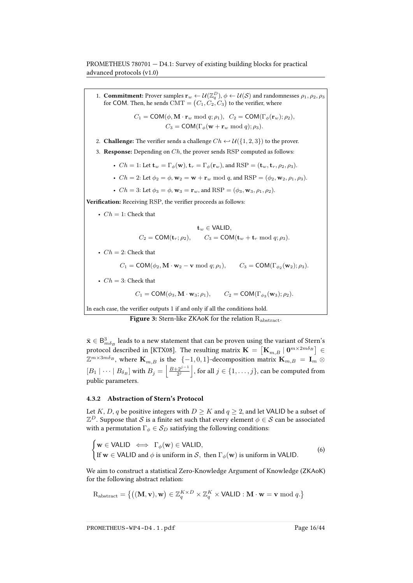1. **Commitment:** Prover samples  $\mathbf{r}_w \leftarrow \mathcal{U}(\mathbb{Z}_q^D)$ ,  $\phi \leftarrow \mathcal{U}(\mathcal{S})$  and randomnesses  $\rho_1, \rho_2, \rho_3$ for COM. Then, he sends  $\text{CMT} = \big( C_1, C_2, C_3 \big)$  to the verifier, where

$$
C_1 = \text{COM}(\phi, \mathbf{M} \cdot \mathbf{r}_w \bmod q; \rho_1), \quad C_2 = \text{COM}(\Gamma_{\phi}(\mathbf{r}_w); \rho_2),
$$
  

$$
C_3 = \text{COM}(\Gamma_{\phi}(\mathbf{w} + \mathbf{r}_w \bmod q); \rho_3).
$$

2. **Challenge:** The verifier sends a challenge  $Ch \leftrightarrow \mathcal{U}(\{1, 2, 3\})$  to the prover.

- 3. **Response:** Depending on  $Ch$ , the prover sends RSP computed as follows:
	- $Ch = 1$ : Let  $\mathbf{t}_w = \Gamma_{\phi}(\mathbf{w}), \mathbf{t}_r = \Gamma_{\phi}(\mathbf{r}_w)$ , and  $\text{RSP} = (\mathbf{t}_w, \mathbf{t}_r, \rho_2, \rho_3)$ .
	- $Ch = 2$ : Let  $\phi_2 = \phi$ ,  $w_2 = w + r_w \mod q$ , and  $RSP = (\phi_2, w_2, \rho_1, \rho_3)$ .
	- $Ch = 3$ : Let  $\phi_3 = \phi$ ,  $\mathbf{w}_3 = \mathbf{r}_w$ , and  $RSP = (\phi_3, \mathbf{w}_3, \rho_1, \rho_2)$ .

Verification: Receiving RSP, the verifier proceeds as follows:

•  $Ch = 1$ : Check that

$$
\mathbf{t}_{w} \in \text{VALID},
$$
  

$$
C_2 = \text{COM}(\mathbf{t}_r; \rho_2), \qquad C_3 = \text{COM}(\mathbf{t}_w + \mathbf{t}_r \bmod q; \rho_3).
$$

- $Ch = 2$ : Check that
	- $C_1 = \text{COM}(\phi_2, \mathbf{M} \cdot \mathbf{w}_2 \mathbf{v} \bmod q; \rho_1), \qquad C_3 = \text{COM}(\Gamma_{\phi_2}(\mathbf{w}_2); \rho_3).$
- $Ch = 3$ : Check that

<span id="page-15-2"></span>
$$
C_1 = \text{COM}(\phi_3, \mathbf{M} \cdot \mathbf{w}_3; \rho_1), \qquad C_2 = \text{COM}(\Gamma_{\phi_3}(\mathbf{w}_3); \rho_2).
$$

In each case, the verifier outputs  $1$  if and only if all the conditions hold.

Figure 3: Stern-like ZKAoK for the relation R<sub>abstract</sub>.

 $\bar{\mathbf{x}} \in \mathsf{B}_{m \delta_B}^3$  leads to a new statement that can be proven using the variant of Stern's protocol described in [\[KTX08\]](#page-40-2). The resulting matrix  $\mathbf{K}=\left[\mathbf{K}_{m,B}\mid\mathbf{0}^{m\times 2m\delta_B}\right]\in$  $\mathbb{Z}^{m \times 3m\delta_B},$  where  $\mathbf{K}_{m,B}$  is the  $\{-1,0,1\}$ -decomposition matrix  $\mathbf{K}_{m,B} \ = \ \mathbf{I}_m \otimes \mathbf{I}_m$  $[B_1\mid \cdots \mid B_{\delta_B}]$  with  $B_j=\left\lfloor\frac{B+2^{j-1}}{2^j}\right\rfloor$ , for all  $j\in\{1,\ldots,j\}$ , can be computed from public parameters.

#### <span id="page-15-0"></span>4.3.2 Abstraction of Stern's Protocol

Let K, D, q be positive integers with  $D \geq K$  and  $q \geq 2$ , and let VALID be a subset of  $\mathbb{Z}^D.$  Suppose that  $\mathcal S$  is a finite set such that every element  $\phi \in \mathcal S$  can be associated with a permutation  $\Gamma_{\phi} \in S_D$  satisfying the following conditions:

<span id="page-15-1"></span>
$$
\begin{cases} \mathbf{w} \in \text{VALID} \iff \Gamma_{\phi}(\mathbf{w}) \in \text{VALID}, \\ \text{If } \mathbf{w} \in \text{VALID} \text{ and } \phi \text{ is uniform in } \mathcal{S}, \text{ then } \Gamma_{\phi}(\mathbf{w}) \text{ is uniform in VALID.} \end{cases}
$$
 (6)

We aim to construct a statistical Zero-Knowledge Argument of Knowledge (ZKAoK) for the following abstract relation:

$$
R_{abstract} = \left\{ \left( (\mathbf{M}, \mathbf{v}), \mathbf{w} \right) \in \mathbb{Z}_q^{K \times D} \times \mathbb{Z}_q^K \times \text{VALID} : \mathbf{M} \cdot \mathbf{w} = \mathbf{v} \bmod q. \right\}
$$

PROMETHEUS-WP4-D4.1.pdf Page 16/44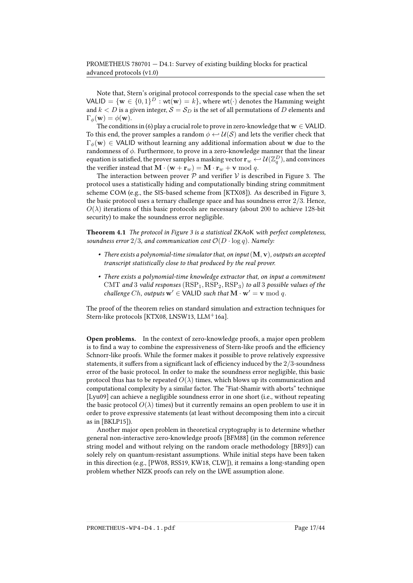Note that, Stern's original protocol corresponds to the special case when the set VALID = { $\mathbf{w} \in \{0,1\}^D : \mathbf{wt}(\mathbf{w}) = k$ }, where  $\mathbf{wt}(\cdot)$  denotes the Hamming weight and  $k < D$  is a given integer,  $S = S_D$  is the set of all permutations of D elements and  $\Gamma_{\phi}(\mathbf{w}) = \phi(\mathbf{w}).$ 

The conditions in [\(6\)](#page-15-1) play a crucial role to prove in zero-knowledge that  $w \in \text{VALID}$ . To this end, the prover samples a random  $\phi \leftrightarrow \mathcal{U}(S)$  and lets the verifier check that  $\Gamma_{\phi}(\mathbf{w}) \in \mathsf{VALID}$  without learning any additional information about w due to the randomness of  $\phi$ . Furthermore, to prove in a zero-knowledge manner that the linear equation is satisfied, the prover samples a masking vector  $\mathbf{r}_w \leftarrow \mathcal{U}(\mathbb{Z}_q^D)$ , and convinces the verifier instead that  $\mathbf{M} \cdot (\mathbf{w} + \mathbf{r}_w) = \mathbf{M} \cdot \mathbf{r}_w + \mathbf{v} \bmod q$ .

The interaction between prover  $P$  and verifier  $V$  is described in Figure [3.](#page-15-2) The protocol uses a statistically hiding and computationally binding string commitment scheme COM (e.g., the SIS-based scheme from [\[KTX08\]](#page-40-2)). As described in Figure [3,](#page-15-2) the basic protocol uses a ternary challenge space and has soundness error 2/3. Hence,  $O(\lambda)$  iterations of this basic protocols are necessary (about 200 to achieve 128-bit security) to make the soundness error negligible.

Theorem 4.1 The protocol in Figure [3](#page-15-2) is a statistical ZKAoK with perfect completeness, soundness error  $2/3$ , and communication cost  $\mathcal{O}(D \cdot \log q)$ . Namely:

- There exists a polynomial-time simulator that, on input  $(M, v)$ , outputs an accepted transcript statistically close to that produced by the real prover.
- There exists a polynomial-time knowledge extractor that, on input a commitment CMT and 3 valid responses  $(RSP<sub>1</sub>, RSP<sub>2</sub>, RSP<sub>3</sub>)$  to all 3 possible values of the challenge Ch, outputs  $w' \in \text{VALID}$  such that  $\mathbf{M} \cdot \mathbf{w}' = \mathbf{v} \bmod q$ .

The proof of the theorem relies on standard simulation and extraction techniques for Stern-like protocols [\[KTX08,](#page-40-2) [LNSW13,](#page-41-2) [LLM](#page-41-3)<sup>+</sup>16a].

Open problems. In the context of zero-knowledge proofs, a major open problem is to find a way to combine the expressiveness of Stern-like proofs and the efficiency Schnorr-like proofs. While the former makes it possible to prove relatively expressive statements, it suffers from a significant lack of efficiency induced by the  $2/3$ -soundness error of the basic protocol. In order to make the soundness error negligible, this basic protocol thus has to be repeated  $O(\lambda)$  times, which blows up its communication and computational complexity by a similar factor. The "Fiat-Shamir with aborts" technique [\[Lyu09\]](#page-41-6) can achieve a negligible soundness error in one short (i.e., without repeating the basic protocol  $O(\lambda)$  times) but it currently remains an open problem to use it in order to prove expressive statements (at least without decomposing them into a circuit as in [\[BKLP15\]](#page-37-4)).

Another major open problem in theoretical cryptography is to determine whether general non-interactive zero-knowledge proofs [\[BFM88\]](#page-36-3) (in the common reference string model and without relying on the random oracle methodology [\[BR93\]](#page-37-5)) can solely rely on quantum-resistant assumptions. While initial steps have been taken in this direction (e.g., [\[PW08,](#page-42-4) [RSS19,](#page-42-5) [KW18,](#page-41-9) [CLW\]](#page-39-8)), it remains a long-standing open problem whether NIZK proofs can rely on the LWE assumption alone.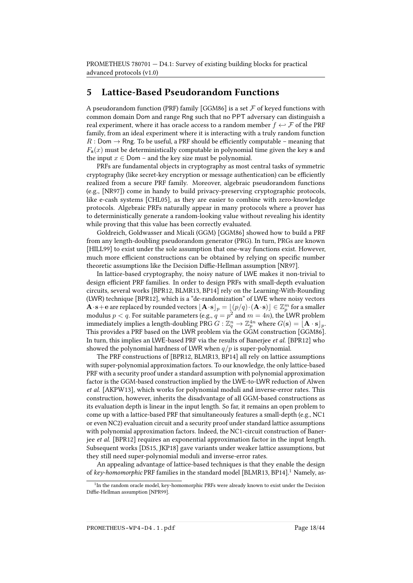## <span id="page-17-0"></span>5 Lattice-Based Pseudorandom Functions

A pseudorandom function (PRF) family [\[GGM86\]](#page-39-9) is a set  $\mathcal F$  of keyed functions with common domain Dom and range Rng such that no PPT adversary can distinguish a real experiment, where it has oracle access to a random member  $f \leftarrow \mathcal{F}$  of the PRF family, from an ideal experiment where it is interacting with a truly random function R : Dom  $\rightarrow$  Rng. To be useful, a PRF should be efficiently computable – meaning that  $F<sub>s</sub>(x)$  must be deterministically computable in polynomial time given the key s and the input  $x \in$  Dom – and the key size must be polynomial.

PRFs are fundamental objects in cryptography as most central tasks of symmetric cryptography (like secret-key encryption or message authentication) can be efficiently realized from a secure PRF family. Moreover, algebraic pseudorandom functions (e.g., [\[NR97\]](#page-42-6)) come in handy to build privacy-preserving cryptographic protocols, like e-cash systems [\[CHL05\]](#page-38-1), as they are easier to combine with zero-knowledge protocols. Algebraic PRFs naturally appear in many protocols where a prover has to deterministically generate a random-looking value without revealing his identity while proving that this value has been correctly evaluated.

Goldreich, Goldwasser and Micali (GGM) [\[GGM86\]](#page-39-9) showed how to build a PRF from any length-doubling pseudorandom generator (PRG). In turn, PRGs are known [\[HILL99\]](#page-40-5) to exist under the sole assumption that one-way functions exist. However, much more efficient constructions can be obtained by relying on specific number theoretic assumptions like the Decision Diffie-Hellman assumption [\[NR97\]](#page-42-6).

In lattice-based cryptography, the noisy nature of LWE makes it non-trivial to design efficient PRF families. In order to design PRFs with small-depth evaluation circuits, several works [\[BPR12,](#page-37-6) [BLMR13,](#page-37-7) [BP14\]](#page-37-8) rely on the Learning-With-Rounding (LWR) technique [\[BPR12\]](#page-37-6), which is a "de-randomization" of LWE where noisy vectors  $\mathbf{A}\cdot\mathbf{s}+\mathbf{e}$  are replaced by rounded vectors  $\lfloor \mathbf{A}\cdot\mathbf{s}\rfloor_p = \lfloor (p/q)\cdot(\mathbf{A}\cdot\mathbf{s})\rfloor\in \mathbb{Z}_p^m$  for a smaller modulus  $p < q.$  For suitable parameters (e.g.,  $q = p^2$  and  $m = 4n$ ), the LWR problem immediately implies a length-doubling PRG  $G: \Zeta^n_q \to \Z_p^{4n}$  where  $G(\mathbf{s}) = \begin{bmatrix} \mathbf{A} \cdot \mathbf{s} \end{bmatrix}_p$ . This provides a PRF based on the LWR problem via the GGM construction [\[GGM86\]](#page-39-9). In turn, this implies an LWE-based PRF via the results of Banerjee et al. [\[BPR12\]](#page-37-6) who showed the polynomial hardness of LWR when  $q/p$  is super-polynomial.

The PRF constructions of [\[BPR12,](#page-37-6) [BLMR13,](#page-37-7) [BP14\]](#page-37-8) all rely on lattice assumptions with super-polynomial approximation factors. To our knowledge, the only lattice-based PRF with a security proof under a standard assumption with polynomial approximation factor is the GGM-based construction implied by the LWE-to-LWR reduction of Alwen et al. [\[AKPW13\]](#page-35-2), which works for polynomial moduli and inverse-error rates. This construction, however, inherits the disadvantage of all GGM-based constructions as its evaluation depth is linear in the input length. So far, it remains an open problem to come up with a lattice-based PRF that simultaneously features a small-depth (e.g., NC1 or even NC2) evaluation circuit and a security proof under standard lattice assumptions with polynomial approximation factors. Indeed, the NC1-circuit construction of Banerjee et al. [\[BPR12\]](#page-37-6) requires an exponential approximation factor in the input length. Subsequent works [\[DS15,](#page-39-10) [JKP18\]](#page-40-6) gave variants under weaker lattice assumptions, but they still need super-polynomial moduli and inverse-error rates.

An appealing advantage of lattice-based techniques is that they enable the design of key-homomorphic PRF families in the standard model [\[BLMR13,](#page-37-7) [BP14\]](#page-37-8).<sup>[1](#page-17-1)</sup> Namely, as-

<span id="page-17-1"></span><sup>&</sup>lt;sup>1</sup>In the random oracle model, key-homomorphic PRFs were already known to exist under the Decision Diffie-Hellman assumption [\[NPR99\]](#page-42-7).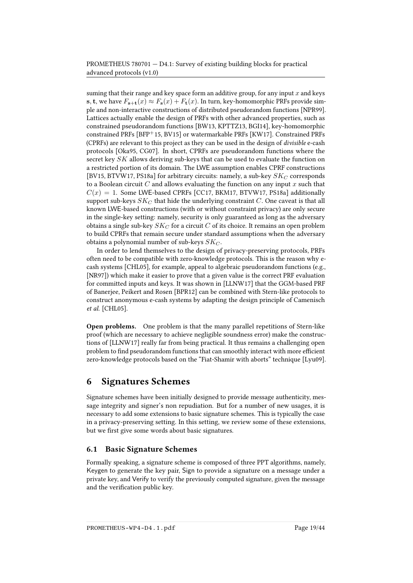suming that their range and key space form an additive group, for any input  $x$  and keys s, t, we have  $F_{s+t}(x) \approx F_s(x) + F_t(x)$ . In turn, key-homomorphic PRFs provide simple and non-interactive constructions of distributed pseudorandom functions [\[NPR99\]](#page-42-7). Lattices actually enable the design of PRFs with other advanced properties, such as constrained pseudorandom functions [\[BW13,](#page-38-7) [KPTTZ13,](#page-40-7) [BGI14\]](#page-36-4), key-homomorphic constrained PRFs [\[BFP](#page-36-5)+15, [BV15\]](#page-38-8) or watermarkable PRFs [\[KW17\]](#page-40-8). Constrained PRFs (CPRFs) are relevant to this project as they can be used in the design of divisible e-cash protocols [\[Oka95,](#page-42-8) [CG07\]](#page-38-9). In short, CPRFs are pseudorandom functions where the secret key  $SK$  allows deriving sub-keys that can be used to evaluate the function on a restricted portion of its domain. The LWE assumption enables CPRF constructions [\[BV15,](#page-38-8) [BTVW17,](#page-37-9) [PS18a\]](#page-42-9) for arbitrary circuits: namely, a sub-key  $SK_C$  corresponds to a Boolean circuit  $C$  and allows evaluating the function on any input  $x$  such that  $C(x) = 1$ . Some LWE-based CPRFs [\[CC17,](#page-38-10) [BKM17,](#page-37-10) [BTVW17,](#page-37-9) [PS18a\]](#page-42-9) additionally support sub-keys  $SK_C$  that hide the underlying constraint  $C$ . One caveat is that all known LWE-based constructions (with or without constraint privacy) are only secure in the single-key setting: namely, security is only guaranteed as long as the adversary obtains a single sub-key  $SK_C$  for a circuit C of its choice. It remains an open problem to build CPRFs that remain secure under standard assumptions when the adversary obtains a polynomial number of sub-keys  $SK_C$ .

In order to lend themselves to the design of privacy-preserving protocols, PRFs often need to be compatible with zero-knowledge protocols. This is the reason why ecash systems [\[CHL05\]](#page-38-1), for example, appeal to algebraic pseudorandom functions (e.g., [\[NR97\]](#page-42-6)) which make it easier to prove that a given value is the correct PRF evaluation for committed inputs and keys. It was shown in [\[LLNW17\]](#page-41-8) that the GGM-based PRF of Banerjee, Peikert and Rosen [\[BPR12\]](#page-37-6) can be combined with Stern-like protocols to construct anonymous e-cash systems by adapting the design principle of Camenisch et al. [\[CHL05\]](#page-38-1).

Open problems. One problem is that the many parallel repetitions of Stern-like proof (which are necessary to achieve negligible soundness error) make the constructions of [\[LLNW17\]](#page-41-8) really far from being practical. It thus remains a challenging open problem to find pseudorandom functions that can smoothly interact with more efficient zero-knowledge protocols based on the "Fiat-Shamir with aborts" technique [\[Lyu09\]](#page-41-6).

# <span id="page-18-0"></span>6 Signatures Schemes

Signature schemes have been initially designed to provide message authenticity, message integrity and signer's non repudiation. But for a number of new usages, it is necessary to add some extensions to basic signature schemes. This is typically the case in a privacy-preserving setting. In this setting, we review some of these extensions, but we first give some words about basic signatures.

## 6.1 Basic Signature Schemes

Formally speaking, a signature scheme is composed of three PPT algorithms, namely, Keygen to generate the key pair, Sign to provide a signature on a message under a private key, and Verify to verify the previously computed signature, given the message and the verification public key.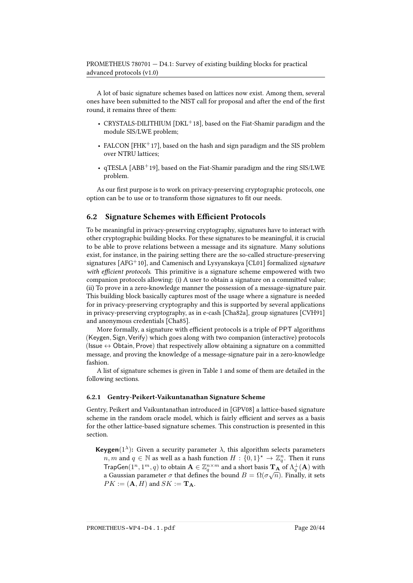A lot of basic signature schemes based on lattices now exist. Among them, several ones have been submitted to the NIST call for proposal and after the end of the first round, it remains three of them:

- CRYSTALS-DILITHIUM  $[DKL+18]$  $[DKL+18]$ , based on the Fiat-Shamir paradigm and the module SIS/LWE problem;
- FALCON [\[FHK](#page-39-12) $+17$ ], based on the hash and sign paradigm and the SIS problem over NTRU lattices;
- $q$ TESLA [\[ABB](#page-35-3)<sup>+</sup>19], based on the Fiat-Shamir paradigm and the ring SIS/LWE problem.

As our first purpose is to work on privacy-preserving cryptographic protocols, one option can be to use or to transform those signatures to fit our needs.

### 6.2 Signature Schemes with Efficient Protocols

To be meaningful in privacy-preserving cryptography, signatures have to interact with other cryptographic building blocks. For these signatures to be meaningful, it is crucial to be able to prove relations between a message and its signature. Many solutions exist, for instance, in the pairing setting there are the so-called structure-preserving signatures  $[AFG<sup>+</sup>10]$  $[AFG<sup>+</sup>10]$ , and Camenisch and Lysyanskaya  $[CL01]$  formalized signature with efficient protocols. This primitive is a signature scheme empowered with two companion protocols allowing: (i) A user to obtain a signature on a committed value; (ii) To prove in a zero-knowledge manner the possession of a message-signature pair. This building block basically captures most of the usage where a signature is needed for in privacy-preserving cryptography and this is supported by several applications in privacy-preserving cryptography, as in e-cash [\[Cha82a\]](#page-38-11), group signatures [\[CVH91\]](#page-39-0) and anonymous credentials [\[Cha85\]](#page-38-0).

More formally, a signature with efficient protocols is a triple of PPT algorithms (Keygen, Sign, Verify) which goes along with two companion (interactive) protocols (Issue  $\leftrightarrow$  Obtain, Prove) that respectively allow obtaining a signature on a committed message, and proving the knowledge of a message-signature pair in a zero-knowledge fashion.

A list of signature schemes is given in Table [1](#page-20-0) and some of them are detailed in the following sections.

### 6.2.1 Gentry-Peikert-Vaikuntanathan Signature Scheme

Gentry, Peikert and Vaikuntanathan introduced in [\[GPV08\]](#page-40-1) a lattice-based signature scheme in the random oracle model, which is fairly efficient and serves as a basis for the other lattice-based signature schemes. This construction is presented in this section.

**Keygen**( $1^{\lambda}$ ): Given a security parameter  $\lambda$ , this algorithm selects parameters  $n, m$  and  $q \in \mathbb{N}$  as well as a hash function  $H : \{0,1\}^* \to \mathbb{Z}_q^n$ . Then it runs TrapGen(1<sup>n</sup>, 1<sup>m</sup>, q) to obtain  $\mathbf{A} \in \mathbb{Z}_q^{n \times m}$  and a short basis  $\mathbf{T}_\mathbf{A}$  of  $\Lambda_q^{\perp}(\mathbf{A})$  with a Gaussian parameter  $\sigma$  that defines the bound  $B = \Omega(\sigma\sqrt{n})$ . Finally, it sets  $PK := (\mathbf{A}, H)$  and  $SK := \mathbf{T}_{\mathbf{A}}$ .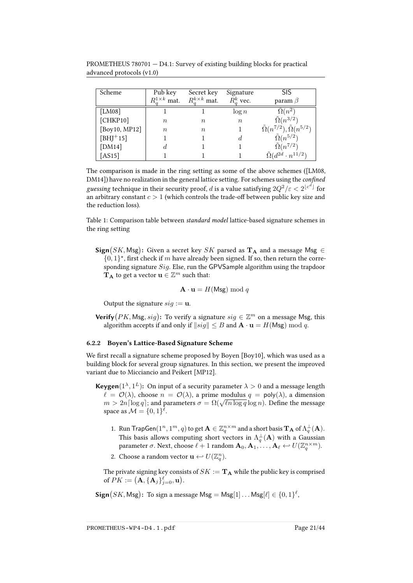| Scheme           | Pub key                       | Secret key               | Signature        | SIS                                                |
|------------------|-------------------------------|--------------------------|------------------|----------------------------------------------------|
|                  | $R_{\sigma}^{1\times k}$ mat. | $R_{a}^{k\times k}$ mat. | $R_a^k$ vec.     | param $\beta$                                      |
| [ $LM08$ ]       |                               |                          | $\log n$         | $\Omega(n^2)$                                      |
| [CHKP10]         | $\it{n}$                      | $\, n$                   | $\boldsymbol{n}$ | $\tilde{\Omega}(n^{3/2})$                          |
| [Boy10, $MP12$ ] | $\it n$                       | $\boldsymbol{n}$         |                  | $\tilde{\Omega}(n^{7/2}), \tilde{\Omega}(n^{5/2})$ |
| $[BHJ+15]$       |                               |                          |                  | $\tilde{\Omega}(n^{5/2})$                          |
| [ $DM14$ ]       | đ.                            |                          |                  | $\tilde{\Omega}(n^{7/2})$                          |
| [AS15]           |                               |                          |                  | $\tilde{\Omega}(d^{2d} \cdot n^{11/2})$            |

PROMETHEUS 780701 — D4.1: Survey of existing building blocks for practical advanced protocols (v1.0)

The comparison is made in the ring setting as some of the above schemes ([\[LM08,](#page-41-10)  $DM14$ ]) have no realization in the general lattice setting. For schemes using the *confined* g*uessin*g technique in their security proof,  $d$  is a value satisfying  $2Q^2/\varepsilon < 2^{\lfloor c^d \rfloor}$  for an arbitrary constant  $c > 1$  (which controls the trade-off between public key size and the reduction loss).

<span id="page-20-0"></span>Table 1: Comparison table between standard model lattice-based signature schemes in the ring setting

 $\operatorname{\mathsf{Sign}}(SK,\mathsf{Msg})\colon$  Given a secret key  $SK$  parsed as  $\mathbf{T}_{\mathbf{A}}$  and a message  $\mathsf{Msg}\in$  $\{0,1\}^*$ , first check if m have already been signed. If so, then return the corresponding signature Sig. Else, run the GPVSample algorithm using the trapdoor  $\mathbf{T}_\mathbf{A}$  to get a vector  $\mathbf{u}\in\mathbb{Z}^m$  such that:

$$
\mathbf{A} \cdot \mathbf{u} = H(\mathsf{Msg}) \bmod q
$$

Output the signature  $sig := u$ .

**Verify**  $(PK, \text{Msg}, sig)$ : To verify a signature  $sig \in \mathbb{Z}^m$  on a message Msg, this algorithm accepts if and only if  $\|sig\| \leq B$  and  $\mathbf{A} \cdot \mathbf{u} = H(Msg) \bmod q$ .

#### 6.2.2 Boyen's Lattice-Based Signature Scheme

We first recall a signature scheme proposed by Boyen [\[Boy10\]](#page-37-11), which was used as a building block for several group signatures. In this section, we present the improved variant due to Micciancio and Peikert [\[MP12\]](#page-41-11).

**Keygen**( $1^{\lambda}, 1^L$ ): On input of a security parameter  $\lambda > 0$  and a message length  $\ell = \mathcal{O}(\lambda)$ , choose  $n = \mathcal{O}(\lambda)$ , a prime modulus  $q = \text{poly}(\lambda)$ , a dimension  $u = O(\lambda)$ , choose  $n = O(\lambda)$ , a prime modulus  $q = \text{poly}(\lambda)$ , a dimension  $m > 2n \lceil \log q \rceil$ ; and parameters  $\sigma = \Omega(\sqrt{\ln \log q} \log n)$ . Define the message space as  $\mathcal{M} = \{0, 1\}^{\ell}$ .

- 1. Run TrapGen $(1^n, 1^m, q)$  to get  $\mathbf{A} \in \mathbb{Z}_q^{n \times m}$  and a short basis  $\mathbf{T}_\mathbf{A}$  of  $\Lambda_q^{\perp}(\mathbf{A})$ . This basis allows computing short vectors in  $\Lambda_q^{\perp}(\mathbf{A})$  with a Gaussian parameter  $\sigma$ . Next, choose  $\ell + 1$  random  $\mathbf{A}_0, \mathbf{A}_1, \ldots, \mathbf{A}_{\ell} \leftarrow U(\mathbb{Z}_q^{n \times m})$ .
- 2. Choose a random vector  $\mathbf{u} \leftarrow U(\mathbb{Z}_q^n)$ .

The private signing key consists of  $S K := {\bf {T_A}}$  while the public key is comprised of  $PK := (\mathbf{A}, \{\mathbf{A}_j\}_{j=0}^{\ell}, \mathbf{u}).$ 

 $\operatorname{\mathsf{Sign}}(SK,\mathsf{Msg})\colon$  To sign a message  $\mathsf{Msg}=\mathsf{Msg}[1] \ldots \mathsf{Msg}[\ell] \in \{0,1\}^\ell,$ 

PROMETHEUS-WP4-D4.1.pdf Page 21/44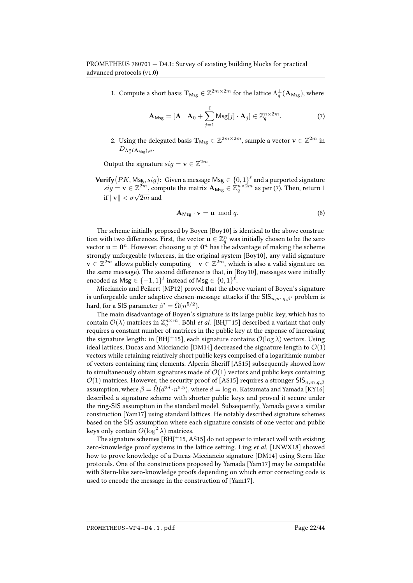1. Compute a short basis  $\mathbf{T}_{\text{Msg}} \in \mathbb{Z}^{2m \times 2m}$  for the lattice  $\Lambda_q^{\perp}(\mathbf{A}_{\text{Msg}})$ , where

<span id="page-21-0"></span>
$$
\mathbf{A}_{\mathrm{Msg}} = [\mathbf{A} \mid \mathbf{A}_0 + \sum_{j=1}^{\ell} \mathrm{Msg}[j] \cdot \mathbf{A}_j] \in \mathbb{Z}_q^{n \times 2m}.
$$
 (7)

2. Using the delegated basis  $\mathbf{T}_{\text{Msg}} \in \mathbb{Z}^{2m \times 2m}$ , sample a vector  $\mathbf{v} \in \mathbb{Z}^{2m}$  in  $D_{\Lambda^{\mathbf{u}}_q(\mathbf{A}_{\mathsf{Msg}}),\sigma}.$ 

Output the signature  $sig = \mathbf{v} \in \mathbb{Z}^{2m}$ .

 $\mathsf{Verify}(PK,\mathsf{Msg},sig) \colon$  Given a message  $\mathsf{Msg} \in \{0,1\}^\ell$  and a purported signature  $sig = \mathbf{v} \in \mathbb{Z}^{2m}$ , compute the matrix  $\mathbf{A}_{\text{Msg}} \in \mathbb{Z}_q^{n \times 2m}$  as per [\(7\)](#page-21-0). Then, return 1  $\text{arg } -\mathbf{v} \in \mathbb{Z} \quad \text{, con}$ <br>if  $\|\mathbf{v}\| < \sigma\sqrt{2m}$  and

$$
\mathbf{A}_{\mathrm{Msg}} \cdot \mathbf{v} = \mathbf{u} \mod q. \tag{8}
$$

The scheme initially proposed by Boyen [\[Boy10\]](#page-37-11) is identical to the above construction with two differences. First, the vector  $\mathbf{u}\in\mathbb{Z}_q^n$  was initially chosen to be the zero vector  $\mathbf{u} = \mathbf{0}^n$ . However, choosing  $\mathbf{u} \neq \mathbf{0}^n$  has the advantage of making the scheme strongly unforgeable (whereas, in the original system [\[Boy10\]](#page-37-11), any valid signature  $\mathbf{v} \in \mathbb{Z}^{2m}$  allows publicly computing  $-\mathbf{v} \in \mathbb{Z}^{2m}$ , which is also a valid signature on the same message). The second difference is that, in [\[Boy10\]](#page-37-11), messages were initially encoded as  $\mathsf{Msg} \in \{-1,1\}^\ell$  instead of  $\mathsf{Msg} \in \{0,1\}^\ell.$ 

Micciancio and Peikert [\[MP12\]](#page-41-11) proved that the above variant of Boyen's signature is unforgeable under adaptive chosen-message attacks if the  $\text{SIS}_{n,m,q,\beta'}$  problem is hard, for a SIS parameter  $\beta'=\tilde{\Omega}(n^{5/2}).$ 

The main disadvantage of Boyen's signature is its large public key, which has to contain  $\mathcal{O}(\lambda)$  matrices in  $\mathbb{Z}_q^{n \times m}$ . Böhl *et al.* [\[BHJ](#page-37-12)<sup>+</sup>15] described a variant that only requires a constant number of matrices in the public key at the expense of increasing the signature length: in [BH]<sup>+</sup>15], each signature contains  $\mathcal{O}(\log \lambda)$  vectors. Using ideal lattices, Ducas and Micciancio [\[DM14\]](#page-39-13) decreased the signature length to  $\mathcal{O}(1)$ vectors while retaining relatively short public keys comprised of a logarithmic number of vectors containing ring elements. Alperin-Sheriff [\[AS15\]](#page-36-6) subsequently showed how to simultaneously obtain signatures made of  $\mathcal{O}(1)$  vectors and public keys containing  $\mathcal{O}(1)$  matrices. However, the security proof of [\[AS15\]](#page-36-6) requires a stronger SIS $_{n,m,q,\beta}$ assumption, where  $\beta=\tilde{\Omega}(d^{2d}\cdot n^{5.5})$ , where  $d=\log n$ . Katsumata and Yamada [\[KY16\]](#page-41-12) described a signature scheme with shorter public keys and proved it secure under the ring-SIS assumption in the standard model. Subsequently, Yamada gave a similar construction [\[Yam17\]](#page-43-0) using standard lattices. He notably described signature schemes based on the SIS assumption where each signature consists of one vector and public keys only contain  $O(\log^2\lambda)$  matrices.

The signature schemes  $[BH]$ <sup>+</sup>15, [AS15\]](#page-36-6) do not appear to interact well with existing zero-knowledge proof systems in the lattice setting. Ling et al. [\[LNWX18\]](#page-41-13) showed how to prove knowledge of a Ducas-Micciancio signature [\[DM14\]](#page-39-13) using Stern-like protocols. One of the constructions proposed by Yamada [\[Yam17\]](#page-43-0) may be compatible with Stern-like zero-knowledge proofs depending on which error correcting code is used to encode the message in the construction of [\[Yam17\]](#page-43-0).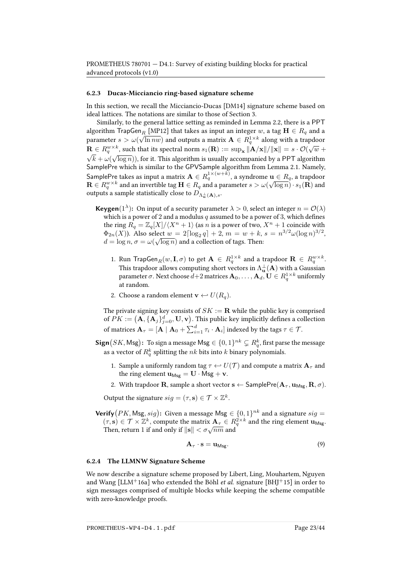#### 6.2.3 Ducas-Micciancio ring-based signature scheme

In this section, we recall the Micciancio-Ducas [\[DM14\]](#page-39-13) signature scheme based on ideal lattices. The notations are similar to those of Section [3.](#page-8-0)

Similarly, to the general lattice setting as reminded in Lemma [2.2,](#page-5-1) there is a PPT algorithm  $\text{TrapGen}_R$  [\[MP12\]](#page-41-11) that takes as input an integer w, a tag  $\mathbf{H} \in R_q$  and a parameter  $s > \omega(\sqrt{\ln n w})$  and outputs a matrix  $\mathbf{A} \in R_4^{1 \times k}$  along with a trapdoor  $\mathbf{R} \in R_q^{w \times k}$ , such that its spectral norm  $s_1(\mathbf{R}) := \sup_{\mathbf{x}} ||\mathbf{A} / \mathbf{x}|| / ||\mathbf{x}|| = s \cdot \mathcal{O}(\sqrt{w} + \sqrt{1 - \mathbf{A} / \mathbf{x}})$  $(k+\omega(\sqrt{\log n})),$  for it. This algorithm is usually accompanied by a <code>PPT</code> algorithm SamplePre which is similar to the GPVSample algorithm from Lemma [2.1.](#page-4-1) Namely, SamplePre takes as input a matrix  $\mathbf{A} \in R_q^{1 \times (w+k)}$ , a syndrome  $\mathbf{u} \in R_q$ , a trapdoor  $\mathbf{R}\in R_q^{w\times k}$  and an invertible tag  $\mathbf{H}\in R_q$  and a parameter  $s>\omega(\sqrt{\log n})\cdot s_1(\mathbf{R})$  and outputs a sample statistically close to  $D_{\Lambda^{\perp}_{\pm}({\bf A}),s}$ .

- **Keygen**(1<sup> $\lambda$ </sup>): On input of a security parameter  $\lambda > 0$ , select an integer  $n = \mathcal{O}(\lambda)$ which is a power of 2 and a modulus q assumed to be a power of 3, which defines the ring  $R_q = \mathbb{Z}_q[X]/\langle X^n + 1 \rangle$  (as n is a power of two,  $X^n + 1$  coincide with  $\Phi_{2n}(X)$ ). Also select  $w = 2\lceil \log_2 q \rceil + 2$ ,  $m = w + k$ ,  $s = n^{3/2} \omega (\log n)^{3/2}$ ,  $d = \log n, \sigma = \omega(\sqrt{\log n})$  and a collection of tags. Then:
	- 1. Run TrapGen $_R(w, I, \sigma)$  to get  $A \in R_q^{1 \times k}$  and a trapdoor  $\mathbf{R} \in R_q^{w \times k}$ . This trapdoor allows computing short vectors in  $\Lambda_{\mathbf{u}}^\perp(\mathbf{A})$  with a Gaussian parameter  $\sigma.$  Next choose  $d{+}2$  matrices  $\mathbf{A}_0,\ldots,\mathbf{A}_d,\mathbf{U}\in R^{1\times k}_q$  uniformly at random.
	- 2. Choose a random element  $\mathbf{v} \leftarrow U(R_a)$ .

The private signing key consists of  $SK := \mathbf{R}$  while the public key is comprised of  $PK := \left(\mathbf{A}, \{\mathbf{A}_j\}_{j=0}^d, \mathbf{U}, \mathbf{v}\right)$ . This public key implicitly defines a collection of matrices  $\mathbf{A}_\tau=[\mathbf{A}\mid\mathbf{A}_0+\sum_{i=1}^d\tau_i\cdot\mathbf{A}_i]$  indexed by the tags  $\tau\in\mathcal{T}.$ 

 $\textsf{Sign}\big(SK,\textsf{Msg}\big)\text{:}\$  To sign a message  $\textsf{Msg}\in\{0,1\}^{nk}\subsetneq R^k_q,$  first parse the message as a vector of  $R_q^k$  splitting the  $nk$  bits into  $k$  binary polynomials.

- 1. Sample a uniformly random tag  $\tau \leftrightarrow U(\mathcal{T})$  and compute a matrix  $\mathbf{A}_{\tau}$  and the ring element  $\mathbf{u}_{\text{Msg}} = \mathbf{U} \cdot \text{Msg} + \mathbf{v}$ .
- 2. With trapdoor **R**, sample a short vector  $\mathbf{s} \leftarrow$  SamplePre( $\mathbf{A}_{\tau}$ ,  $\mathbf{u}_{\text{Msg}}, \mathbf{R}, \sigma$ ).

Output the signature  $sig = (\tau, \mathbf{s}) \in \mathcal{T} \times \mathbb{Z}^k$ .

**Verify**  $(PK, \text{Msg}, sig)$ : Given a message  $\text{Msg} \in \{0, 1\}^{nk}$  and a signature  $sig =$  $(\tau, \mathbf{s}) \in \mathcal{T} \times \mathbb{Z}^k$ , compute the matrix  $\mathbf{A}_{\tau} \in R_q^{2 \times k}$  and the ring element  $\mathbf{u}_{\text{Msg}}$ . (7, s)  $\in$  7  $\times \mathbb{Z}$ , compute the matrix  $\mathbf{A}_{\tau} \in \mathbb{R}$ <br>Then, return 1 if and only if  $||\mathbf{s}|| < \sigma \sqrt{nm}$  and

$$
\mathbf{A}_{\tau} \cdot \mathbf{s} = \mathbf{u}_{\text{Msg}}.\tag{9}
$$

#### <span id="page-22-0"></span>6.2.4 The LLMNW Signature Scheme

We now describe a signature scheme proposed by Libert, Ling, Mouhartem, Nguyen and Wang [\[LLM](#page-41-3)<sup>+</sup>16a] who extended the Böhl *et al.* signature [BH]<sup>+</sup>15] in order to sign messages comprised of multiple blocks while keeping the scheme compatible with zero-knowledge proofs.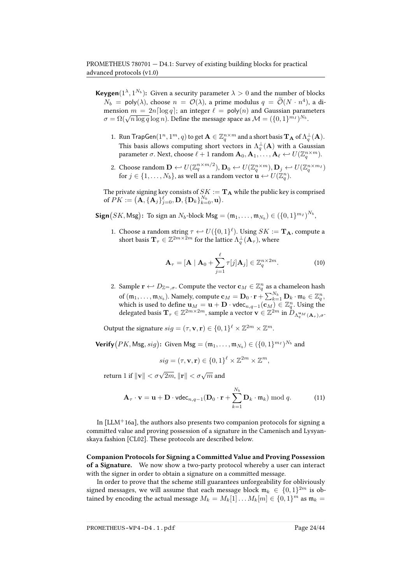**Keygen**( $1^{\lambda}$ ,  $1^{N_b}$ ): Given a security parameter  $\lambda > 0$  and the number of blocks  $N_b$  = poly( $\lambda$ ), choose  $n = \mathcal{O}(\lambda)$ , a prime modulus  $q = \mathcal{O}(N \cdot n^4)$ , a dimension  $m = 2n \lceil \log q \rceil$ ; an integer  $\ell = \text{poly}(n)$  and Gaussian parameters mension  $m = 2n |\log q|$ ; an integer  $\ell = \text{poly}(n)$  and Gaussian parallel  $\sigma = \Omega(\sqrt{n \log q} \log n)$ . Define the message space as  $\mathcal{M} = (\{0, 1\}^{m_I})^{N_b}$ .

- 1. Run TrapGen $(1^n, 1^m, q)$  to get  $\mathbf{A} \in \mathbb{Z}_q^{n \times m}$  and a short basis  $\mathbf{T}_\mathbf{A}$  of  $\Lambda_q^{\perp}(\mathbf{A})$ . This basis allows computing short vectors in  $\Lambda_q^{\perp}(\mathbf{A})$  with a Gaussian parameter  $\sigma$ . Next, choose  $\ell + 1$  random  $\mathbf{A}_0, \mathbf{A}_1, \ldots, \mathbf{A}_{\ell} \leftarrow U(\mathbb{Z}_q^{n \times m})$ .
- 2. Choose random  $\mathbf{D} \leftarrow U(\mathbb{Z}_q^{n \times m/2}), \mathbf{D}_0 \leftarrow U(\mathbb{Z}_q^{n \times m}), \mathbf{D}_j \leftarrow U(\mathbb{Z}_q^{n \times m_1})$ for  $j\in\{1,\ldots,N_b\},$  as well as a random vector  $\mathbf{u}\leftarrow U(\mathbb{Z}_q^n).$

The private signing key consists of  $SK := \mathbf{T}_A$  while the public key is comprised of  $\overline{PK} := (\overline{\mathbf{A}}, \{\overline{\mathbf{A}}_j\}_{j=0}^{\ell}, \mathbf{D}, \{\mathbf{D}_k\}_{k=0}^{N_b}, \mathbf{u}).$ 

 $\textsf{Sign}\big(SK,\textsf{Msg}\big)\text{: To sign an }N_b\text{-block } \textsf{Msg}=(\mathfrak{m}_1,\ldots,\mathfrak{m}_{N_b})\in\left(\{0,1\}^{m_I}\right)^{N_b},$ 

1. Choose a random string  $\tau \leftarrow U({0,1})^{\ell}$ ). Using  $SK := \mathbf{T_A}$ , compute a short basis  $\mathbf{T}_{\tau}\in\mathbb{Z}^{2m\times\bar{2}m}$  for the lattice  $\Lambda_{q}^{\bot}(\mathbf{A}_{\tau}),$  where

<span id="page-23-1"></span>
$$
\mathbf{A}_{\tau} = [\mathbf{A} \mid \mathbf{A}_0 + \sum_{j=1}^{\ell} \tau[j] \mathbf{A}_j] \in \mathbb{Z}_q^{n \times 2m}.
$$
 (10)

2. Sample  $\mathbf{r} \leftarrow D_{\mathbb{Z}^m, \sigma}$ . Compute the vector  $\mathbf{c}_M \in \mathbb{Z}_q^n$  as a chameleon hash of  $(\mathfrak{m}_1,\ldots,\mathfrak{m}_{N_b})$ . Namely, compute  $\mathbf{c}_M=\mathbf{D}_0\cdot\mathbf{r}+\sum_{k=1}^{N_b}\mathbf{D}_k\cdot\mathfrak{m}_k\in\mathbb{Z}_q^n,$ which is used to define  $\mathbf{u}_M = \mathbf{u} + \mathbf{D} \cdot \text{vdec}_{n,q-1}(\mathbf{c}_M) \in \mathbb{Z}_q^n$ . Using the delegated basis  $\mathbf{T}_{\tau}\in\mathbb{Z}^{2m\times2m}$ , sample a vector  $\mathbf{v}\in\mathbb{Z}^{2m}$  in  $D_{\Lambda_q^{u_M}(\mathbf{A}_{\tau}),\sigma}.$ 

Output the signature  $sig = (\tau, \mathbf{v}, \mathbf{r}) \in \{0, 1\}^{\ell} \times \mathbb{Z}^{2m} \times \mathbb{Z}^{m}$ .

 $\mathsf{Verify}(PK,\mathsf{Msg},sig) \colon \operatorname{Given} \, \mathsf{Msg} = (\mathfrak{m}_1, \dots, \mathfrak{m}_{N_b}) \in (\{0,1\}^{m_I})^{N_b}$  and

$$
sig = (\tau, \mathbf{v}, \mathbf{r}) \in \{0, 1\}^{\ell} \times \mathbb{Z}^{2m} \times \mathbb{Z}^{m},
$$

return  $1$  if  $\|\mathbf{v}\| < \sigma\sqrt{2m}, \|\mathbf{r}\| < \sigma\sqrt{m}$  and

$$
\mathbf{A}_{\tau} \cdot \mathbf{v} = \mathbf{u} + \mathbf{D} \cdot \text{vdec}_{n,q-1}(\mathbf{D}_0 \cdot \mathbf{r} + \sum_{k=1}^{N_b} \mathbf{D}_k \cdot \mathfrak{m}_k) \bmod q.
$$
 (11)

In  $[LLM+16a]$  $[LLM+16a]$ , the authors also presents two companion protocols for signing a committed value and proving possession of a signature in the Camenisch and Lysyanskaya fashion [\[CL02\]](#page-38-2). These protocols are described below.

<span id="page-23-0"></span>Companion Protocols for Signing a Committed Value and Proving Possession of a Signature. We now show a two-party protocol whereby a user can interact with the signer in order to obtain a signature on a committed message.

In order to prove that the scheme still guarantees unforgeability for obliviously signed messages, we will assume that each message block  $\mathfrak{m}_k \in \{0,1\}^{2m}$  is obtained by encoding the actual message  $M_k = M_k[1] \dots M_k[m] \in \{0,1\}^m$  as  $\mathfrak{m}_k =$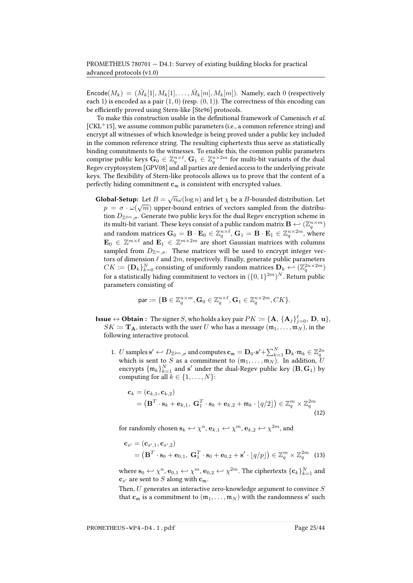$\mathsf{Encode}(M_k) = (\bar{M}_k[1], M_k[1], \ldots, \bar{M}_k[m], M_k[m])$ . Namely, each 0 (respectively each 1) is encoded as a pair  $(1,0)$  (resp.  $(0,1)$ ). The correctness of this encoding can be efficiently proved using Stern-like [\[Ste96\]](#page-42-3) protocols.

To make this construction usable in the definitional framework of Camenisch et al.  $[CKL+15]$  $[CKL+15]$ , we assume common public parameters (i.e., a common reference string) and encrypt all witnesses of which knowledge is being proved under a public key included in the common reference string. The resulting ciphertexts thus serve as statistically binding commitments to the witnesses. To enable this, the common public parameters comprise public keys  $\mathbf{G}_0 \in \mathbb{Z}_q^{n\times \ell},$   $\mathbf{G}_1 \in \mathbb{Z}_q^{n\times 2m}$  for multi-bit variants of the dual Regev cryptosystem [\[GPV08\]](#page-40-1) and all parties are denied access to the underlying private keys. The flexibility of Stern-like protocols allows us to prove that the content of a perfectly hiding commitment  $c_m$  is consistent with encrypted values.

**Global-Setup:** Let  $B = \sqrt{n}\omega(\log n)$  and let  $\chi$  be a B-bounded distribution. Let  $p\,=\,\sigma\cdot\omega(\sqrt{m})$  upper-bound entries of vectors sampled from the distribution  $D_{\mathbb{Z}^{2m},\sigma}$ . Generate two public keys for the dual Regev encryption scheme in its multi-bit variant. These keys consist of a public random matrix  $\mathbf{B} \leftarrow (\mathbb{Z}_q^{n \times m})$ and random matrices  $G_0 = B \cdot E_0 \in \mathbb{Z}_q^{n \times \ell}$ ,  $G_1 = B \cdot E_1 \in \mathbb{Z}_q^{n \times 2m}$ , where  $\mathbf{E}_0 \in \mathbb{Z}^{m \times \ell}$  and  $\mathbf{E}_1 \in \mathbb{Z}^{m \times 2m}$  are short Gaussian matrices with columns sampled from  $D_{\mathbb{Z}^m,\sigma}$ . These matrices will be used to encrypt integer vectors of dimension  $\ell$  and  $2m$ , respectively. Finally, generate public parameters  $CK\coloneqq \{\mathbf{D}_k\}_{k=0}^N$  consisting of uniformly random matrices  $\mathbf{D}_k \leftarrow (\mathbb{Z}_q^{2n\times 2m})$ for a statistically hiding commitment to vectors in  $(\{0,1\}^{2m})^N.$  Return public parameters consisting of

$$
\mathrm{par} \coloneqq \{\mathbf{B} \in \mathbb{Z}_q^{n \times m}, \mathbf{G}_0 \in \mathbb{Z}_q^{n \times \ell}, \mathbf{G}_1 \in \mathbb{Z}_q^{n \times 2m}, CK\}.
$$

**Issue**  $\leftrightarrow$  <code>Obtain</code> : The signer  $S$ , who holds a key pair  $PK \coloneqq \{\mathbf{A}, \, \{\mathbf{A}_j\}_{j=0}^\ell, \, \mathbf{D}, \, \mathbf{u}\},$  $SK \coloneqq \mathbf{T_A}$ , interacts with the user U who has a message  $(\mathfrak{m}_1, \ldots, \mathfrak{m}_N)$ , in the following interactive protocol.

1. U samples  $\mathbf{s}' \leftarrow D_{\mathbb{Z}^{2m},\sigma}$  and computes  $\mathbf{c_m} = \mathbf{D}_0 \cdot \mathbf{s}' + \sum_{k=1}^N \mathbf{D}_k \cdot \mathfrak{m}_k \in \mathbb{Z}_q^{2n}$ which is sent to S as a commitment to  $(\mathfrak{m}_1, \ldots, \overline{\mathfrak{m}_N})$ . In addition, U encrypts  $\{\mathfrak{m}_k\}_{k=1}^N$  and  $\mathbf{s}'$  under the dual-Regev public key  $(\mathbf{B},\mathbf{G}_1)$  by computing for all  $k \in \{1, \ldots, N\}$ :

<span id="page-24-0"></span>
$$
\mathbf{c}_{k} = (\mathbf{c}_{k,1}, \mathbf{c}_{k,2})
$$
  
=  $(\mathbf{B}^{T} \cdot \mathbf{s}_{k} + \mathbf{e}_{k,1}, \mathbf{G}_{1}^{T} \cdot \mathbf{s}_{k} + \mathbf{e}_{k,2} + \mathfrak{m}_{k} \cdot \lfloor q/2 \rfloor) \in \mathbb{Z}_{q}^{m} \times \mathbb{Z}_{q}^{2m}$  (12)

for randomly chosen  $\mathbf{s}_k \leftrightarrow \chi^n, \mathbf{e}_{k,1} \leftrightarrow \chi^m, \mathbf{e}_{k,2} \leftrightarrow \chi^{2m}$ , and

<span id="page-24-1"></span>
$$
\mathbf{c}_{s'} = (\mathbf{c}_{s',1}, \mathbf{c}_{s',2})
$$
  
=  $(\mathbf{B}^T \cdot \mathbf{s}_0 + \mathbf{e}_{0,1}, \ \mathbf{G}_1^T \cdot \mathbf{s}_0 + \mathbf{e}_{0,2} + \mathbf{s}' \cdot [q/p]) \in \mathbb{Z}_q^m \times \mathbb{Z}_q^{2m}$  (13)

where  $\mathbf{s}_0 \hookleftarrow \chi^n\!, \mathbf{e}_{0,1} \hookleftarrow \chi^m\!, \mathbf{e}_{0,2} \hookleftarrow \chi^{2m}\!.$  The ciphertexts  $\{\mathbf{c}_k\}_{k=1}^N$  and  $\mathbf{c}_{s'}$  are sent to S along with  $\mathbf{c}_{\mathfrak{m}}$ .

Then,  $U$  generates an interactive zero-knowledge argument to convince  $S$ that  $\mathbf{c}_\mathfrak{m}$  is a commitment to  $(\mathfrak{m}_1, \ldots, \mathfrak{m}_N)$  with the randomness  $\mathbf{s}'$  such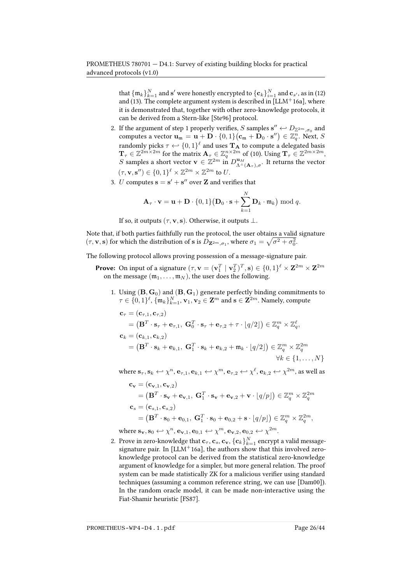that  $\{\mathfrak{m}_k\}_{k=1}^N$  and  $\mathbf{s}'$  were honestly encrypted to  $\{\mathbf{c}_k\}_{i=1}^N$  and  $\mathbf{c}_{s'}$ , as in [\(12\)](#page-24-0) and [\(13\)](#page-24-1). The complete argument system is described in  $[LLM+16a]$  $[LLM+16a]$ , where it is demonstrated that, together with other zero-knowledge protocols, it can be derived from a Stern-like [\[Ste96\]](#page-42-3) protocol.

- 2. If the argument of step 1 properly verifies, S samples  $\mathbf{s}'' \leftarrow D_{\mathbb{Z}^{2m}, \sigma_0}$  and computes a vector  $\mathbf{u}_{\mathfrak{m}} = \mathbf{u} + \mathbf{D} \cdot \{0,1\} (\mathbf{c}_{\mathfrak{m}} + \mathbf{D}_0 \cdot \mathbf{s}'') \in \mathbb{Z}_q^n$ . Next, S randomly picks  $\tau \hookleftarrow \{0,1\}^{\ell}$  and uses  $\mathbf{T}_{\mathbf{A}}$  to compute a delegated basis  $\mathbf{T}_{\tau}\in\mathbb{Z}^{2m\times2m}$  for the matrix  $\mathbf{A}_{\tau}\in\mathbb{Z}_q^{n\times2m}$  of [\(10\)](#page-23-1). Using  $\mathbf{T}_{\tau}\in\mathbb{Z}^{2m\times2m},$ S samples a short vector  $\mathbf{v} \in \mathbb{Z}^{2m}$  in  $D_{\Lambda^{\perp}(\mathbf{A}_{\tau}), \sigma}^{\mathbf{u}_M}$ . It returns the vector  $(\tau, \mathbf{v}, \mathbf{s}'') \in \{0, 1\}^{\ell} \times \mathbb{Z}^{2m} \times \mathbb{Z}^{2m}$  to U.
- 3. *U* computes  $\mathbf{s} = \mathbf{s}' + \mathbf{s}''$  over **Z** and verifies that

$$
\mathbf{A}_{\tau} \cdot \mathbf{v} = \mathbf{u} + \mathbf{D} \cdot \{0, 1\} (\mathbf{D}_0 \cdot \mathbf{s} + \sum_{k=1}^N \mathbf{D}_k \cdot \mathfrak{m}_k) \bmod q.
$$

If so, it outputs ( $\tau$ , **v**, **s**). Otherwise, it outputs  $\bot$ .

Note that, if both parties faithfully run the protocol, the user obtains a valid signature  $(\tau, \mathbf{v}, \mathbf{s})$  for which the distribution of s is  $D_{\mathbf{Z}^{2m}, \sigma_1}$ , where  $\sigma_1 = \sqrt{\sigma^2 + \sigma_0^2}$ .

The following protocol allows proving possession of a message-signature pair.

- **Prove:** On input of a signature  $(\tau, \mathbf{v} = (\mathbf{v}_1^T \mid \mathbf{v}_2^T)^T, \mathbf{s}) \in \{0, 1\}^{\ell} \times \mathbf{Z}^{2m} \times \mathbf{Z}^{2m}$ on the message  $(m_1, \ldots, m_N)$ , the user does the following.
	- 1. Using  $(\mathbf{B}, \mathbf{G}_0)$  and  $(\mathbf{B}, \mathbf{G}_1)$  generate perfectly binding commitments to  $\tau \in \{0,1\}^{\ell}, \{\mathfrak{m}_k\}_{k=1}^N, \mathbf{v}_1, \mathbf{v}_2 \in \mathbf{Z}^m$  and  $\mathbf{s} \in \mathbf{Z}^{2m}$ . Namely, compute

$$
\mathbf{c}_{\tau} = (\mathbf{c}_{\tau,1}, \mathbf{c}_{\tau,2})
$$
  
=  $(\mathbf{B}^T \cdot \mathbf{s}_{\tau} + \mathbf{e}_{\tau,1}, \ \mathbf{G}_0^T \cdot \mathbf{s}_{\tau} + \mathbf{e}_{\tau,2} + \tau \cdot [q/2]) \in \mathbb{Z}_q^m \times \mathbb{Z}_q^{\ell},$   

$$
\mathbf{c}_k = (\mathbf{c}_{k,1}, \mathbf{c}_{k,2})
$$
  
=  $(\mathbf{B}^T \cdot \mathbf{s}_k + \mathbf{e}_{k,1}, \ \mathbf{G}_1^T \cdot \mathbf{s}_k + \mathbf{e}_{k,2} + \mathfrak{m}_k \cdot [q/2]) \in \mathbb{Z}_q^m \times \mathbb{Z}_q^{2m}$   

$$
\forall k \in \{1, ..., N\}
$$

where  $\mathbf{s}_{\tau}, \mathbf{s}_k \leftarrow \chi^n, \mathbf{e}_{\tau,1}, \mathbf{e}_{k,1} \leftarrow \chi^m, \mathbf{e}_{\tau,2} \leftarrow \chi^\ell, \mathbf{e}_{k,2} \leftarrow \chi^{2m}$ , as well as

$$
\mathbf{c}_{\mathbf{v}} = (\mathbf{c}_{\mathbf{v},1}, \mathbf{c}_{\mathbf{v},2})
$$
  
=  $(\mathbf{B}^T \cdot \mathbf{s}_{\mathbf{v}} + \mathbf{e}_{\mathbf{v},1}, \ \mathbf{G}_1^T \cdot \mathbf{s}_{\mathbf{v}} + \mathbf{e}_{\mathbf{v},2} + \mathbf{v} \cdot \lfloor q/p \rfloor) \in \mathbb{Z}_q^m \times \mathbb{Z}_q^{2m}$   

$$
\mathbf{c}_s = (\mathbf{c}_{s,1}, \mathbf{c}_{s,2})
$$
  
=  $(\mathbf{B}^T \cdot \mathbf{s}_0 + \mathbf{e}_{0,1}, \ \mathbf{G}_1^T \cdot \mathbf{s}_0 + \mathbf{e}_{0,2} + \mathbf{s} \cdot \lfloor q/p \rfloor) \in \mathbb{Z}_q^m \times \mathbb{Z}_q^{2m}$ ,

where  $\mathbf{s_v}, \mathbf{s_0} \leftarrow \chi^n, \mathbf{e_{v,1}}, \mathbf{e_{0,1}} \leftarrow \chi^m, \mathbf{e_{v,2}}, \mathbf{e_{0,2}} \leftarrow \chi^{2m}$ .

2. Prove in zero-knowledge that  $\mathbf{c}_{\tau}$ ,  $\mathbf{c}_{s}$ ,  $\mathbf{c}_{v}$ ,  $\{\mathbf{c}_{k}\}_{k=1}^{N}$  encrypt a valid messagesignature pair. In  $[LLM^+16a]$  $[LLM^+16a]$ , the authors show that this involved zeroknowledge protocol can be derived from the statistical zero-knowledge argument of knowledge for a simpler, but more general relation. The proof system can be made statistically ZK for a malicious verifier using standard techniques (assuming a common reference string, we can use [\[Dam00\]](#page-39-14)). In the random oracle model, it can be made non-interactive using the Fiat-Shamir heuristic [\[FS87\]](#page-39-4).

PROMETHEUS-WP4-D4.1.pdf Page 26/44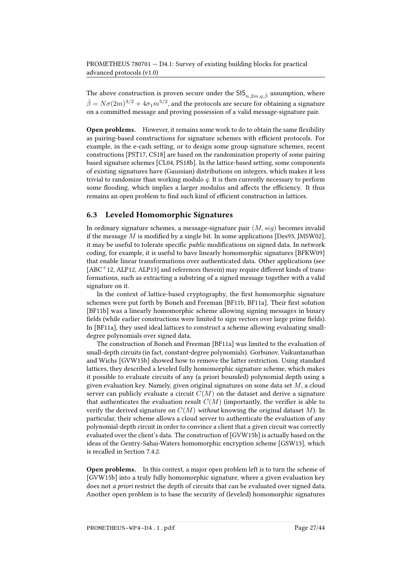The above construction is proven secure under the  $\textsf{SIS}_{n,2m,q,\hat{\beta}}$  assumption, where  $\hat{\beta}=N\sigma(2m)^{3/2}+4\sigma_1m^{3/2},$  and the protocols are secure for obtaining a signature on a committed message and proving possession of a valid message-signature pair.

**Open problems.** However, it remains some work to do to obtain the same flexibility as pairing-based constructions for signature schemes with efficient protocols. For example, in the e-cash setting, or to design some group signature schemes, recent constructions [\[PST17,](#page-42-10) [CS18\]](#page-39-15) are based on the randomization property of some pairing based signature schemes [\[CL04,](#page-38-13) [PS18b\]](#page-42-11). In the lattice-based setting, some components of existing signatures have (Gaussian) distributions on integers, which makes it less trivial to randomize than working modulo  $q$ . It is then currently necessary to perform some flooding, which implies a larger modulus and affects the efficiency. It thus remains an open problem to find such kind of efficient construction in lattices.

## 6.3 Leveled Homomorphic Signatures

In ordinary signature schemes, a message-signature pair  $(M, sig)$  becomes invalid if the message  $M$  is modified by a single bit. In some applications [\[Des93,](#page-39-16) [JMSW02\]](#page-40-9), it may be useful to tolerate specific *public* modifications on signed data. In network coding, for example, it is useful to have linearly homomorphic signatures [\[BFKW09\]](#page-36-7) that enable linear transformations over authenticated data. Other applications (see  $[ABC^+12, ALP12, ALP13]$  $[ABC^+12, ALP12, ALP13]$  $[ABC^+12, ALP12, ALP13]$  $[ABC^+12, ALP12, ALP13]$  $[ABC^+12, ALP12, ALP13]$  and references therein) may require different kinds of transformations, such as extracting a substring of a signed message together with a valid signature on it.

In the context of lattice-based cryptography, the first homomorphic signature schemes were put forth by Boneh and Freeman [\[BF11b,](#page-36-8) [BF11a\]](#page-36-9). Their first solution [\[BF11b\]](#page-36-8) was a linearly homomorphic scheme allowing signing messages in binary fields (while earlier constructions were limited to sign vectors over large prime fields). In [\[BF11a\]](#page-36-9), they used ideal lattices to construct a scheme allowing evaluating smalldegree polynomials over signed data.

The construction of Boneh and Freeman [\[BF11a\]](#page-36-9) was limited to the evaluation of small-depth circuits (in fact, constant-degree polynomials). Gorbunov, Vaikuntanathan and Wichs [\[GVW15b\]](#page-40-10) showed how to remove the latter restriction. Using standard lattices, they described a leveled fully homomorphic signature scheme, which makes it possible to evaluate circuits of any (a priori bounded) polynomial depth using a given evaluation key. Namely, given original signatures on some data set  $M$ , a cloud server can publicly evaluate a circuit  $C(M)$  on the dataset and derive a signature that authenticates the evaluation result  $C(M)$  (importantly, the verifier is able to verify the derived signature on  $C(M)$  without knowing the original dataset M). In particular, their scheme allows a cloud server to authenticate the evaluation of any polynomial-depth circuit in order to convince a client that a given circuit was correctly evaluated over the client's data. The construction of [\[GVW15b\]](#page-40-10) is actually based on the ideas of the Gentry-Sahai-Waters homomorphic encryption scheme [\[GSW13\]](#page-40-11), which is recalled in Section [7.4.2.](#page-32-0)

Open problems. In this context, a major open problem left is to turn the scheme of [\[GVW15b\]](#page-40-10) into a truly fully homomorphic signature, where a given evaluation key does not *a priori* restrict the depth of circuits that can be evaluated over signed data. Another open problem is to base the security of (leveled) homomorphic signatures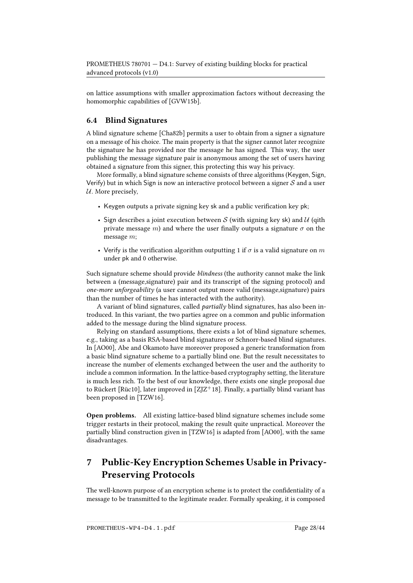on lattice assumptions with smaller approximation factors without decreasing the homomorphic capabilities of [\[GVW15b\]](#page-40-10).

## 6.4 Blind Signatures

A blind signature scheme [\[Cha82b\]](#page-38-14) permits a user to obtain from a signer a signature on a message of his choice. The main property is that the signer cannot later recognize the signature he has provided nor the message he has signed. This way, the user publishing the message signature pair is anonymous among the set of users having obtained a signature from this signer, this protecting this way his privacy.

More formally, a blind signature scheme consists of three algorithms (Keygen, Sign, Verify) but in which Sign is now an interactive protocol between a signer  $S$  and a user  $U$ . More precisely,

- Keygen outputs a private signing key sk and a public verification key pk;
- Sign describes a joint execution between  $S$  (with signing key sk) and  $U$  (qith private message m) and where the user finally outputs a signature  $\sigma$  on the message m;
- Verify is the verification algorithm outputting 1 if  $\sigma$  is a valid signature on m under pk and 0 otherwise.

Such signature scheme should provide *blindness* (the authority cannot make the link between a (message,signature) pair and its transcript of the signing protocol) and one-more unforgeability (a user cannot output more valid (message,signature) pairs than the number of times he has interacted with the authority).

A variant of blind signatures, called partially blind signatures, has also been introduced. In this variant, the two parties agree on a common and public information added to the message during the blind signature process.

Relying on standard assumptions, there exists a lot of blind signature schemes, e.g., taking as a basis RSA-based blind signatures or Schnorr-based blind signatures. In [\[AO00\]](#page-35-8), Abe and Okamoto have moreover proposed a generic transformation from a basic blind signature scheme to a partially blind one. But the result necessitates to increase the number of elements exchanged between the user and the authority to include a common information. In the lattice-based cryptography setting, the literature is much less rich. To the best of our knowledge, there exists one single proposal due to Rückert [\[Rüc10\]](#page-42-12), later improved in  $[Z]Z^+$ 18]. Finally, a partially blind variant has been proposed in [\[TZW16\]](#page-43-2).

Open problems. All existing lattice-based blind signature schemes include some trigger restarts in their protocol, making the result quite unpractical. Moreover the partially blind construction given in [\[TZW16\]](#page-43-2) is adapted from [\[AO00\]](#page-35-8), with the same disadvantages.

# <span id="page-27-0"></span>7 Public-Key Encryption Schemes Usable in Privacy-Preserving Protocols

The well-known purpose of an encryption scheme is to protect the confidentiality of a message to be transmitted to the legitimate reader. Formally speaking, it is composed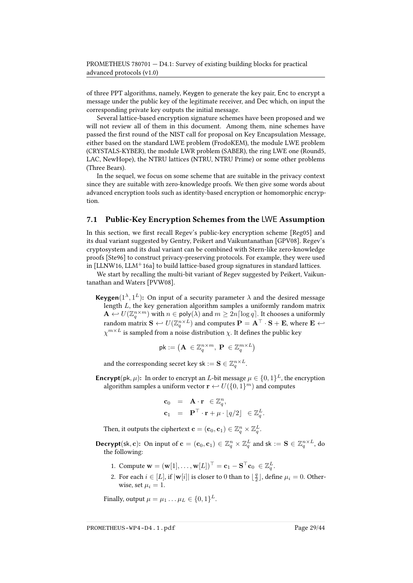of three PPT algorithms, namely, Keygen to generate the key pair, Enc to encrypt a message under the public key of the legitimate receiver, and Dec which, on input the corresponding private key outputs the initial message.

Several lattice-based encryption signature schemes have been proposed and we will not review all of them in this document. Among them, nine schemes have passed the first round of the NIST call for proposal on Key Encapsulation Message, either based on the standard LWE problem (FrodoKEM), the module LWE problem (CRYSTALS-KYBER), the module LWR problem (SABER), the ring LWE one (Round5, LAC, NewHope), the NTRU lattices (NTRU, NTRU Prime) or some other problems (Three Bears).

In the sequel, we focus on some scheme that are suitable in the privacy context since they are suitable with zero-knowledge proofs. We then give some words about advanced encryption tools such as identity-based encryption or homomorphic encryption.

## 7.1 Public-Key Encryption Schemes from the LWE Assumption

In this section, we first recall Regev's public-key encryption scheme [ $Reg05$ ] and its dual variant suggested by Gentry, Peikert and Vaikuntanathan [\[GPV08\]](#page-40-1). Regev's cryptosystem and its dual variant can be combined with Stern-like zero-knowledge proofs [\[Ste96\]](#page-42-3) to construct privacy-preserving protocols. For example, they were used in  $[LLNW16, LLM<sup>+</sup>16a]$  $[LLNW16, LLM<sup>+</sup>16a]$  $[LLNW16, LLM<sup>+</sup>16a]$  to build lattice-based group signatures in standard lattices.

We start by recalling the multi-bit variant of Regev suggested by Peikert, Vaikuntanathan and Waters [\[PVW08\]](#page-42-13).

**Keygen**( $1^{\lambda}$ ,  $1^{\text{L}}$ ): On input of a security parameter  $\lambda$  and the desired message length L, the key generation algorithm samples a uniformly random matrix  $\mathbf{A} \leftarrow U(\mathbb{Z}_q^{n \times m})$  with  $n \in \mathsf{poly}(\lambda)$  and  $m \geq 2n \lceil \log q \rceil$ . It chooses a uniformly random matrix  $\mathbf{S} \leftarrow U(\mathbb{Z}_q^{n \times L})$  and computes  $\mathbf{P} = \mathbf{A}^\top \cdot \mathbf{S} + \mathbf{E}$ , where  $\mathbf{E} \leftarrow$  $\chi^{m \times L}$  is sampled from a noise distribution  $\chi$ . It defines the public key

$$
\mathsf{pk} := \left( \mathbf{A} \ \in \mathbb{Z}_q^{n \times m}, \ \mathbf{P} \ \in \mathbb{Z}_q^{m \times L} \right)
$$

and the corresponding secret key sk :=  $\mathbf{S} \in \mathbb{Z}_q^{n \times L}$ .

**Encrypt**(pk,  $\mu$ ): In order to encrypt an *L*-bit message  $\mu \in \{0,1\}^L$ , the encryption algorithm samples a uniform vector  $\mathbf{r} \leftarrow U(\{0,1\}^m)$  and computes

$$
\begin{array}{rcl}\n\mathbf{c}_0 & = & \mathbf{A} \cdot \mathbf{r} \in \mathbb{Z}_q^n, \\
\mathbf{c}_1 & = & \mathbf{P}^\top \cdot \mathbf{r} + \mu \cdot \lfloor q/2 \rfloor \ \in \mathbb{Z}_q^L.\n\end{array}
$$

Then, it outputs the ciphertext  $\mathbf{c} = (\mathbf{c}_0, \mathbf{c}_1) \in \mathbb{Z}_q^n \times \mathbb{Z}_q^L.$ 

**Decrypt**(sk, c): On input of  $\mathbf{c} = (\mathbf{c}_0, \mathbf{c}_1) \in \mathbb{Z}_q^n \times \mathbb{Z}_q^L$  and sk :=  $\mathbf{S} \in \mathbb{Z}_q^{n \times L}$ , do the following:

- 1. Compute  $\mathbf{w} = (\mathbf{w}[1], \dots, \mathbf{w}[L])^{\top} = \mathbf{c}_1 \mathbf{S}^{\top} \mathbf{c}_0 \in \mathbb{Z}_q^L$ .
- 2. For each  $i \in [L]$ , if  $|\mathbf{w}[i]|$  is closer to 0 than to  $\lfloor \frac{q}{2} \rfloor$ , define  $\mu_i = 0$ . Otherwise, set  $\mu_i = 1$ .

Finally, output  $\mu = \mu_1 \dots \mu_L \in \{0,1\}^L$ .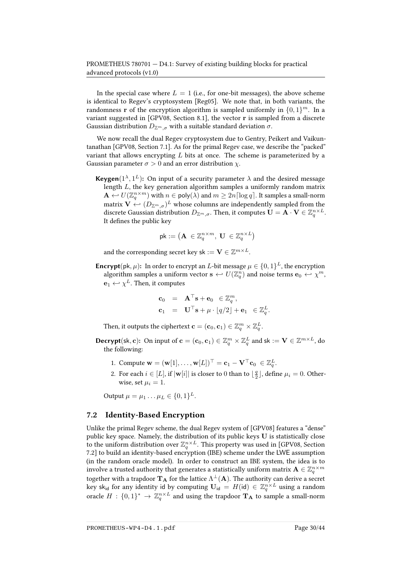In the special case where  $L = 1$  (i.e., for one-bit messages), the above scheme is identical to Regev's cryptosystem [\[Reg05\]](#page-42-1). We note that, in both variants, the randomness **r** of the encryption algorithm is sampled uniformly in  $\{0, 1\}^m$ . In a variant suggested in [\[GPV08,](#page-40-1) Section 8.1], the vector r is sampled from a discrete Gaussian distribution  $D_{\mathbb{Z}^m,\sigma}$  with a suitable standard deviation  $\sigma$ .

We now recall the dual Regev cryptosystem due to Gentry, Peikert and Vaikuntanathan [\[GPV08,](#page-40-1) Section 7.1]. As for the primal Regev case, we describe the "packed" variant that allows encrypting  $L$  bits at once. The scheme is parameterized by a Gaussian parameter  $\sigma > 0$  and an error distribution  $\gamma$ .

**Keygen**( $1^{\lambda}, 1^L$ ): On input of a security parameter  $\lambda$  and the desired message length L, the key generation algorithm samples a uniformly random matrix  $\mathbf{A} \leftarrow U(\mathbb{Z}_q^{n \times m})$  with  $n \in \mathsf{poly}(\lambda)$  and  $m \geq 2n \lceil \log q \rceil$ . It samples a small-norm matrix  $\mathbf{V} \leftarrow (D_{\mathbb{Z}^m,\sigma})^L$  whose columns are independently sampled from the discrete Gaussian distribution  $D_{\mathbb{Z}^m,\sigma}.$  Then, it computes  $\mathbf{U} = \overline{\mathbf{A}}\cdot\mathbf{V} \in \mathbb{Z}_q^{n \times L}.$ It defines the public key

$$
\mathsf{pk} := \left( \mathbf{A} \ \in \mathbb{Z}_q^{n \times m}, \ \mathbf{U} \ \in \mathbb{Z}_q^{n \times L} \right)
$$

and the corresponding secret key sk :=  $\mathbf{V} \in \mathbb{Z}^{m \times L}$ .

**Encrypt**(pk,  $\mu$ ): In order to encrypt an *L*-bit message  $\mu \in \{0,1\}^L$ , the encryption algorithm samples a uniform vector  $\mathbf{s} \leftarrow U(\mathbb{Z}_q^n)$  and noise terms  $\mathbf{e}_0 \leftarrow \chi^m$ ,  $\mathbf{e}_1 \leftrightarrow \chi^L$ . Then, it computes

$$
\begin{array}{rcl}\n\mathbf{c}_0 & = & \mathbf{A}^\top \mathbf{s} + \mathbf{e}_0 \quad \in \mathbb{Z}_q^m, \\
\mathbf{c}_1 & = & \mathbf{U}^\top \mathbf{s} + \mu \cdot \lfloor q/2 \rfloor + \mathbf{e}_1 \quad \in \mathbb{Z}_q^L.\n\end{array}
$$

Then, it outputs the ciphertext  $\mathbf{c} = (\mathbf{c}_0, \mathbf{c}_1) \in \mathbb{Z}_q^m \times \mathbb{Z}_q^L.$ 

- **Decrypt**(sk, c): On input of  $\mathbf{c} = (\mathbf{c}_0, \mathbf{c}_1) \in \mathbb{Z}_q^m \times \mathbb{Z}_q^L$  and sk  $:= \mathbf{V} \in \mathbb{Z}^{m \times L}$ , do the following:
	- 1. Compute  $\mathbf{w} = (\mathbf{w}[1], \dots, \mathbf{w}[L])^{\top} = \mathbf{c}_1 \mathbf{V}^{\top} \mathbf{c}_0 \in \mathbb{Z}_q^L$ .
	- 2. For each  $i \in [L]$ , if  $|\mathbf{w}[i]|$  is closer to 0 than to  $\lfloor \frac{q}{2} \rfloor$ , define  $\mu_i = 0$ . Otherwise, set  $\mu_i = 1$ .

Output  $\mu = \mu_1 ... \mu_L \in \{0, 1\}^L$ .

## 7.2 Identity-Based Encryption

Unlike the primal Regev scheme, the dual Regev system of [\[GPV08\]](#page-40-1) features a "dense" public key space. Namely, the distribution of its public keys U is statistically close to the uniform distribution over  $\mathbb{Z}_q^{n \times L}$ . This property was used in [\[GPV08,](#page-40-1) Section 7.2] to build an identity-based encryption (IBE) scheme under the LWE assumption (in the random oracle model). In order to construct an IBE system, the idea is to involve a trusted authority that generates a statistically uniform matrix  $\mathbf{A} \in \mathbb{Z}_q^{n \times m}$ together with a trapdoor  ${\bf T_A}$  for the lattice  $\Lambda^{\perp}({\bf A}).$  The authority can derive a secret key sk<sub>id</sub> for any identity id by computing  $\mathbf{U}_{\mathsf{id}} = H(\mathsf{id}) \in \mathbb{Z}_q^{n \times L}$  using a random oracle  $H: \{0,1\}^* \to \mathbb{Z}_q^{n \times L}$  and using the trapdoor  $\mathbf{T}_A$  to sample a small-norm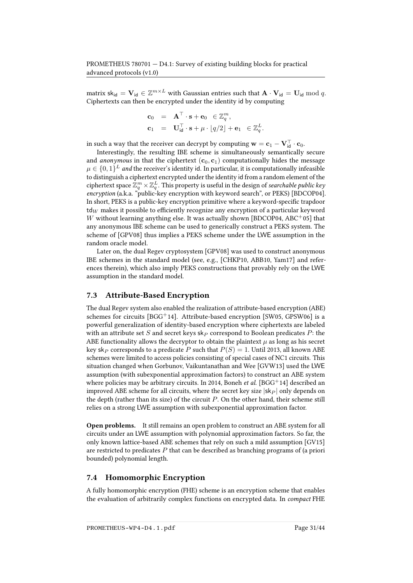matrix sk<sub>id</sub> =  $\mathbf{V}_{\mathsf{id}} \in \mathbb{Z}^{m \times L}$  with Gaussian entries such that  $\mathbf{A} \cdot \mathbf{V}_{\mathsf{id}} = \mathbf{U}_{\mathsf{id}} \bmod q.$ Ciphertexts can then be encrypted under the identity id by computing

$$
\begin{array}{rcl} \mathbf{c}_0 &=& \mathbf{A}^\top \cdot \mathbf{s} + \mathbf{e}_0 \ \in \mathbb{Z}_q^m, \\ \mathbf{c}_1 &=& \mathbf{U}_{\mathsf{id}}^\top \cdot \mathbf{s} + \mu \cdot \lfloor q/2 \rfloor + \mathbf{e}_1 \ \ \in \mathbb{Z}_q^L. \end{array}
$$

in such a way that the receiver can decrypt by computing  $\mathbf{w} = \mathbf{c}_1 - \mathbf{V}_{\mathsf{id}}^\top \cdot \mathbf{c}_0$ .

Interestingly, the resulting IBE scheme is simultaneously semantically secure and *anonymous* in that the ciphertext  $(c_0, c_1)$  computationally hides the message  $\mu \in \{0,1\}^L$  and the receiver's identity id. In particular, it is computationally infeasible to distinguish a ciphertext encrypted under the identity id from a random element of the ciphertext space  $\bar{\mathbb{Z}}_q^m\times \bar{\mathbb{Z}}_q^L$  . This property is useful in the design of *searchable public key* encryption (a.k.a. "public-key encryption with keyword search", or PEKS) [\[BDCOP04\]](#page-36-10). In short, PEKS is a public-key encryption primitive where a keyword-specific trapdoor  $td_W$  makes it possible to efficiently recognize any encryption of a particular keyword W without learning anything else. It was actually shown [\[BDCOP04,](#page-36-10) [ABC](#page-35-9)+05] that any anonymous IBE scheme can be used to generically construct a PEKS system. The scheme of [\[GPV08\]](#page-40-1) thus implies a PEKS scheme under the LWE assumption in the random oracle model.

Later on, the dual Regev cryptosystem [\[GPV08\]](#page-40-1) was used to construct anonymous IBE schemes in the standard model (see, e.g., [\[CHKP10,](#page-38-3) [ABB10,](#page-35-1) [Yam17\]](#page-43-0) and references therein), which also imply PEKS constructions that provably rely on the LWE assumption in the standard model.

## 7.3 Attribute-Based Encryption

The dual Regev system also enabled the realization of attribute-based encryption (ABE) schemes for circuits [\[BGG](#page-36-11)<sup>+</sup>14]. Attribute-based encryption [\[SW05,](#page-42-14) [GPSW06\]](#page-40-12) is a powerful generalization of identity-based encryption where ciphertexts are labeled with an attribute set S and secret keys  $\mathsf{sk}_P$  correspond to Boolean predicates P: the ABE functionality allows the decryptor to obtain the plaintext  $\mu$  as long as his secret key sk<sub>P</sub> corresponds to a predicate P such that  $P(S) = 1$ . Until 2013, all known ABE schemes were limited to access policies consisting of special cases of NC1 circuits. This situation changed when Gorbunov, Vaikuntanathan and Wee [\[GVW13\]](#page-40-13) used the LWE assumption (with subexponential approximation factors) to construct an ABE system where policies may be arbitrary circuits. In 2014, Boneh *et al.* [\[BGG](#page-36-11)<sup>+</sup>14] described an improved ABE scheme for all circuits, where the secret key size  $|\mathsf{sk}_P|$  only depends on the depth (rather than its size) of the circuit  $P$ . On the other hand, their scheme still relies on a strong LWE assumption with subexponential approximation factor.

Open problems. It still remains an open problem to construct an ABE system for all circuits under an LWE assumption with polynomial approximation factors. So far, the only known lattice-based ABE schemes that rely on such a mild assumption [\[GV15\]](#page-40-14) are restricted to predicates  $P$  that can be described as branching programs of (a priori bounded) polynomial length.

### 7.4 Homomorphic Encryption

A fully homomorphic encryption (FHE) scheme is an encryption scheme that enables the evaluation of arbitrarily complex functions on encrypted data. In compact FHE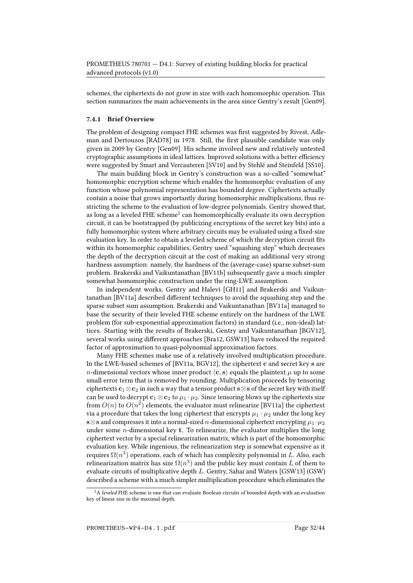schemes, the ciphertexts do not grow in size with each homomorphic operation. This section summarizes the main achievements in the area since Gentry's result [\[Gen09\]](#page-39-2).

#### 7.4.1 Brief Overview

The problem of designing compact FHE schemes was first suggested by Rivest, Adle-man and Dertouzos [\[RAD78\]](#page-42-0) in 1978. Still, the first plausible candidate was only given in 2009 by Gentry [\[Gen09\]](#page-39-2). His scheme involved new and relatively untested cryptographic assumptions in ideal lattices. Improved solutions with a better efficiency were suggested by Smart and Vercauteren [\[SV10\]](#page-42-15) and by Stehlé and Steinfeld [\[SS10\]](#page-42-16).

The main building block in Gentry's construction was a so-called "somewhat" homomorphic encryption scheme which enables the homomorphic evaluation of any function whose polynomial representation has bounded degree. Ciphertexts actually contain a noise that grows importantly during homomorphic multiplications, thus restricting the scheme to the evaluation of low-degree polynomials. Gentry showed that, as long as a leveled FHE scheme<sup>[2](#page-31-0)</sup> can homomorphically evaluate its own decryption circuit, it can be bootstrapped (by publicizing encryptions of the secret key bits) into a fully homomorphic system where arbitrary circuits may be evaluated using a fixed-size evaluation key. In order to obtain a leveled scheme of which the decryption circuit fits within its homomorphic capabilities, Gentry used "squashing step" which decreases the depth of the decryption circuit at the cost of making an additional very strong hardness assumption: namely, the hardness of the (average-case) sparse subset-sum problem. Brakerski and Vaikuntanathan [\[BV11b\]](#page-37-13) subsequently gave a much simpler somewhat homomorphic construction under the ring-LWE assumption.

In independent works, Gentry and Halevi [\[GH11\]](#page-40-15) and Brakerski and Vaikun-tanathan [\[BV11a\]](#page-37-14) described different techniques to avoid the squashing step and the sparse subset sum assumption. Brakerski and Vaikuntanathan [\[BV11a\]](#page-37-14) managed to base the security of their leveled FHE scheme entirely on the hardness of the LWE problem (for sub-exponential approximation factors) in standard (i.e., non-ideal) lattices. Starting with the results of Brakerski, Gentry and Vaikuntanathan [\[BGV12\]](#page-36-12), several works using different approaches [\[Bra12,](#page-37-15) [GSW13\]](#page-40-11) have reduced the required factor of approximation to quasi-polynomial approximation factors.

Many FHE schemes make use of a relatively involved multiplication procedure. In the LWE-based schemes of [\[BV11a,](#page-37-14) [BGV12\]](#page-36-12), the ciphertext c and secret key s are *n*-dimensional vectors whose inner product  $\langle c, s \rangle$  equals the plaintext  $\mu$  up to some small error term that is removed by rounding. Multiplication proceeds by tensoring ciphertexts  $c_1 \otimes c_2$  in such a way that a tensor product s⊗s of the secret key with itself can be used to decrypt  $c_1 \otimes c_2$  to  $\mu_1 \cdot \mu_2$ . Since tensoring blows up the ciphertexts size from  $O(n)$  to  $O(n^2)$  elements, the evaluator must relinearize [\[BV11a\]](#page-37-14) the ciphertext via a procedure that takes the long ciphertext that encrypts  $\mu_1 \cdot \mu_2$  under the long key s⊗s and compresses it into a normal-sized *n*-dimensional ciphertext encrypting  $\mu_1 \cdot \mu_2$ under some *n*-dimensional key  $t$ . To relinearize, the evaluator multiplies the long ciphertext vector by a special relinearization matrix, which is part of the homomorphic evaluation key. While ingenious, the relinearization step is somewhat expensive as it requires  $\Omega(n^3)$  operations, each of which has complexity polynomial in  $L$ . Also, each relinearization matrix has size  $\Omega(n^3)$  and the public key must contain  $L$  of them to evaluate circuits of multiplicative depth L. Gentry, Sahai and Waters [\[GSW13\]](#page-40-11) (GSW) described a scheme with a much simpler multiplication procedure which eliminates the

<span id="page-31-0"></span> $^2\mathrm{A}$  leveled FHE scheme is one that can evaluate Boolean circuits of bounded depth with an evaluation key of linear size in the maximal depth.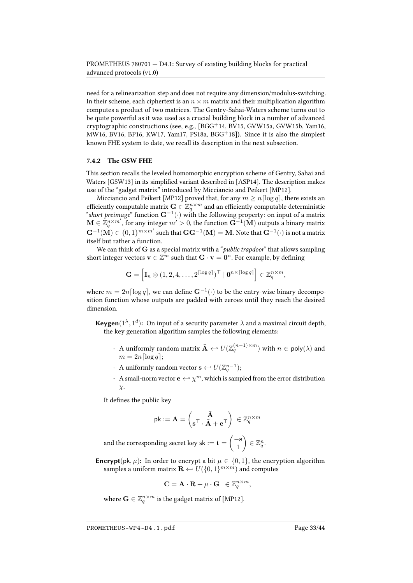need for a relinearization step and does not require any dimension/modulus-switching. In their scheme, each ciphertext is an  $n \times m$  matrix and their multiplication algorithm computes a product of two matrices. The Gentry-Sahai-Waters scheme turns out to be quite powerful as it was used as a crucial building block in a number of advanced cryptographic constructions (see, e.g.,  $[BGG^+14, BV15, GWW15a, GWW15b, Yam16,$  $[BGG^+14, BV15, GWW15a, GWW15b, Yam16,$  $[BGG^+14, BV15, GWW15a, GWW15b, Yam16,$  $[BGG^+14, BV15, GWW15a, GWW15b, Yam16,$  $[BGG^+14, BV15, GWW15a, GWW15b, Yam16,$ [MW16,](#page-41-0) [BV16,](#page-38-15) [BP16,](#page-37-0) [KW17,](#page-40-8) [Yam17,](#page-43-0) [PS18a,](#page-42-9) [BGG](#page-36-13)<sup>+</sup>18]). Since it is also the simplest known FHE system to date, we recall its description in the next subsection.

#### <span id="page-32-0"></span>7.4.2 The GSW FHE

This section recalls the leveled homomorphic encryption scheme of Gentry, Sahai and Waters [\[GSW13\]](#page-40-11) in its simplified variant described in [\[ASP14\]](#page-36-14). The description makes use of the "gadget matrix" introduced by Micciancio and Peikert [\[MP12\]](#page-41-11).

Micciancio and Peikert [\[MP12\]](#page-41-11) proved that, for any  $m \ge n \lceil \log q \rceil$ , there exists an efficiently computable matrix  $\mathbf{G} \in \mathbb{Z}_q^{n \times m}$  and an efficiently computable deterministic "short preimage" function  $\mathbf{G}^{-1}(\cdot)$  with the following property: on input of a matrix  $\mathbf{M}\in \mathbb{Z}_q^{n\times m'}$  , for any integer  $m'>0,$  the function  $\mathbf{G}^{-1}(\mathbf{M})$  outputs a binary matrix  $\mathbf{G}^{-1}(\mathbf{M})\in\{0,1\}^{m\times m'}$  such that  $\mathbf{G}\mathbf{G}^{-1}(\mathbf{M})=\mathbf{M}.$  Note that  $\mathbf{G}^{-1}(\cdot)$  is not a matrix itself but rather a function.

We can think of  $G$  as a special matrix with a "*public trapdoor*" that allows sampling short integer vectors  $\mathbf{v}\in \mathbb{Z}^m$  such that  $\mathbf{G}\cdot \mathbf{v}=\mathbf{0}^n.$  For example, by defining

$$
\mathbf{G} = \left[\mathbf{I}_n \otimes (1,2,4,\ldots,2^{\lceil \log q \rceil})^{\top} \mid \mathbf{0}^{n \times \lceil \log q \rceil} \right] \in \mathbb{Z}_q^{n \times m},
$$

where  $m = 2n \lceil \log q \rceil$ , we can define  $\mathbf{G}^{-1}(\cdot)$  to be the entry-wise binary decomposition function whose outputs are padded with zeroes until they reach the desired dimension.

**Keygen**( $1^{\lambda}$ ,  $1^d$ ): On input of a security parameter  $\lambda$  and a maximal circuit depth, the key generation algorithm samples the following elements:

- A uniformly random matrix  $\bar{\mathbf{A}} \leftarrow U(\mathbb{Z}_q^{(n-1)\times m})$  with  $n \in \mathsf{poly}(\lambda)$  and  $m = 2n \lceil \log q \rceil;$
- A uniformly random vector  $\mathbf{s} \leftarrow U(\mathbb{Z}_q^{n-1});$
- A small-norm vector  $\mathbf{e} \leftrightarrow \chi^m$ , which is sampled from the error distribution  $\chi$ .

It defines the public key

$$
\mathsf{pk} := \mathbf{A} = \begin{pmatrix} \bar{\mathbf{A}} \\ \mathbf{s}^\top \cdot \bar{\mathbf{A}} + \mathbf{e}^\top \end{pmatrix} \, \in \mathbb{Z}_q^{n \times m}
$$

and the corresponding secret key sk :=  $\mathbf{t} = \begin{pmatrix} -\mathbf{s} & -\mathbf{b} \\ 1 & -\mathbf{b} \end{pmatrix}$ 1  $\Big\} \in \mathbb{Z}_q^n.$ 

**Encrypt**(pk,  $\mu$ ): In order to encrypt a bit  $\mu \in \{0, 1\}$ , the encryption algorithm samples a uniform matrix  $\mathbf{R} \leftarrow U(\{0, 1\}^{m \times m})$  and computes

$$
\mathbf{C} = \mathbf{A} \cdot \mathbf{R} + \mu \cdot \mathbf{G} \ \in \mathbb{Z}_q^{n \times m},
$$

where  $\mathbf{G} \in \mathbb{Z}_q^{n \times m}$  is the gadget matrix of [\[MP12\]](#page-41-11).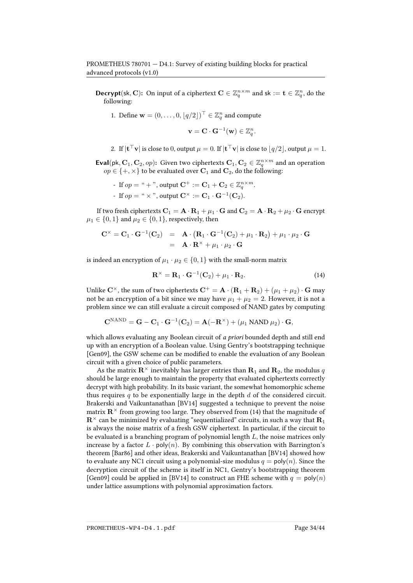**Decrypt**(sk, C): On input of a ciphertext  $\mathbf{C} \in \mathbb{Z}_q^{n \times m}$  and sk  $:= \mathbf{t} \in \mathbb{Z}_q^n$ , do the following:

1. Define  $\mathbf{w} = (0, \dots, 0, \lfloor q/2 \rfloor)^\top \in \mathbb{Z}_q^n$  and compute

$$
\mathbf{v} = \mathbf{C} \cdot \mathbf{G}^{-1}(\mathbf{w}) \in \mathbb{Z}_q^n.
$$

2. If  $|\mathbf{t}^\top \mathbf{v}|$  is close to 0, output  $\mu = 0$ . If  $|\mathbf{t}^\top \mathbf{v}|$  is close to  $\lfloor q/2 \rfloor$ , output  $\mu = 1$ .

**Eval**(pk,  $C_1$ ,  $C_2$ , *op*): Given two ciphertexts  $C_1$ ,  $C_2 \in \mathbb{Z}_q^{n \times m}$  and an operation  $op \in \{+, \times\}$  to be evaluated over  $\mathbf{C}_1$  and  $\mathbf{C}_2$ , do the following:

- If  $op =$  " + ", output  $\mathbf{C}^{+} := \mathbf{C}_{1} + \mathbf{C}_{2} \in \mathbb{Z}_{q}^{n \times m}$ .
- If  $op =$  "  $\times$  ", output  $\mathbf{C}^{\times} := \mathbf{C}_1 \cdot \mathbf{G}^{-1}(\mathbf{C}_2)$ .

If two fresh ciphertexts  $C_1 = A \cdot R_1 + \mu_1 \cdot G$  and  $C_2 = A \cdot R_2 + \mu_2 \cdot G$  encrypt  $\mu_1 \in \{0, 1\}$  and  $\mu_2 \in \{0, 1\}$ , respectively, then

$$
\mathbf{C}^{\times} = \mathbf{C}_{1} \cdot \mathbf{G}^{-1}(\mathbf{C}_{2}) = \mathbf{A} \cdot (\mathbf{R}_{1} \cdot \mathbf{G}^{-1}(\mathbf{C}_{2}) + \mu_{1} \cdot \mathbf{R}_{2}) + \mu_{1} \cdot \mu_{2} \cdot \mathbf{G}
$$
  
=  $\mathbf{A} \cdot \mathbf{R}^{\times} + \mu_{1} \cdot \mu_{2} \cdot \mathbf{G}$ 

is indeed an encryption of  $\mu_1 \cdot \mu_2 \in \{0, 1\}$  with the small-norm matrix

<span id="page-33-0"></span>
$$
\mathbf{R}^{\times} = \mathbf{R}_1 \cdot \mathbf{G}^{-1}(\mathbf{C}_2) + \mu_1 \cdot \mathbf{R}_2.
$$
 (14)

Unlike  $C^{\times}$ , the sum of two ciphertexts  $C^+ = A \cdot (R_1 + R_2) + (\mu_1 + \mu_2) \cdot G$  may not be an encryption of a bit since we may have  $\mu_1 + \mu_2 = 2$ . However, it is not a problem since we can still evaluate a circuit composed of NAND gates by computing

$$
\mathbf{C}^{\text{NAND}} = \mathbf{G} - \mathbf{C}_1 \cdot \mathbf{G}^{-1}(\mathbf{C}_2) = \mathbf{A}(-\mathbf{R}^{\times}) + (\mu_1 \text{ NAND } \mu_2) \cdot \mathbf{G},
$$

which allows evaluating any Boolean circuit of a priori bounded depth and still end up with an encryption of a Boolean value. Using Gentry's bootstrapping technique [\[Gen09\]](#page-39-2), the GSW scheme can be modified to enable the evaluation of any Boolean circuit with a given choice of public parameters.

As the matrix  $\mathbf{R}^{\times}$  inevitably has larger entries than  $\mathbf{R}_1$  and  $\mathbf{R}_2$ , the modulus q should be large enough to maintain the property that evaluated ciphertexts correctly decrypt with high probability. In its basic variant, the somewhat homomorphic scheme thus requires  $q$  to be exponentially large in the depth  $d$  of the considered circuit. Brakerski and Vaikuntanathan [\[BV14\]](#page-38-16) suggested a technique to prevent the noise matrix  $\mathbb{R}^{\times}$  from growing too large. They observed from [\(14\)](#page-33-0) that the magnitude of  $\mathbf{R}^{\times}$  can be minimized by evaluating "sequentialized" circuits, in such a way that  $\mathbf{R}_1$ is always the noise matrix of a fresh GSW ciphertext. In particular, if the circuit to be evaluated is a branching program of polynomial length L, the noise matrices only increase by a factor  $L \cdot \text{poly}(n)$ . By combining this observation with Barrington's theorem [\[Bar86\]](#page-36-15) and other ideas, Brakerski and Vaikuntanathan [\[BV14\]](#page-38-16) showed how to evaluate any NC1 circuit using a polynomial-size modulus  $q = \text{poly}(n)$ . Since the decryption circuit of the scheme is itself in NC1, Gentry's bootstrapping theorem [\[Gen09\]](#page-39-2) could be applied in [\[BV14\]](#page-38-16) to construct an FHE scheme with  $q = \text{poly}(n)$ under lattice assumptions with polynomial approximation factors.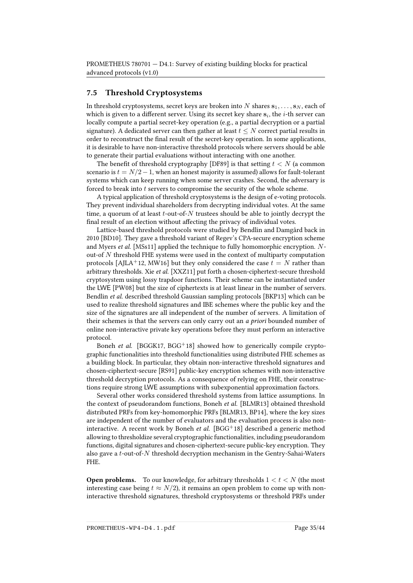## 7.5 Threshold Cryptosystems

In threshold cryptosystems, secret keys are broken into N shares  $s_1, \ldots, s_N$ , each of which is given to a different server. Using its secret key share  $\mathbf{s}_i$ , the *i*-th server can locally compute a partial secret-key operation (e.g., a partial decryption or a partial signature). A dedicated server can then gather at least  $t \leq N$  correct partial results in order to reconstruct the final result of the secret-key operation. In some applications, it is desirable to have non-interactive threshold protocols where servers should be able to generate their partial evaluations without interacting with one another.

The benefit of threshold cryptography [\[DF89\]](#page-39-1) is that setting  $t < N$  (a common scenario is  $t = N/2 - 1$ , when an honest majority is assumed) allows for fault-tolerant systems which can keep running when some server crashes. Second, the adversary is forced to break into  $t$  servers to compromise the security of the whole scheme.

A typical application of threshold cryptosystems is the design of e-voting protocols. They prevent individual shareholders from decrypting individual votes. At the same time, a quorum of at least  $t$ -out-of- $N$  trustees should be able to jointly decrypt the final result of an election without affecting the privacy of individual votes.

Lattice-based threshold protocols were studied by Bendlin and Damgård back in 2010 [\[BD10\]](#page-36-0). They gave a threshold variant of Regev's CPA-secure encryption scheme and Myers et al. [\[MSs11\]](#page-41-15) applied the technique to fully homomorphic encryption. Nout-of  $N$  threshold FHE systems were used in the context of multiparty computation protocols [\[AJLA](#page-35-0)+12, [MW16\]](#page-41-0) but they only considered the case  $t = N$  rather than arbitrary thresholds. Xie et al. [\[XXZ11\]](#page-43-4) put forth a chosen-ciphertext-secure threshold cryptosystem using lossy trapdoor functions. Their scheme can be instantiated under the LWE [\[PW08\]](#page-42-4) but the size of ciphertexts is at least linear in the number of servers. Bendlin et al. described threshold Gaussian sampling protocols [\[BKP13\]](#page-37-16) which can be used to realize threshold signatures and IBE schemes where the public key and the size of the signatures are all independent of the number of servers. A limitation of their schemes is that the servers can only carry out an a priori bounded number of online non-interactive private key operations before they must perform an interactive protocol.

Boneh *et al.* [\[BGGK17,](#page-36-16) [BGG](#page-36-13)<sup>+</sup>18] showed how to generically compile cryptographic functionalities into threshold functionalities using distributed FHE schemes as a building block. In particular, they obtain non-interactive threshold signatures and chosen-ciphertext-secure [\[RS91\]](#page-42-17) public-key encryption schemes with non-interactive threshold decryption protocols. As a consequence of relying on FHE, their constructions require strong LWE assumptions with subexponential approximation factors.

Several other works considered threshold systems from lattice assumptions. In the context of pseudorandom functions, Boneh et al. [\[BLMR13\]](#page-37-7) obtained threshold distributed PRFs from key-homomorphic PRFs [\[BLMR13,](#page-37-7) [BP14\]](#page-37-8), where the key sizes are independent of the number of evaluators and the evaluation process is also non-interactive. A recent work by Boneh et al. [\[BGG](#page-36-13)+18] described a generic method allowing to thresholdize several cryptographic functionalities, including pseudorandom functions, digital signatures and chosen-ciphertext-secure public-key encryption. They also gave a  $t$ -out-of- $N$  threshold decryption mechanism in the Gentry-Sahai-Waters FHE.

**Open problems.** To our knowledge, for arbitrary thresholds  $1 < t < N$  (the most interesting case being  $t \approx N/2$ ), it remains an open problem to come up with noninteractive threshold signatures, threshold cryptosystems or threshold PRFs under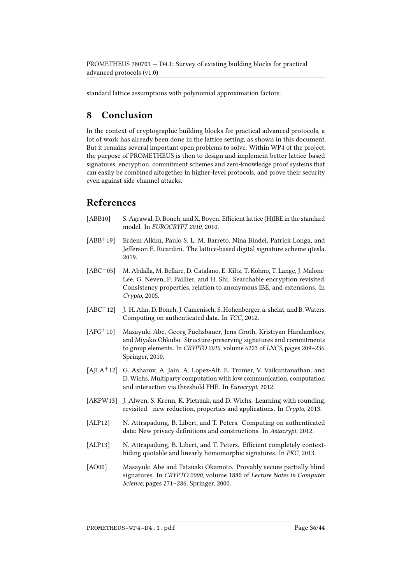standard lattice assumptions with polynomial approximation factors.

# 8 Conclusion

In the context of cryptographic building blocks for practical advanced protocols, a lot of work has already been done in the lattice setting, as shown in this document. But it remains several important open problems to solve. Within WP4 of the project, the purpose of PROMETHEUS is then to design and implement better lattice-based signatures, encryption, commitment schemes and zero-knowledge proof systems that can easily be combined altogether in higher-level protocols, and prove their security even against side-channel attacks.

# References

- <span id="page-35-1"></span>[ABB10] S. Agrawal, D. Boneh, and X. Boyen. Efficient lattice (H)IBE in the standard model. In EUROCRYPT 2010, 2010.
- <span id="page-35-3"></span>[ABB<sup>+</sup>19] Erdem Alkim, Paulo S. L. M. Barreto, Nina Bindel, Patrick Longa, and Jefferson E. Ricardini. The lattice-based digital signature scheme qtesla. 2019.
- <span id="page-35-9"></span>[ABC<sup>+</sup>05] M. Abdalla, M. Bellare, D. Catalano, E. Kiltz, T. Kohno, T. Lange, J. Malone-Lee, G. Neven, P. Paillier, and H. Shi. Searchable encryption revisited: Consistency properties, relation to anonymous IBE, and extensions. In Crypto, 2005.
- <span id="page-35-5"></span>[ABC<sup>+</sup>12] J.-H. Ahn, D. Boneh, J. Camenisch, S. Hohenberger, a. shelat, and B. Waters. Computing on authenticated data. In TCC, 2012.
- <span id="page-35-4"></span>[AFG<sup>+</sup>10] Masayuki Abe, Georg Fuchsbauer, Jens Groth, Kristiyan Haralambiev, and Miyako Ohkubo. Structure-preserving signatures and commitments to group elements. In CRYPTO 2010, volume 6223 of LNCS, pages 209–236. Springer, 2010.
- <span id="page-35-0"></span>[AJLA<sup>+</sup>12] G. Asharov, A. Jain, A. Lopez-Alt, E. Tromer, V. Vaikuntanathan, and D. Wichs. Multiparty computation with low communication, computation and interaction via threshold FHE. In Eurocrypt, 2012.
- <span id="page-35-2"></span>[AKPW13] J. Alwen, S. Krenn, K. Pietrzak, and D. Wichs. Learning with rounding, revisited - new reduction, properties and applications. In Crypto, 2013.
- <span id="page-35-6"></span>[ALP12] N. Attrapadung, B. Libert, and T. Peters. Computing on authenticated data: New privacy definitions and constructions. In Asiacrypt, 2012.
- <span id="page-35-7"></span>[ALP13] N. Attrapadung, B. Libert, and T. Peters. Efficient completely contexthiding quotable and linearly homomorphic signatures. In PKC, 2013.
- <span id="page-35-8"></span>[AO00] Masayuki Abe and Tatsuaki Okamoto. Provably secure partially blind signatures. In CRYPTO 2000, volume 1880 of Lecture Notes in Computer Science, pages 271–286. Springer, 2000.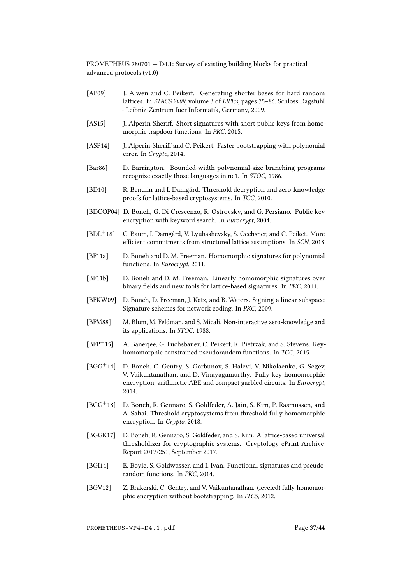- <span id="page-36-1"></span>[AP09] J. Alwen and C. Peikert. Generating shorter bases for hard random lattices. In STACS 2009, volume 3 of LIPIcs, pages 75–86. Schloss Dagstuhl - Leibniz-Zentrum fuer Informatik, Germany, 2009.
- <span id="page-36-6"></span>[AS15] J. Alperin-Sheriff. Short signatures with short public keys from homomorphic trapdoor functions. In PKC, 2015.
- <span id="page-36-14"></span>[ASP14] J. Alperin-Sheriff and C. Peikert. Faster bootstrapping with polynomial error. In Crypto, 2014.
- <span id="page-36-15"></span>[Bar86] D. Barrington. Bounded-width polynomial-size branching programs recognize exactly those languages in nc1. In STOC, 1986.
- <span id="page-36-0"></span>[BD10] R. Bendlin and I. Damgård. Threshold decryption and zero-knowledge proofs for lattice-based cryptosystems. In TCC, 2010.
- <span id="page-36-10"></span>[BDCOP04] D. Boneh, G. Di Crescenzo, R. Ostrovsky, and G. Persiano. Public key encryption with keyword search. In Eurocrypt, 2004.
- <span id="page-36-2"></span>[BDL<sup>+</sup>18] C. Baum, I. Damgård, V. Lyubashevsky, S. Oechsner, and C. Peiket. More efficient commitments from structured lattice assumptions. In SCN, 2018.
- <span id="page-36-9"></span>[BF11a] D. Boneh and D. M. Freeman. Homomorphic signatures for polynomial functions. In Eurocrypt, 2011.
- <span id="page-36-8"></span>[BF11b] D. Boneh and D. M. Freeman. Linearly homomorphic signatures over binary fields and new tools for lattice-based signatures. In PKC, 2011.
- <span id="page-36-7"></span>[BFKW09] D. Boneh, D. Freeman, J. Katz, and B. Waters. Signing a linear subspace: Signature schemes for network coding. In PKC, 2009.
- <span id="page-36-3"></span>[BFM88] M. Blum, M. Feldman, and S. Micali. Non-interactive zero-knowledge and its applications. In STOC, 1988.
- <span id="page-36-5"></span>[BFP<sup>+</sup>15] A. Banerjee, G. Fuchsbauer, C. Peikert, K. Pietrzak, and S. Stevens. Keyhomomorphic constrained pseudorandom functions. In TCC, 2015.
- <span id="page-36-11"></span>[BGG<sup>+</sup>14] D. Boneh, C. Gentry, S. Gorbunov, S. Halevi, V. Nikolaenko, G. Segev, V. Vaikuntanathan, and D. Vinayagamurthy. Fully key-homomorphic encryption, arithmetic ABE and compact garbled circuits. In Eurocrypt, 2014.
- <span id="page-36-13"></span>[BGG+18] D. Boneh, R. Gennaro, S. Goldfeder, A. Jain, S. Kim, P. Rasmussen, and A. Sahai. Threshold cryptosystems from threshold fully homomorphic encryption. In Crypto, 2018.
- <span id="page-36-16"></span>[BGGK17] D. Boneh, R. Gennaro, S. Goldfeder, and S. Kim. A lattice-based universal thresholdizer for cryptographic systems. Cryptology ePrint Archive: Report 2017/251, September 2017.
- <span id="page-36-4"></span>[BGI14] E. Boyle, S. Goldwasser, and I. Ivan. Functional signatures and pseudorandom functions. In PKC, 2014.
- <span id="page-36-12"></span>[BGV12] Z. Brakerski, C. Gentry, and V. Vaikuntanathan. (leveled) fully homomorphic encryption without bootstrapping. In ITCS, 2012.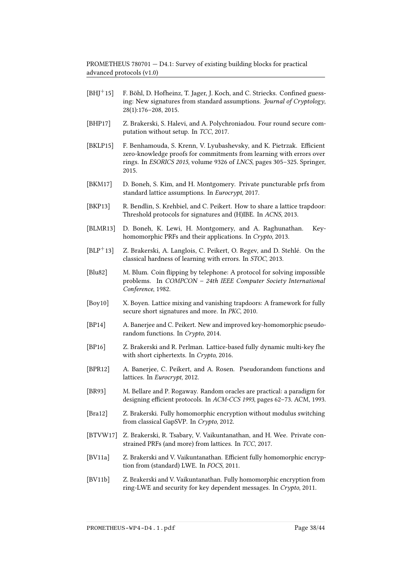- <span id="page-37-12"></span> $[BHJ^+15]$  F. Böhl, D. Hofheinz, T. Jager, J. Koch, and C. Striecks. Confined guessing: New signatures from standard assumptions. Journal of Cryptology, 28(1):176–208, 2015.
- <span id="page-37-1"></span>[BHP17] Z. Brakerski, S. Halevi, and A. Polychroniadou. Four round secure computation without setup. In TCC, 2017.
- <span id="page-37-4"></span>[BKLP15] F. Benhamouda, S. Krenn, V. Lyubashevsky, and K. Pietrzak. Efficient zero-knowledge proofs for commitments from learning with errors over rings. In ESORICS 2015, volume 9326 of LNCS, pages 305–325. Springer, 2015.
- <span id="page-37-10"></span>[BKM17] D. Boneh, S. Kim, and H. Montgomery. Private puncturable prfs from standard lattice assumptions. In Eurocrypt, 2017.
- <span id="page-37-16"></span>[BKP13] R. Bendlin, S. Krehbiel, and C. Peikert. How to share a lattice trapdoor: Threshold protocols for signatures and (H)IBE. In ACNS, 2013.
- <span id="page-37-7"></span>[BLMR13] D. Boneh, K. Lewi, H. Montgomery, and A. Raghunathan. Keyhomomorphic PRFs and their applications. In Crypto, 2013.
- <span id="page-37-2"></span>[BLP<sup>+</sup>13] Z. Brakerski, A. Langlois, C. Peikert, O. Regev, and D. Stehlé. On the classical hardness of learning with errors. In STOC, 2013.
- <span id="page-37-3"></span>[Blu82] M. Blum. Coin flipping by telephone: A protocol for solving impossible problems. In COMPCON – 24th IEEE Computer Society International Conference, 1982.
- <span id="page-37-11"></span>[Boy10] X. Boyen. Lattice mixing and vanishing trapdoors: A framework for fully secure short signatures and more. In PKC, 2010.
- <span id="page-37-8"></span>[BP14] A. Banerjee and C. Peikert. New and improved key-homomorphic pseudorandom functions. In Crypto, 2014.
- <span id="page-37-0"></span>[BP16] Z. Brakerski and R. Perlman. Lattice-based fully dynamic multi-key fhe with short ciphertexts. In Crypto, 2016.
- <span id="page-37-6"></span>[BPR12] A. Banerjee, C. Peikert, and A. Rosen. Pseudorandom functions and lattices. In Eurocrypt, 2012.
- <span id="page-37-5"></span>[BR93] M. Bellare and P. Rogaway. Random oracles are practical: a paradigm for designing efficient protocols. In ACM-CCS 1993, pages 62-73. ACM, 1993.
- <span id="page-37-15"></span>[Bra12] Z. Brakerski. Fully homomorphic encryption without modulus switching from classical GapSVP. In Crypto, 2012.
- <span id="page-37-9"></span>[BTVW17] Z. Brakerski, R. Tsabary, V. Vaikuntanathan, and H. Wee. Private constrained PRFs (and more) from lattices. In TCC, 2017.
- <span id="page-37-14"></span>[BV11a] Z. Brakerski and V. Vaikuntanathan. Efficient fully homomorphic encryption from (standard) LWE. In FOCS, 2011.
- <span id="page-37-13"></span>[BV11b] Z. Brakerski and V. Vaikuntanathan. Fully homomorphic encryption from ring-LWE and security for key dependent messages. In Crypto, 2011.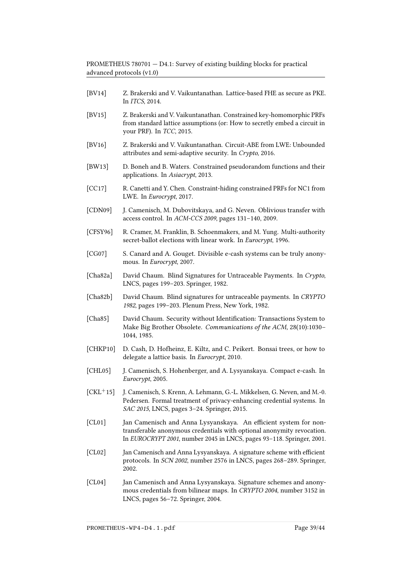- <span id="page-38-16"></span>[BV14] Z. Brakerski and V. Vaikuntanathan. Lattice-based FHE as secure as PKE. In ITCS, 2014.
- <span id="page-38-8"></span>[BV15] Z. Brakerski and V. Vaikuntanathan. Constrained key-homomorphic PRFs from standard lattice assumptions (or: How to secretly embed a circuit in your PRF). In *TCC*, 2015.
- <span id="page-38-15"></span>[BV16] Z. Brakerski and V. Vaikuntanathan. Circuit-ABE from LWE: Unbounded attributes and semi-adaptive security. In Crypto, 2016.
- <span id="page-38-7"></span>[BW13] D. Boneh and B. Waters. Constrained pseudorandom functions and their applications. In Asiacrypt, 2013.
- <span id="page-38-10"></span>[CC17] R. Canetti and Y. Chen. Constraint-hiding constrained PRFs for NC1 from LWE. In Eurocrypt, 2017.
- <span id="page-38-6"></span>[CDN09] J. Camenisch, M. Dubovitskaya, and G. Neven. Oblivious transfer with access control. In ACM-CCS 2009, pages 131–140, 2009.
- <span id="page-38-4"></span>[CFSY96] R. Cramer, M. Franklin, B. Schoenmakers, and M. Yung. Multi-authority secret-ballot elections with linear work. In Eurocrypt, 1996.
- <span id="page-38-9"></span>[CG07] S. Canard and A. Gouget. Divisible e-cash systems can be truly anonymous. In Eurocrypt, 2007.
- <span id="page-38-11"></span>[Cha82a] David Chaum. Blind Signatures for Untraceable Payments. In Crypto, LNCS, pages 199–203. Springer, 1982.
- <span id="page-38-14"></span>[Cha82b] David Chaum. Blind signatures for untraceable payments. In CRYPTO 1982, pages 199–203. Plenum Press, New York, 1982.
- <span id="page-38-0"></span>[Cha85] David Chaum. Security without Identification: Transactions System to Make Big Brother Obsolete. Communications of the ACM, 28(10):1030– 1044, 1985.
- <span id="page-38-3"></span>[CHKP10] D. Cash, D. Hofheinz, E. Kiltz, and C. Peikert. Bonsai trees, or how to delegate a lattice basis. In Eurocrypt, 2010.
- <span id="page-38-1"></span>[CHL05] J. Camenisch, S. Hohenberger, and A. Lysyanskaya. Compact e-cash. In Eurocrypt, 2005.
- <span id="page-38-12"></span> $[CKL+15]$  J. Camenisch, S. Krenn, A. Lehmann, G.-L. Mikkelsen, G. Neven, and M.-0. Pedersen. Formal treatment of privacy-enhancing credential systems. In SAC 2015, LNCS, pages 3–24. Springer, 2015.
- <span id="page-38-5"></span>[CL01] Jan Camenisch and Anna Lysyanskaya. An efficient system for nontransferable anonymous credentials with optional anonymity revocation. In EUROCRYPT 2001, number 2045 in LNCS, pages 93–118. Springer, 2001.
- <span id="page-38-2"></span>[CL02] Jan Camenisch and Anna Lysyanskaya. A signature scheme with efficient protocols. In SCN 2002, number 2576 in LNCS, pages 268–289. Springer, 2002.
- <span id="page-38-13"></span>[CL04] Jan Camenisch and Anna Lysyanskaya. Signature schemes and anonymous credentials from bilinear maps. In CRYPTO 2004, number 3152 in LNCS, pages 56–72. Springer, 2004.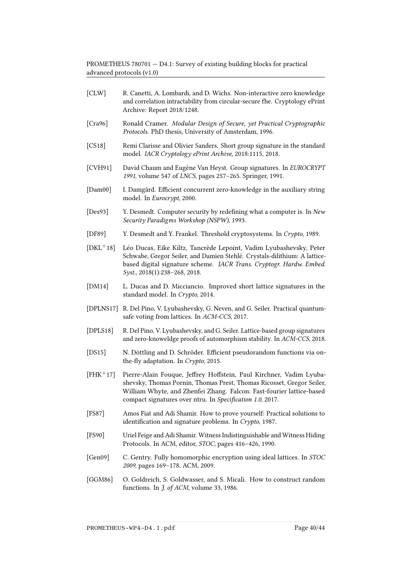- <span id="page-39-8"></span>[CLW] R. Canetti, A. Lombardi, and D. Wichs. Non-interactive zero knowledge and correlation intractability from circular-secure fhe. Cryptology ePrint Archive: Report 2018/1248.
- <span id="page-39-5"></span>[Cra96] Ronald Cramer. Modular Design of Secure, yet Practical Cryptographic Protocols. PhD thesis, University of Amsterdam, 1996.
- <span id="page-39-15"></span>[CS18] Remi Clarisse and Olivier Sanders. Short group signature in the standard model. IACR Cryptology ePrint Archive, 2018:1115, 2018.
- <span id="page-39-0"></span>[CVH91] David Chaum and Eugène Van Heyst. Group signatures. In EUROCRYPT 1991, volume 547 of LNCS, pages 257–265. Springer, 1991.
- <span id="page-39-14"></span>[Dam00] I. Damgård. Efficient concurrent zero-knowledge in the auxiliary string model. In Eurocrypt, 2000.
- <span id="page-39-16"></span>[Des93] Y. Desmedt. Computer security by redefining what a computer is. In New Security Paradigms Workshop (NSPW), 1993.
- <span id="page-39-1"></span>[DF89] Y. Desmedt and Y. Frankel. Threshold cryptosystems. In Crypto, 1989.
- <span id="page-39-11"></span>[DKL<sup>+</sup>18] Léo Ducas, Eike Kiltz, Tancrède Lepoint, Vadim Lyubashevsky, Peter Schwabe, Gregor Seiler, and Damien Stehlé. Crystals-dilithium: A latticebased digital signature scheme. IACR Trans. Cryptogr. Hardw. Embed. Syst., 2018(1):238–268, 2018.
- <span id="page-39-13"></span>[DM14] L. Ducas and D. Micciancio. Improved short lattice signatures in the standard model. In Crypto, 2014.
- <span id="page-39-7"></span>[DPLNS17] R. Del Pino, V. Lyubashevsky, G. Neven, and G. Seiler. Practical quantumsafe voting from lattices. In ACM-CCS, 2017.
- <span id="page-39-3"></span>[DPLS18] R. Del Pino, V. Lyubashevsky, and G. Seiler. Lattice-based group signatures and zero-knoweldge proofs of automorphism stability. In ACM-CCS, 2018.
- <span id="page-39-10"></span>[DS15] N. Döttling and D. Schröder. Efficient pseudorandom functions via onthe-fly adaptation. In Crypto, 2015.
- <span id="page-39-12"></span>[FHK<sup>+</sup>17] Pierre-Alain Fouque, Jeffrey Hoffstein, Paul Kirchner, Vadim Lyubashevsky, Thomas Pornin, Thomas Prest, Thomas Ricosset, Gregor Seiler, William Whyte, and Zhenfei Zhang. Falcon: Fast-fourier lattice-based compact signatures over ntru. In Specification 1.0, 2017.
- <span id="page-39-4"></span>[FS87] Amos Fiat and Adi Shamir. How to prove yourself: Practical solutions to identification and signature problems. In Crypto, 1987.
- <span id="page-39-6"></span>[FS90] Uriel Feige and Adi Shamir. Witness Indistinguishable and Witness Hiding Protocols. In ACM, editor, STOC, pages 416–426, 1990.
- <span id="page-39-2"></span>[Gen09] C. Gentry. Fully homomorphic encryption using ideal lattices. In STOC 2009, pages 169–178. ACM, 2009.
- <span id="page-39-9"></span>[GGM86] O. Goldreich, S. Goldwasser, and S. Micali. How to construct random functions. In  $\tilde{J}$ . of ACM, volume 33, 1986.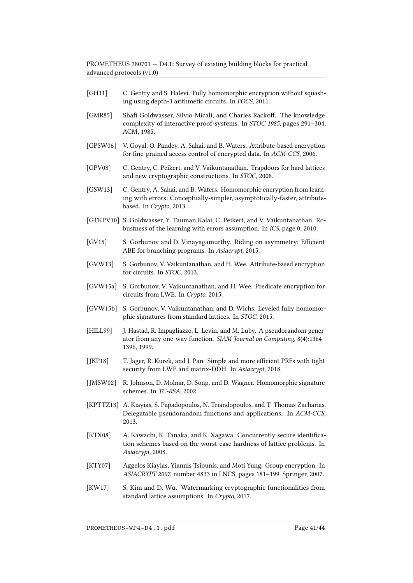- <span id="page-40-15"></span>[GH11] C. Gentry and S. Halevi. Fully homomorphic encryption without squashing using depth-3 arithmetic circuits. In FOCS, 2011.
- <span id="page-40-4"></span>[GMR85] Shafi Goldwasser, Silvio Micali, and Charles Rackoff. The knowledge complexity of interactive proof-systems. In STOC 1985, pages 291–304. ACM, 1985.
- <span id="page-40-12"></span>[GPSW06] V. Goyal, O. Pandey, A. Sahai, and B. Waters. Attribute-based encryption for fine-grained access control of encrypted data. In ACM-CCS, 2006.
- <span id="page-40-1"></span>[GPV08] C. Gentry, C. Peikert, and V. Vaikuntanathan. Trapdoors for hard lattices and new cryptographic constructions. In STOC, 2008.
- <span id="page-40-11"></span>[GSW13] C. Gentry, A. Sahai, and B. Waters. Homomorphic encryption from learning with errors: Conceptually-simpler, asymptotically-faster, attributebased. In Crypto, 2013.
- <span id="page-40-3"></span>[GTKPV10] S. Goldwasser, Y. Tauman Kalai, C. Peikert, and V. Vaikuntanathan. Robustness of the learning with errors assumption. In ICS, page 0, 2010.
- <span id="page-40-14"></span>[GV15] S. Gorbunov and D. Vinayagamurthy. Riding on asymmetry: Efficient ABE for branching programs. In Asiacrypt, 2015.
- <span id="page-40-13"></span>[GVW13] S. Gorbunov, V. Vaikuntanathan, and H. Wee. Attribute-based encryption for circuits. In STOC, 2013.
- <span id="page-40-16"></span>[GVW15a] S. Gorbunov, V. Vaikuntanathan, and H. Wee. Predicate encryption for circuits from LWE. In Crypto, 2015.
- <span id="page-40-10"></span>[GVW15b] S. Gorbunov, V. Vaikuntanathan, and D. Wichs. Leveled fully homomorphic signatures from standard lattices. In STOC, 2015.
- <span id="page-40-5"></span>[HILL99] J. Hastad, R. Impagliazzo, L. Levin, and M. Luby. A pseudorandom generator from any one-way function. SIAM Journal on Computing, 8(4):1364– 1396, 1999.
- <span id="page-40-6"></span>[JKP18] T. Jager, R. Kurek, and J. Pan. Simple and more efficient PRFs with tight security from LWE and matrix-DDH. In Asiacrypt, 2018.
- <span id="page-40-9"></span>[JMSW02] R. Johnson, D. Molnar, D. Song, and D. Wagner. Homomorphic signature schemes. In TC-RSA, 2002.
- <span id="page-40-7"></span>[KPTTZ13] A. Kiayias, S. Papadopoulos, N. Triandopoulos, and T. Thomas Zacharias. Delegatable pseudorandom functions and applications. In ACM-CCS, 2013.
- <span id="page-40-2"></span>[KTX08] A. Kawachi, K. Tanaka, and K. Xagawa. Concurrently secure identification schemes based on the worst-case hardness of lattice problems. In Asiacrypt, 2008.
- <span id="page-40-0"></span>[KTY07] Aggelos Kiayias, Yiannis Tsiounis, and Moti Yung. Group encryption. In ASIACRYPT 2007, number 4833 in LNCS, pages 181–199. Springer, 2007.
- <span id="page-40-8"></span>[KW17] S. Kim and D. Wu. Watermarking cryptographic functionalities from standard lattice assumptions. In Crypto, 2017.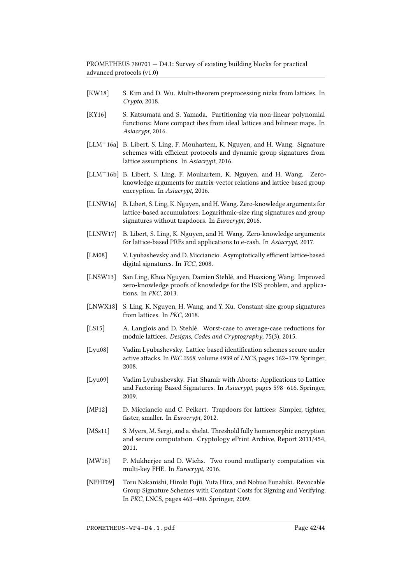- <span id="page-41-9"></span>[KW18] S. Kim and D. Wu. Multi-theorem preprocessing nizks from lattices. In Crypto, 2018.
- <span id="page-41-12"></span>[KY16] S. Katsumata and S. Yamada. Partitioning via non-linear polynomial functions: More compact ibes from ideal lattices and bilinear maps. In Asiacrypt, 2016.
- <span id="page-41-3"></span>[LLM+16a] B. Libert, S. Ling, F. Mouhartem, K. Nguyen, and H. Wang. Signature schemes with efficient protocols and dynamic group signatures from lattice assumptions. In Asiacrypt, 2016.
- <span id="page-41-7"></span>[LLM+16b] B. Libert, S. Ling, F. Mouhartem, K. Nguyen, and H. Wang. Zeroknowledge arguments for matrix-vector relations and lattice-based group encryption. In Asiacrypt, 2016.
- <span id="page-41-14"></span>[LLNW16] B. Libert, S. Ling, K. Nguyen, and H. Wang. Zero-knowledge arguments for lattice-based accumulators: Logarithmic-size ring signatures and group signatures without trapdoors. In *Eurocrypt*, 2016.
- <span id="page-41-8"></span>[LLNW17] B. Libert, S. Ling, K. Nguyen, and H. Wang. Zero-knowledge arguments for lattice-based PRFs and applications to e-cash. In Asiacrypt, 2017.
- <span id="page-41-10"></span>[LM08] V. Lyubashevsky and D. Micciancio. Asymptotically efficient lattice-based digital signatures. In TCC, 2008.
- <span id="page-41-2"></span>[LNSW13] San Ling, Khoa Nguyen, Damien Stehlé, and Huaxiong Wang. Improved zero-knowledge proofs of knowledge for the ISIS problem, and applications. In PKC, 2013.
- <span id="page-41-13"></span>[LNWX18] S. Ling, K. Nguyen, H. Wang, and Y. Xu. Constant-size group signatures from lattices. In PKC, 2018.
- <span id="page-41-1"></span>[LS15] A. Langlois and D. Stehlé. Worst-case to average-case reductions for module lattices. Designs, Codes and Cryptography, 75(3), 2015.
- <span id="page-41-5"></span>[Lyu08] Vadim Lyubashevsky. Lattice-based identification schemes secure under active attacks. In PKC 2008, volume 4939 of LNCS, pages 162–179. Springer, 2008.
- <span id="page-41-6"></span>[Lyu09] Vadim Lyubashevsky. Fiat-Shamir with Aborts: Applications to Lattice and Factoring-Based Signatures. In Asiacrypt, pages 598–616. Springer, 2009.
- <span id="page-41-11"></span>[MP12] D. Micciancio and C. Peikert. Trapdoors for lattices: Simpler, tighter, faster, smaller. In Eurocrypt, 2012.
- <span id="page-41-15"></span>[MSs11] S. Myers, M. Sergi, and a. shelat. Threshold fully homomorphic encryption and secure computation. Cryptology ePrint Archive, Report 2011/454, 2011.
- <span id="page-41-0"></span>[MW16] P. Mukherjee and D. Wichs. Two round mutliparty computation via multi-key FHE. In Eurocrypt, 2016.
- <span id="page-41-4"></span>[NFHF09] Toru Nakanishi, Hiroki Fujii, Yuta Hira, and Nobuo Funabiki. Revocable Group Signature Schemes with Constant Costs for Signing and Verifying. In PKC, LNCS, pages 463–480. Springer, 2009.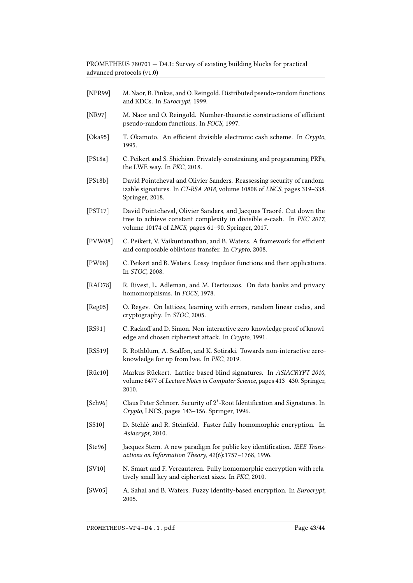- <span id="page-42-7"></span>[NPR99] M. Naor, B. Pinkas, and O. Reingold. Distributed pseudo-random functions and KDCs. In Eurocrypt, 1999.
- <span id="page-42-6"></span>[NR97] M. Naor and O. Reingold. Number-theoretic constructions of efficient pseudo-random functions. In FOCS, 1997.
- <span id="page-42-8"></span>[Oka95] T. Okamoto. An efficient divisible electronic cash scheme. In Crypto, 1995.
- <span id="page-42-9"></span>[PS18a] C. Peikert and S. Shiehian. Privately constraining and programming PRFs, the LWE way. In PKC, 2018.
- <span id="page-42-11"></span>[PS18b] David Pointcheval and Olivier Sanders. Reassessing security of randomizable signatures. In CT-RSA 2018, volume 10808 of LNCS, pages 319–338. Springer, 2018.
- <span id="page-42-10"></span>[PST17] David Pointcheval, Olivier Sanders, and Jacques Traoré. Cut down the tree to achieve constant complexity in divisible e-cash. In PKC 2017, volume 10174 of LNCS, pages 61–90. Springer, 2017.
- <span id="page-42-13"></span>[PVW08] C. Peikert, V. Vaikuntanathan, and B. Waters. A framework for efficient and composable oblivious transfer. In Crypto, 2008.
- <span id="page-42-4"></span>[PW08] C. Peikert and B. Waters. Lossy trapdoor functions and their applications. In STOC, 2008.
- <span id="page-42-0"></span>[RAD78] R. Rivest, L. Adleman, and M. Dertouzos. On data banks and privacy homomorphisms. In FOCS, 1978.
- <span id="page-42-1"></span>[Reg05] O. Regev. On lattices, learning with errors, random linear codes, and cryptography. In STOC, 2005.
- <span id="page-42-17"></span>[RS91] C. Rackoff and D. Simon. Non-interactive zero-knowledge proof of knowledge and chosen ciphertext attack. In Crypto, 1991.
- <span id="page-42-5"></span>[RSS19] R. Rothblum, A. Sealfon, and K. Sotiraki. Towards non-interactive zeroknowledge for np from lwe. In PKC, 2019.
- <span id="page-42-12"></span>[Rüc10] Markus Rückert. Lattice-based blind signatures. In ASIACRYPT 2010, volume 6477 of Lecture Notes in Computer Science, pages 413–430. Springer, 2010.
- <span id="page-42-2"></span>[Sch96] Claus Peter Schnorr. Security of  $2<sup>t</sup>$ -Root Identification and Signatures. In Crypto, LNCS, pages 143–156. Springer, 1996.
- <span id="page-42-16"></span>[SS10] D. Stehlé and R. Steinfeld. Faster fully homomorphic encryption. In Asiacrypt, 2010.
- <span id="page-42-3"></span>[Ste96] Jacques Stern. A new paradigm for public key identification. IEEE Transactions on Information Theory, 42(6):1757–1768, 1996.
- <span id="page-42-15"></span>[SV10] N. Smart and F. Vercauteren. Fully homomorphic encryption with relatively small key and ciphertext sizes. In PKC, 2010.
- <span id="page-42-14"></span>[SW05] A. Sahai and B. Waters. Fuzzy identity-based encryption. In Eurocrypt, 2005.